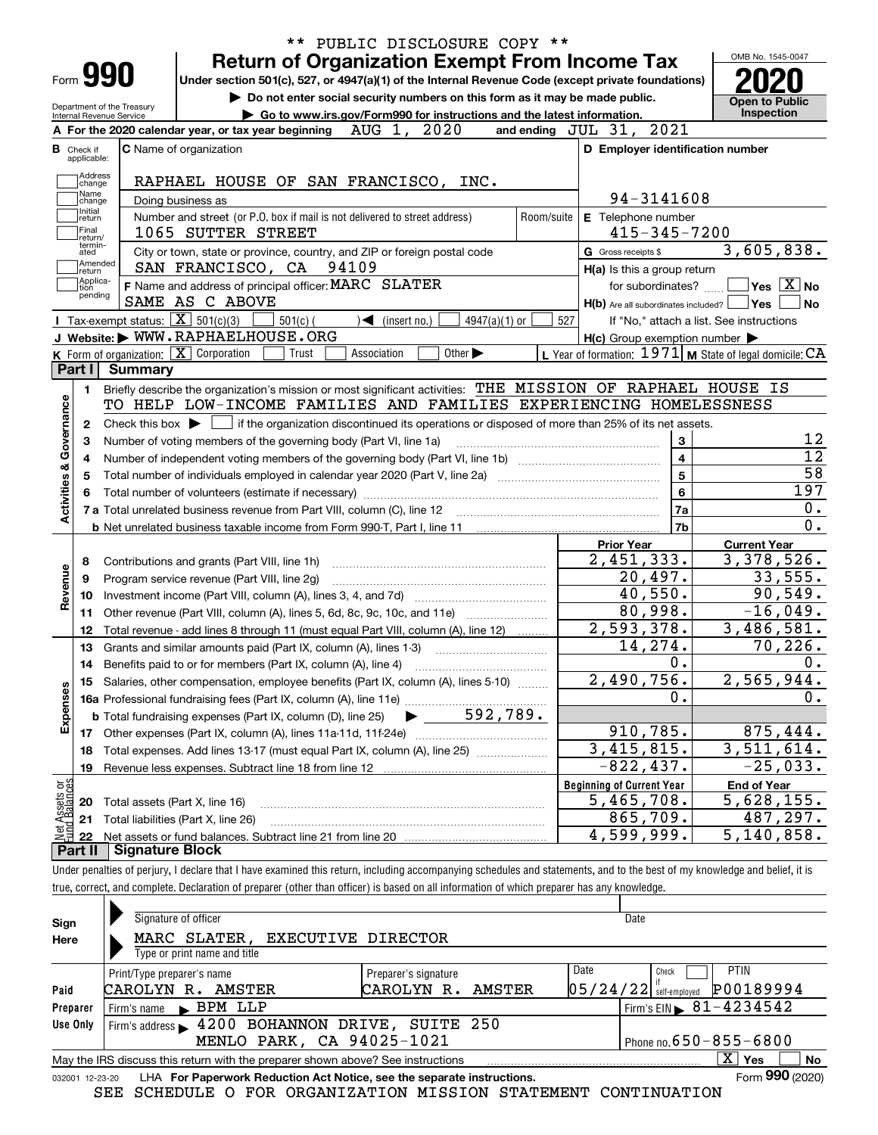| Form 990                                               |                                                   | <b>Return of Organization Exempt From Income Tax</b><br>Under section 501(c), 527, or 4947(a)(1) of the Internal Revenue Code (except private foundations) |                      |                                                                       | OMB No. 1545-0047                                                                                                                                   |
|--------------------------------------------------------|---------------------------------------------------|------------------------------------------------------------------------------------------------------------------------------------------------------------|----------------------|-----------------------------------------------------------------------|-----------------------------------------------------------------------------------------------------------------------------------------------------|
| Department of the Treasury<br>Internal Revenue Service |                                                   | Do not enter social security numbers on this form as it may be made public.<br>Go to www.irs.gov/Form990 for instructions and the latest information.      |                      |                                                                       | <b>Open to Public</b><br><b>Inspection</b>                                                                                                          |
|                                                        |                                                   | 2020<br>AUG 1,<br>A For the 2020 calendar year, or tax year beginning                                                                                      | and ending $JUL$ 31, | 2021                                                                  |                                                                                                                                                     |
| <b>B</b> Check if<br>applicable:                       |                                                   | <b>C</b> Name of organization                                                                                                                              |                      | D Employer identification number                                      |                                                                                                                                                     |
| Address                                                |                                                   |                                                                                                                                                            |                      |                                                                       |                                                                                                                                                     |
| change<br>Name                                         |                                                   | RAPHAEL HOUSE OF SAN FRANCISCO, INC.                                                                                                                       |                      |                                                                       |                                                                                                                                                     |
| change<br>Initial                                      |                                                   | Doing business as                                                                                                                                          |                      | 94-3141608                                                            |                                                                                                                                                     |
| return<br> Final                                       |                                                   | Number and street (or P.O. box if mail is not delivered to street address)                                                                                 | Room/suite           | E Telephone number                                                    |                                                                                                                                                     |
| return/<br>termin-                                     |                                                   | 1065 SUTTER STREET                                                                                                                                         |                      | $415 - 345 - 7200$                                                    |                                                                                                                                                     |
| ated<br>Amended                                        |                                                   | City or town, state or province, country, and ZIP or foreign postal code<br>SAN FRANCISCO, CA 94109                                                        |                      | G Gross receipts \$                                                   | 3,605,838.                                                                                                                                          |
| return<br> Applica-                                    |                                                   | F Name and address of principal officer: MARC SLATER                                                                                                       |                      | H(a) Is this a group return                                           | $\sqrt{}$ Yes $\sqrt{}$ $\overline{\rm X}$ No                                                                                                       |
| ition<br>pending                                       |                                                   | SAME AS C ABOVE                                                                                                                                            |                      | for subordinates?<br>$H(b)$ Are all subordinates included? $\Box$ Yes |                                                                                                                                                     |
|                                                        | Tax-exempt status: $\boxed{\mathbf{X}}$ 501(c)(3) | $501(c)$ (<br>$4947(a)(1)$ or<br>$\blacktriangleleft$ (insert no.)                                                                                         | 527                  |                                                                       | If "No," attach a list. See instructions                                                                                                            |
|                                                        |                                                   | J Website: WWW.RAPHAELHOUSE.ORG                                                                                                                            |                      | $H(c)$ Group exemption number $\blacktriangleright$                   |                                                                                                                                                     |
|                                                        |                                                   | K Form of organization: X Corporation<br>Association<br>Other $\blacktriangleright$<br>Trust                                                               |                      | L Year of formation: $1971$ M State of legal domicile: CA             |                                                                                                                                                     |
| Part I                                                 | Summary                                           |                                                                                                                                                            |                      |                                                                       |                                                                                                                                                     |
| 1.                                                     |                                                   | Briefly describe the organization's mission or most significant activities: THE MISSION OF RAPHAEL HOUSE IS                                                |                      |                                                                       |                                                                                                                                                     |
|                                                        |                                                   | TO HELP LOW-INCOME FAMILIES AND FAMILIES EXPERIENCING HOMELESSNESS                                                                                         |                      |                                                                       |                                                                                                                                                     |
| 2                                                      |                                                   | Check this box $\blacktriangleright$ $\Box$ if the organization discontinued its operations or disposed of more than 25% of its net assets.                |                      |                                                                       |                                                                                                                                                     |
| З                                                      |                                                   | Number of voting members of the governing body (Part VI, line 1a)                                                                                          |                      | 3                                                                     |                                                                                                                                                     |
|                                                        |                                                   |                                                                                                                                                            |                      |                                                                       |                                                                                                                                                     |
|                                                        |                                                   |                                                                                                                                                            |                      |                                                                       |                                                                                                                                                     |
| 4<br>5                                                 |                                                   |                                                                                                                                                            |                      | $\overline{\mathbf{4}}$                                               |                                                                                                                                                     |
|                                                        |                                                   |                                                                                                                                                            |                      | 5<br>6                                                                |                                                                                                                                                     |
|                                                        |                                                   |                                                                                                                                                            |                      | 7a                                                                    |                                                                                                                                                     |
| Activities & Governance                                |                                                   |                                                                                                                                                            |                      | 7b                                                                    |                                                                                                                                                     |
|                                                        |                                                   |                                                                                                                                                            |                      | <b>Prior Year</b>                                                     | <b>Current Year</b>                                                                                                                                 |
| 8                                                      |                                                   | Contributions and grants (Part VIII, line 1h)                                                                                                              |                      | $\overline{2,451,333}$ .                                              |                                                                                                                                                     |
| 9                                                      |                                                   | Program service revenue (Part VIII, line 2g)                                                                                                               |                      | 20,497.                                                               |                                                                                                                                                     |
| 10                                                     |                                                   |                                                                                                                                                            |                      | 40,550.                                                               |                                                                                                                                                     |
| 11                                                     |                                                   | Other revenue (Part VIII, column (A), lines 5, 6d, 8c, 9c, 10c, and 11e)                                                                                   |                      | 80,998.                                                               |                                                                                                                                                     |
| Revenue<br>12                                          |                                                   | Total revenue - add lines 8 through 11 (must equal Part VIII, column (A), line 12)                                                                         |                      | 2,593,378.                                                            |                                                                                                                                                     |
| 13                                                     |                                                   | Grants and similar amounts paid (Part IX, column (A), lines 1-3)                                                                                           |                      | 14,274.                                                               |                                                                                                                                                     |
| 14                                                     |                                                   |                                                                                                                                                            |                      | 0.                                                                    |                                                                                                                                                     |
|                                                        |                                                   | 15 Salaries, other compensation, employee benefits (Part IX, column (A), lines 5-10)                                                                       |                      | 2,490,756.                                                            |                                                                                                                                                     |
|                                                        |                                                   |                                                                                                                                                            |                      | 0.                                                                    |                                                                                                                                                     |
|                                                        |                                                   | 592,789.<br><b>b</b> Total fundraising expenses (Part IX, column (D), line 25)                                                                             |                      |                                                                       |                                                                                                                                                     |
| Expenses<br>17                                         |                                                   |                                                                                                                                                            |                      | 910,785.                                                              |                                                                                                                                                     |
| 18                                                     |                                                   | Total expenses. Add lines 13-17 (must equal Part IX, column (A), line 25)                                                                                  |                      | $\overline{3,415,815}$ .                                              |                                                                                                                                                     |
| 19                                                     |                                                   | Revenue less expenses. Subtract line 18 from line 12                                                                                                       |                      | $-822, 437.$                                                          |                                                                                                                                                     |
|                                                        |                                                   |                                                                                                                                                            |                      | <b>Beginning of Current Year</b>                                      | <b>End of Year</b>                                                                                                                                  |
| 20                                                     |                                                   | Total assets (Part X, line 16)                                                                                                                             |                      | 5,465,708.                                                            | 197<br>3,378,526.<br>33,555.<br>90,549.<br>$-16,049.$<br>3,486,581.<br>70, 226.<br>2,565,944.<br>875,444.<br>3,511,614.<br>$-25,033.$<br>5,628,155. |
| t Assets or<br>d Balances<br>21<br>혍                   |                                                   | Total liabilities (Part X, line 26)                                                                                                                        |                      | 865,709.<br>4,599,999.                                                | 487,297.<br>5,140,858.                                                                                                                              |

true, correct, and complete. Declaration of preparer (other than officer) is based on all information of which preparer has any knowledge.

| Sign            | Signature of officer                                                                                                        |                      |  |      | Date                                   |                 |  |  |  |  |
|-----------------|-----------------------------------------------------------------------------------------------------------------------------|----------------------|--|------|----------------------------------------|-----------------|--|--|--|--|
| Here            | MARC SLATER, EXECUTIVE DIRECTOR                                                                                             |                      |  |      |                                        |                 |  |  |  |  |
|                 | Type or print name and title                                                                                                |                      |  |      |                                        |                 |  |  |  |  |
|                 | Print/Type preparer's name                                                                                                  | Preparer's signature |  | Date | Check                                  | <b>PTIN</b>     |  |  |  |  |
| Paid            | CAROLYN R.<br>AMSTER                                                                                                        | CAROLYN R. AMSTER    |  |      | $ 05/24/22 $ self-employed             | P00189994       |  |  |  |  |
| Preparer        | Firm's name BPM LLP                                                                                                         |                      |  |      | Firm's EIN $\triangleright$ 81-4234542 |                 |  |  |  |  |
| Use Only        | Firm's address 1200 BOHANNON DRIVE, SUITE 250                                                                               |                      |  |      |                                        |                 |  |  |  |  |
|                 | MENLO PARK, CA 94025-1021<br>Phone no. $650 - 855 - 6800$                                                                   |                      |  |      |                                        |                 |  |  |  |  |
|                 | $\overline{\mathrm{X}}$ Yes<br><b>No</b><br>May the IRS discuss this return with the preparer shown above? See instructions |                      |  |      |                                        |                 |  |  |  |  |
| 032001 12-23-20 | LHA For Paperwork Reduction Act Notice, see the separate instructions.                                                      |                      |  |      |                                        | Form 990 (2020) |  |  |  |  |

SEE SCHEDULE O FOR ORGANIZATION MISSION STATEMENT CONTINUATION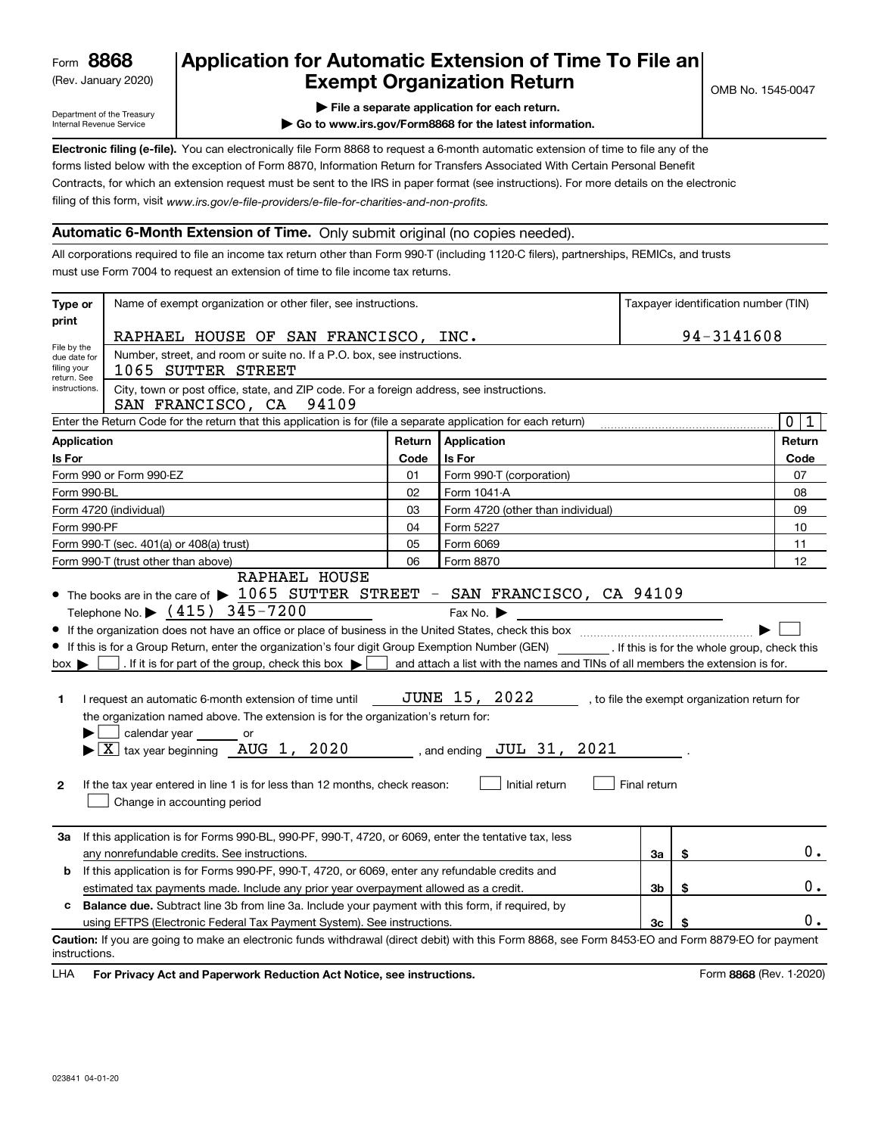(Rev. January 2020)

## **Application for Automatic Extension of Time To File an Exempt Organization Return**

Department of the Treasury Internal Revenue Service

**| File a separate application for each return.**

**| Go to www.irs.gov/Form8868 for the latest information.**

**Electronic filing (e-file).**  You can electronically file Form 8868 to request a 6-month automatic extension of time to file any of the filing of this form, visit www.irs.gov/e-file-providers/e-file-for-charities-and-non-profits. forms listed below with the exception of Form 8870, Information Return for Transfers Associated With Certain Personal Benefit Contracts, for which an extension request must be sent to the IRS in paper format (see instructions). For more details on the electronic

### **Automatic 6-Month Extension of Time.** Only submit original (no copies needed).

All corporations required to file an income tax return other than Form 990-T (including 1120-C filers), partnerships, REMICs, and trusts must use Form 7004 to request an extension of time to file income tax returns.

| Type or                                        | Name of exempt organization or other filer, see instructions.                                                                                                                                                                                                                                                                                                                                                                                                                                                                                                                                                                     |        |                                                                                                                                                                                                                                     | Taxpayer identification number (TIN) |    |                            |
|------------------------------------------------|-----------------------------------------------------------------------------------------------------------------------------------------------------------------------------------------------------------------------------------------------------------------------------------------------------------------------------------------------------------------------------------------------------------------------------------------------------------------------------------------------------------------------------------------------------------------------------------------------------------------------------------|--------|-------------------------------------------------------------------------------------------------------------------------------------------------------------------------------------------------------------------------------------|--------------------------------------|----|----------------------------|
| print                                          | RAPHAEL HOUSE OF SAN FRANCISCO, INC.                                                                                                                                                                                                                                                                                                                                                                                                                                                                                                                                                                                              |        |                                                                                                                                                                                                                                     | 94-3141608                           |    |                            |
| File by the<br>due date for<br>filing your     | Number, street, and room or suite no. If a P.O. box, see instructions.<br>1065 SUTTER STREET                                                                                                                                                                                                                                                                                                                                                                                                                                                                                                                                      |        |                                                                                                                                                                                                                                     |                                      |    |                            |
| return. See<br>instructions.                   | City, town or post office, state, and ZIP code. For a foreign address, see instructions.<br>SAN FRANCISCO, CA<br>94109                                                                                                                                                                                                                                                                                                                                                                                                                                                                                                            |        |                                                                                                                                                                                                                                     |                                      |    |                            |
|                                                | Enter the Return Code for the return that this application is for (file a separate application for each return)                                                                                                                                                                                                                                                                                                                                                                                                                                                                                                                   |        |                                                                                                                                                                                                                                     |                                      |    | $\mathbf 0$<br>$\mathbf 1$ |
| <b>Application</b>                             |                                                                                                                                                                                                                                                                                                                                                                                                                                                                                                                                                                                                                                   | Return | Application                                                                                                                                                                                                                         |                                      |    | Return                     |
| Is For                                         | Is For<br>Code                                                                                                                                                                                                                                                                                                                                                                                                                                                                                                                                                                                                                    |        |                                                                                                                                                                                                                                     |                                      |    | Code                       |
|                                                | Form 990 or Form 990-EZ                                                                                                                                                                                                                                                                                                                                                                                                                                                                                                                                                                                                           | 01     | Form 990-T (corporation)                                                                                                                                                                                                            |                                      |    | 07                         |
| Form 990-BL                                    |                                                                                                                                                                                                                                                                                                                                                                                                                                                                                                                                                                                                                                   | 02     | Form 1041-A                                                                                                                                                                                                                         |                                      |    | 08                         |
|                                                | Form 4720 (individual)                                                                                                                                                                                                                                                                                                                                                                                                                                                                                                                                                                                                            | 03     | Form 4720 (other than individual)                                                                                                                                                                                                   |                                      |    | 09                         |
| Form 990-PF                                    |                                                                                                                                                                                                                                                                                                                                                                                                                                                                                                                                                                                                                                   | 04     | Form 5227                                                                                                                                                                                                                           |                                      |    | 10                         |
|                                                | Form 990-T (sec. 401(a) or 408(a) trust)                                                                                                                                                                                                                                                                                                                                                                                                                                                                                                                                                                                          | 05     | Form 6069                                                                                                                                                                                                                           |                                      |    | 11                         |
|                                                | Form 990-T (trust other than above)<br>RAPHAEL HOUSE                                                                                                                                                                                                                                                                                                                                                                                                                                                                                                                                                                              | 06     | Form 8870                                                                                                                                                                                                                           |                                      |    | 12                         |
| $box \blacktriangleright$<br>1<br>$\mathbf{2}$ | Telephone No. $\blacktriangleright$ (415) 345-7200<br>If this is for a Group Return, enter the organization's four digit Group Exemption Number (GEN) [67] If this is for the whole group, check this<br>. If it is for part of the group, check this box $\blacktriangleright$<br>I request an automatic 6-month extension of time until<br>the organization named above. The extension is for the organization's return for:<br>calendar year or<br>$ \underline{X} $ tax year beginning $\overline{AUG}$ 1, 2020<br>If the tax year entered in line 1 is for less than 12 months, check reason:<br>Change in accounting period |        | Fax No. $\blacktriangleright$<br>and attach a list with the names and TINs of all members the extension is for.<br>JUNE 15, 2022 , to file the exempt organization return for<br>, and ending $JUL$ $31$ , $2021$<br>Initial return | Final return                         |    |                            |
| За                                             | If this application is for Forms 990-BL, 990-PF, 990-T, 4720, or 6069, enter the tentative tax, less<br>any nonrefundable credits. See instructions.                                                                                                                                                                                                                                                                                                                                                                                                                                                                              |        |                                                                                                                                                                                                                                     | За                                   | \$ | 0.                         |
| b                                              | If this application is for Forms 990-PF, 990-T, 4720, or 6069, enter any refundable credits and                                                                                                                                                                                                                                                                                                                                                                                                                                                                                                                                   |        |                                                                                                                                                                                                                                     |                                      |    |                            |
|                                                | estimated tax payments made. Include any prior year overpayment allowed as a credit.                                                                                                                                                                                                                                                                                                                                                                                                                                                                                                                                              |        |                                                                                                                                                                                                                                     | 3b                                   | \$ | 0.                         |
|                                                | <b>Balance due.</b> Subtract line 3b from line 3a. Include your payment with this form, if required, by                                                                                                                                                                                                                                                                                                                                                                                                                                                                                                                           |        |                                                                                                                                                                                                                                     |                                      |    |                            |
|                                                | using EFTPS (Electronic Federal Tax Payment System). See instructions.                                                                                                                                                                                                                                                                                                                                                                                                                                                                                                                                                            |        |                                                                                                                                                                                                                                     | 3 <sub>c</sub>                       |    | 0.                         |
| instructions.                                  | Caution: If you are going to make an electronic funds withdrawal (direct debit) with this Form 8868, see Form 8453-EO and Form 8879-EO for payment                                                                                                                                                                                                                                                                                                                                                                                                                                                                                |        |                                                                                                                                                                                                                                     |                                      |    |                            |

**HA** For Privacy Act and Paperwork Reduction Act Notice, see instructions. **But a struction of the Constantion Constant** Form 8868 (Rev. 1-2020) LHA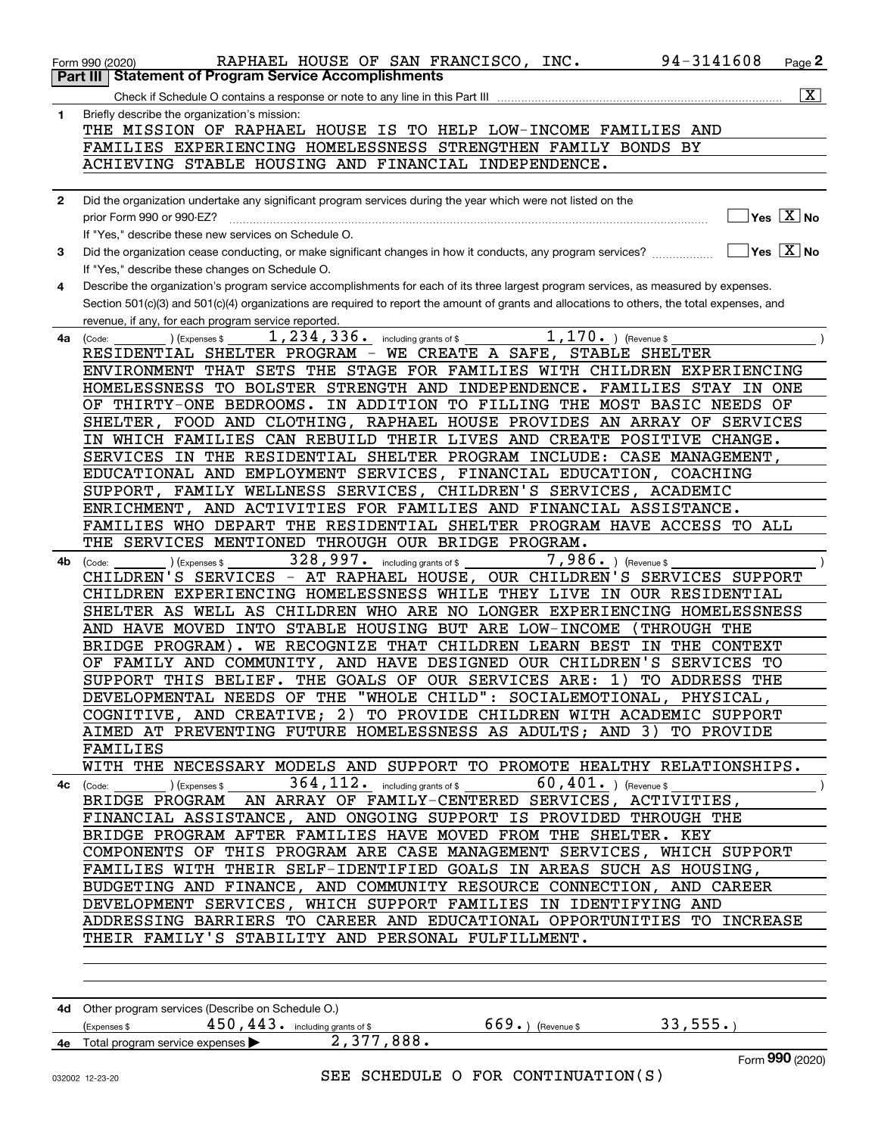|              | 94-3141608<br>RAPHAEL HOUSE OF SAN FRANCISCO, INC.<br>Page 2<br>Form 990 (2020)                                                                                                         |
|--------------|-----------------------------------------------------------------------------------------------------------------------------------------------------------------------------------------|
|              | <b>Statement of Program Service Accomplishments</b><br>Part III<br>$\overline{\mathtt{x}}$ )<br>Check if Schedule O contains a response or note to any line in this Part III            |
| 1            | Briefly describe the organization's mission:                                                                                                                                            |
|              | THE MISSION OF RAPHAEL HOUSE IS TO HELP LOW-INCOME FAMILIES AND                                                                                                                         |
|              | FAMILIES EXPERIENCING HOMELESSNESS STRENGTHEN FAMILY BONDS BY                                                                                                                           |
|              | ACHIEVING STABLE HOUSING AND FINANCIAL INDEPENDENCE.                                                                                                                                    |
| $\mathbf{2}$ | Did the organization undertake any significant program services during the year which were not listed on the                                                                            |
|              | $\sqrt{}$ Yes $\sqrt{}$ $\overline{\rm X}$ No<br>prior Form 990 or 990-EZ?                                                                                                              |
|              | If "Yes," describe these new services on Schedule O.                                                                                                                                    |
| 3            | $\sqrt{}$ Yes $\sqrt{}$ X $\sqrt{}$ No<br>Did the organization cease conducting, or make significant changes in how it conducts, any program services?                                  |
| 4            | If "Yes," describe these changes on Schedule O.<br>Describe the organization's program service accomplishments for each of its three largest program services, as measured by expenses. |
|              | Section 501(c)(3) and 501(c)(4) organizations are required to report the amount of grants and allocations to others, the total expenses, and                                            |
|              | revenue, if any, for each program service reported.                                                                                                                                     |
| 4a           | $1,170.$ (Revenue \$<br>1, 234, 336. including grants of \$<br>(Code:<br>(Expenses \$                                                                                                   |
|              | RESIDENTIAL SHELTER PROGRAM - WE CREATE A SAFE, STABLE SHELTER<br>ENVIRONMENT THAT SETS THE STAGE FOR FAMILIES WITH CHILDREN EXPERIENCING                                               |
|              | HOMELESSNESS TO BOLSTER STRENGTH AND INDEPENDENCE. FAMILIES STAY<br>IN ONE                                                                                                              |
|              | OF THIRTY-ONE BEDROOMS. IN ADDITION TO FILLING THE MOST BASIC NEEDS OF                                                                                                                  |
|              | SHELTER, FOOD AND CLOTHING, RAPHAEL HOUSE PROVIDES AN ARRAY OF SERVICES                                                                                                                 |
|              | IN WHICH FAMILIES CAN REBUILD THEIR LIVES AND CREATE POSITIVE CHANGE.                                                                                                                   |
|              | SERVICES IN THE RESIDENTIAL SHELTER PROGRAM INCLUDE: CASE MANAGEMENT,<br>EDUCATIONAL AND EMPLOYMENT SERVICES, FINANCIAL EDUCATION, COACHING                                             |
|              | SUPPORT, FAMILY WELLNESS SERVICES, CHILDREN'S SERVICES, ACADEMIC                                                                                                                        |
|              | AND ACTIVITIES FOR FAMILIES AND FINANCIAL ASSISTANCE.<br>ENRICHMENT,                                                                                                                    |
|              | FAMILIES WHO DEPART THE RESIDENTIAL SHELTER PROGRAM HAVE ACCESS TO ALL                                                                                                                  |
|              | THE SERVICES MENTIONED THROUGH OUR BRIDGE PROGRAM.                                                                                                                                      |
| 4b           | 328, 997. including grants of \$<br>$7,986.$ ) (Revenue \$<br>(Code:<br>(Expenses \$<br>CHILDREN'S SERVICES - AT RAPHAEL HOUSE, OUR CHILDREN'S SERVICES SUPPORT                         |
|              | CHILDREN EXPERIENCING HOMELESSNESS WHILE THEY LIVE IN OUR RESIDENTIAL                                                                                                                   |
|              | SHELTER AS WELL AS CHILDREN WHO ARE NO LONGER EXPERIENCING HOMELESSNESS                                                                                                                 |
|              | AND HAVE MOVED INTO STABLE HOUSING BUT ARE LOW-INCOME<br>THROUGH THE                                                                                                                    |
|              | BRIDGE PROGRAM). WE RECOGNIZE THAT CHILDREN LEARN BEST<br>IN THE CONTEXT<br>OF FAMILY AND COMMUNITY, AND HAVE DESIGNED OUR CHILDREN'S SERVICES TO                                       |
|              | SUPPORT THIS BELIEF. THE GOALS OF OUR SERVICES ARE:<br>1)<br>TO ADDRESS THE                                                                                                             |
|              | DEVELOPMENTAL NEEDS OF THE "WHOLE CHILD": SOCIALEMOTIONAL, PHYSICAL,                                                                                                                    |
|              | COGNITIVE, AND CREATIVE; 2) TO PROVIDE CHILDREN WITH ACADEMIC SUPPORT                                                                                                                   |
|              | AIMED AT PREVENTING FUTURE HOMELESSNESS AS ADULTS; AND 3) TO PROVIDE                                                                                                                    |
|              | FAMILIES<br>WITH THE NECESSARY MODELS AND SUPPORT TO PROMOTE HEALTHY RELATIONSHIPS.                                                                                                     |
|              | $\overline{\phantom{a}}$                                                                                                                                                                |
|              | BRIDGE PROGRAM AN ARRAY OF FAMILY-CENTERED SERVICES, ACTIVITIES,                                                                                                                        |
|              | FINANCIAL ASSISTANCE, AND ONGOING SUPPORT IS PROVIDED THROUGH THE                                                                                                                       |
|              | BRIDGE PROGRAM AFTER FAMILIES HAVE MOVED FROM THE SHELTER. KEY<br>COMPONENTS OF THIS PROGRAM ARE CASE MANAGEMENT SERVICES, WHICH SUPPORT                                                |
|              | FAMILIES WITH THEIR SELF-IDENTIFIED GOALS IN AREAS SUCH AS HOUSING,                                                                                                                     |
|              | BUDGETING AND FINANCE, AND COMMUNITY RESOURCE CONNECTION, AND CAREER                                                                                                                    |
|              | DEVELOPMENT SERVICES, WHICH SUPPORT FAMILIES IN IDENTIFYING AND                                                                                                                         |
|              | ADDRESSING BARRIERS TO CAREER AND EDUCATIONAL OPPORTUNITIES TO INCREASE                                                                                                                 |
|              | THEIR FAMILY'S STABILITY AND PERSONAL FULFILLMENT.                                                                                                                                      |
|              |                                                                                                                                                                                         |
|              |                                                                                                                                                                                         |
|              | 4d Other program services (Describe on Schedule O.)                                                                                                                                     |
|              | 669.) (Revenue \$93,555.)<br>$450$ , $443$ or including grants of \$<br>(Express \$<br>4e Total program service expenses 2, 377, 888.                                                   |
|              | Form 990 (2020)                                                                                                                                                                         |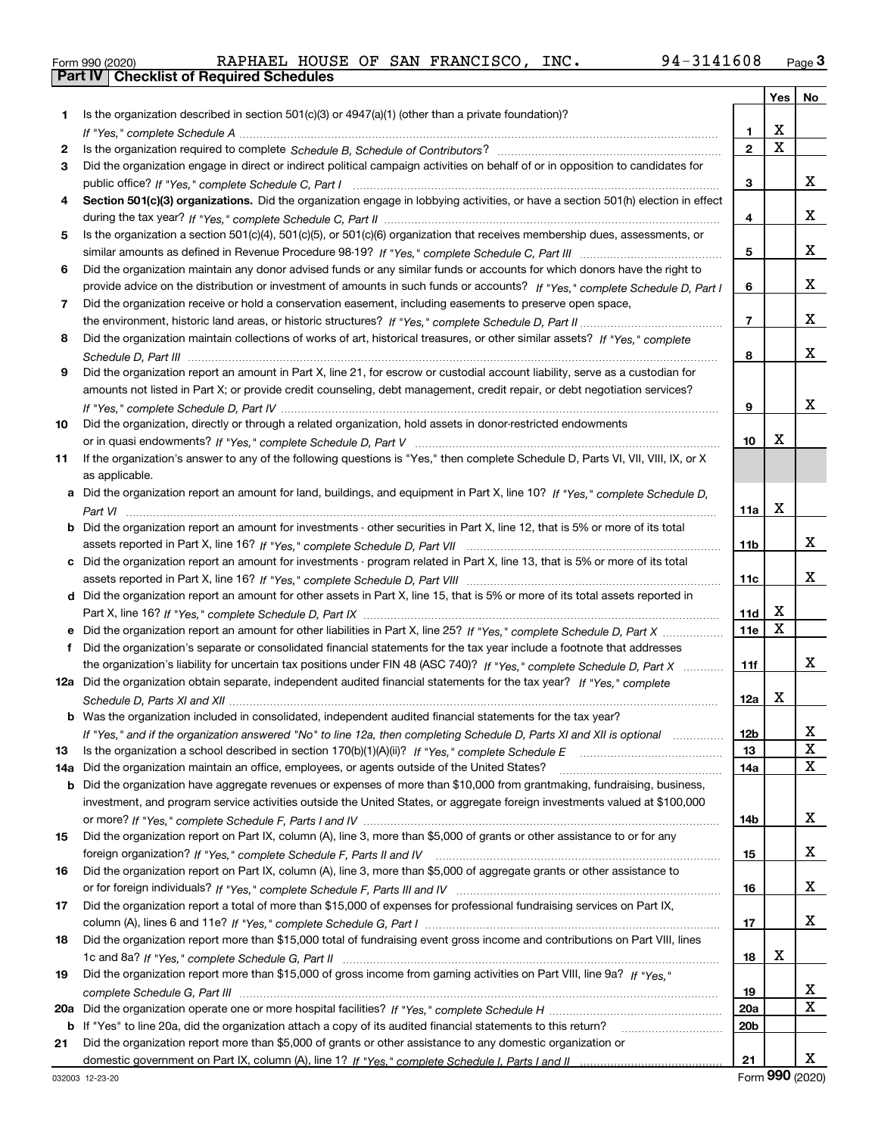|  | Form 990 (2020) |
|--|-----------------|

|     |                                                                                                                                                                                                                                |                 | Yes   No |    |
|-----|--------------------------------------------------------------------------------------------------------------------------------------------------------------------------------------------------------------------------------|-----------------|----------|----|
| 1   | Is the organization described in section 501(c)(3) or 4947(a)(1) (other than a private foundation)?                                                                                                                            |                 |          |    |
|     |                                                                                                                                                                                                                                | 1               | х        |    |
| 2   | Is the organization required to complete Schedule B, Schedule of Contributors? [11] Content of Content of Content of Contributors? [11] All of Contributors and Content of Content of the Organization required to complete th | $\overline{2}$  | X        |    |
| 3   | Did the organization engage in direct or indirect political campaign activities on behalf of or in opposition to candidates for                                                                                                |                 |          |    |
|     |                                                                                                                                                                                                                                | 3               |          | x  |
| 4   | Section 501(c)(3) organizations. Did the organization engage in lobbying activities, or have a section 501(h) election in effect                                                                                               |                 |          |    |
|     |                                                                                                                                                                                                                                | 4               |          | x  |
| 5   | Is the organization a section 501(c)(4), 501(c)(5), or 501(c)(6) organization that receives membership dues, assessments, or                                                                                                   |                 |          |    |
|     |                                                                                                                                                                                                                                | 5               |          | x  |
| 6   | Did the organization maintain any donor advised funds or any similar funds or accounts for which donors have the right to                                                                                                      |                 |          |    |
|     | provide advice on the distribution or investment of amounts in such funds or accounts? If "Yes," complete Schedule D, Part I                                                                                                   | 6               |          | x  |
| 7   | Did the organization receive or hold a conservation easement, including easements to preserve open space,                                                                                                                      |                 |          |    |
|     |                                                                                                                                                                                                                                | $\overline{7}$  |          | x  |
| 8   | Did the organization maintain collections of works of art, historical treasures, or other similar assets? If "Yes," complete                                                                                                   |                 |          |    |
|     |                                                                                                                                                                                                                                | 8               |          | x  |
| 9   | Did the organization report an amount in Part X, line 21, for escrow or custodial account liability, serve as a custodian for                                                                                                  |                 |          |    |
|     | amounts not listed in Part X; or provide credit counseling, debt management, credit repair, or debt negotiation services?                                                                                                      |                 |          |    |
|     |                                                                                                                                                                                                                                | 9               |          | x  |
| 10  | Did the organization, directly or through a related organization, hold assets in donor-restricted endowments                                                                                                                   |                 |          |    |
|     |                                                                                                                                                                                                                                | 10              | х        |    |
| 11  | If the organization's answer to any of the following questions is "Yes," then complete Schedule D, Parts VI, VII, VIII, IX, or X                                                                                               |                 |          |    |
|     | as applicable.                                                                                                                                                                                                                 |                 |          |    |
|     | Did the organization report an amount for land, buildings, and equipment in Part X, line 10? If "Yes," complete Schedule D,                                                                                                    |                 | х        |    |
|     |                                                                                                                                                                                                                                | 11a             |          |    |
| b   | Did the organization report an amount for investments - other securities in Part X, line 12, that is 5% or more of its total                                                                                                   |                 |          | x  |
|     |                                                                                                                                                                                                                                | 11 <sub>b</sub> |          |    |
| c   | Did the organization report an amount for investments - program related in Part X, line 13, that is 5% or more of its total                                                                                                    | 11c             |          | x  |
| d   | Did the organization report an amount for other assets in Part X, line 15, that is 5% or more of its total assets reported in                                                                                                  |                 |          |    |
|     |                                                                                                                                                                                                                                | 11d             | x        |    |
|     |                                                                                                                                                                                                                                | <b>11e</b>      | X        |    |
| f   | Did the organization's separate or consolidated financial statements for the tax year include a footnote that addresses                                                                                                        |                 |          |    |
|     | the organization's liability for uncertain tax positions under FIN 48 (ASC 740)? If "Yes," complete Schedule D, Part X                                                                                                         | 11f             |          | x  |
|     | 12a Did the organization obtain separate, independent audited financial statements for the tax year? If "Yes," complete                                                                                                        |                 |          |    |
|     |                                                                                                                                                                                                                                | 12a             | х        |    |
|     | <b>b</b> Was the organization included in consolidated, independent audited financial statements for the tax year?                                                                                                             |                 |          |    |
|     | If "Yes," and if the organization answered "No" to line 12a, then completing Schedule D, Parts XI and XII is optional                                                                                                          | 12 <sub>b</sub> |          | 47 |
| 13  | Is the organization a school described in section 170(b)(1)(A)(ii)? If "Yes," complete Schedule E                                                                                                                              | 13              |          | X  |
| 14a | Did the organization maintain an office, employees, or agents outside of the United States?                                                                                                                                    | 14a             |          | X  |
| b   | Did the organization have aggregate revenues or expenses of more than \$10,000 from grantmaking, fundraising, business,                                                                                                        |                 |          |    |
|     | investment, and program service activities outside the United States, or aggregate foreign investments valued at \$100,000                                                                                                     |                 |          |    |
|     |                                                                                                                                                                                                                                | 14b             |          | x  |
| 15  | Did the organization report on Part IX, column (A), line 3, more than \$5,000 of grants or other assistance to or for any                                                                                                      |                 |          |    |
|     |                                                                                                                                                                                                                                | 15              |          | X  |
| 16  | Did the organization report on Part IX, column (A), line 3, more than \$5,000 of aggregate grants or other assistance to                                                                                                       |                 |          |    |
|     |                                                                                                                                                                                                                                | 16              |          | x  |
| 17  | Did the organization report a total of more than \$15,000 of expenses for professional fundraising services on Part IX,                                                                                                        |                 |          |    |
|     |                                                                                                                                                                                                                                | 17              |          | x  |
| 18  | Did the organization report more than \$15,000 total of fundraising event gross income and contributions on Part VIII, lines                                                                                                   |                 |          |    |
|     |                                                                                                                                                                                                                                | 18              | х        |    |
| 19  | Did the organization report more than \$15,000 of gross income from gaming activities on Part VIII, line 9a? If "Yes."                                                                                                         |                 |          |    |
|     |                                                                                                                                                                                                                                | 19              |          | x  |
| 20a |                                                                                                                                                                                                                                | 20a             |          | x  |
| b   | If "Yes" to line 20a, did the organization attach a copy of its audited financial statements to this return?                                                                                                                   | 20 <sub>b</sub> |          |    |
| 21  | Did the organization report more than \$5,000 of grants or other assistance to any domestic organization or                                                                                                                    |                 |          |    |
|     |                                                                                                                                                                                                                                | 21              |          | x  |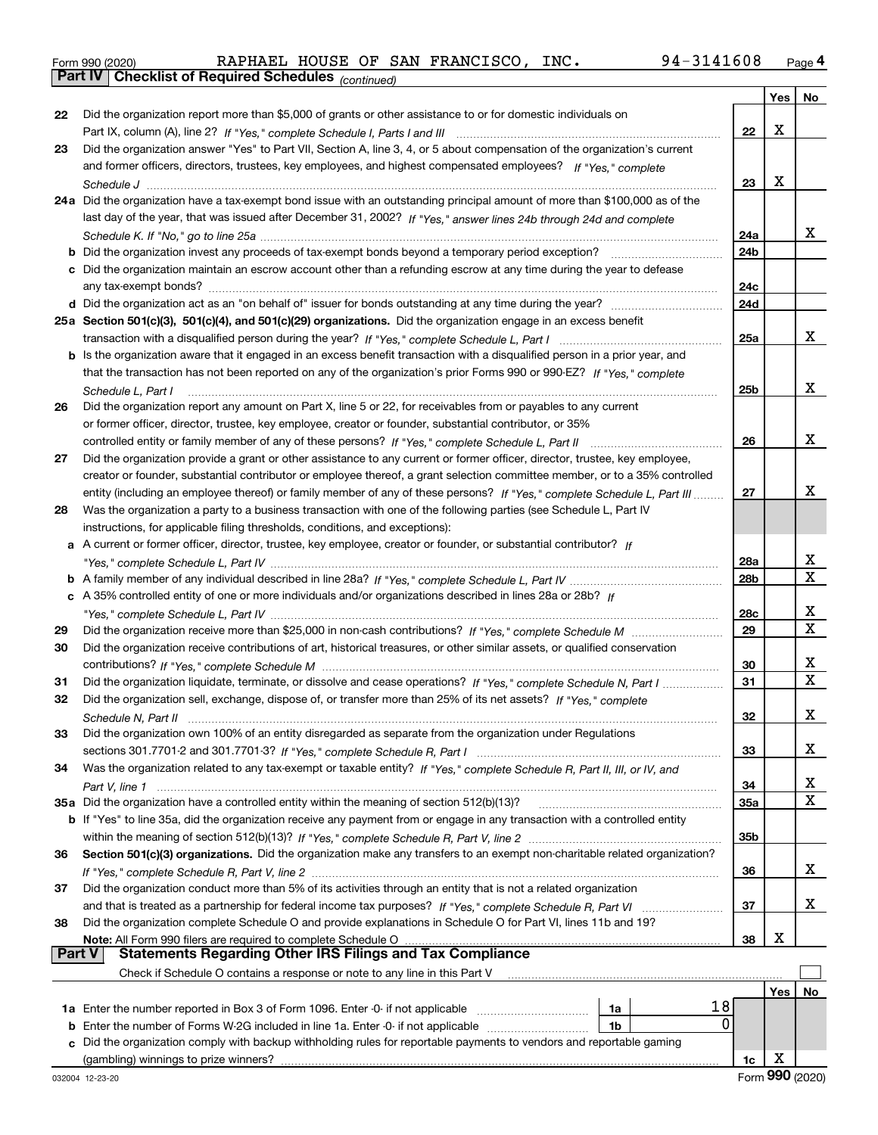|  | Form 990 (2020) |
|--|-----------------|
|  |                 |

*(continued)*

|               |                                                                                                                              |                 | Yes | No          |
|---------------|------------------------------------------------------------------------------------------------------------------------------|-----------------|-----|-------------|
| 22            | Did the organization report more than \$5,000 of grants or other assistance to or for domestic individuals on                |                 |     |             |
|               |                                                                                                                              | 22              | X   |             |
| 23            | Did the organization answer "Yes" to Part VII, Section A, line 3, 4, or 5 about compensation of the organization's current   |                 |     |             |
|               | and former officers, directors, trustees, key employees, and highest compensated employees? If "Yes," complete               |                 |     |             |
|               |                                                                                                                              | 23              | X   |             |
|               | 24a Did the organization have a tax-exempt bond issue with an outstanding principal amount of more than \$100,000 as of the  |                 |     |             |
|               | last day of the year, that was issued after December 31, 2002? If "Yes," answer lines 24b through 24d and complete           |                 |     |             |
|               |                                                                                                                              | 24a             |     | x           |
|               |                                                                                                                              | 24 <sub>b</sub> |     |             |
|               | c Did the organization maintain an escrow account other than a refunding escrow at any time during the year to defease       |                 |     |             |
|               |                                                                                                                              | 24c             |     |             |
|               |                                                                                                                              | 24d             |     |             |
|               | 25a Section 501(c)(3), 501(c)(4), and 501(c)(29) organizations. Did the organization engage in an excess benefit             |                 |     |             |
|               |                                                                                                                              | 25a             |     | x           |
|               | b Is the organization aware that it engaged in an excess benefit transaction with a disqualified person in a prior year, and |                 |     |             |
|               | that the transaction has not been reported on any of the organization's prior Forms 990 or 990-EZ? If "Yes," complete        |                 |     |             |
|               | Schedule L, Part I                                                                                                           | 25 <sub>b</sub> |     | x           |
| 26            | Did the organization report any amount on Part X, line 5 or 22, for receivables from or payables to any current              |                 |     |             |
|               | or former officer, director, trustee, key employee, creator or founder, substantial contributor, or 35%                      |                 |     |             |
|               | controlled entity or family member of any of these persons? If "Yes," complete Schedule L, Part II                           | 26              |     | x           |
| 27            | Did the organization provide a grant or other assistance to any current or former officer, director, trustee, key employee,  |                 |     |             |
|               | creator or founder, substantial contributor or employee thereof, a grant selection committee member, or to a 35% controlled  |                 |     |             |
|               | entity (including an employee thereof) or family member of any of these persons? If "Yes," complete Schedule L, Part III     | 27              |     | х           |
| 28            | Was the organization a party to a business transaction with one of the following parties (see Schedule L, Part IV            |                 |     |             |
|               | instructions, for applicable filing thresholds, conditions, and exceptions):                                                 |                 |     |             |
|               | a A current or former officer, director, trustee, key employee, creator or founder, or substantial contributor? If           |                 |     |             |
|               |                                                                                                                              | 28a             |     | х           |
|               |                                                                                                                              | 28b             |     | $\mathbf x$ |
|               | c A 35% controlled entity of one or more individuals and/or organizations described in lines 28a or 28b? If                  |                 |     |             |
|               |                                                                                                                              | 28c             |     | X           |
| 29            |                                                                                                                              | 29              |     | $\mathbf x$ |
| 30            | Did the organization receive contributions of art, historical treasures, or other similar assets, or qualified conservation  |                 |     |             |
|               |                                                                                                                              | 30              |     | х           |
| 31            | Did the organization liquidate, terminate, or dissolve and cease operations? If "Yes," complete Schedule N, Part I           | 31              |     | $\mathbf x$ |
| 32            | Did the organization sell, exchange, dispose of, or transfer more than 25% of its net assets? If "Yes," complete             |                 |     |             |
|               |                                                                                                                              | 32              |     | х           |
|               | Did the organization own 100% of an entity disregarded as separate from the organization under Regulations                   |                 |     |             |
|               |                                                                                                                              | 33              |     | х           |
| 34            | Was the organization related to any tax-exempt or taxable entity? If "Yes," complete Schedule R, Part II, III, or IV, and    |                 |     |             |
|               |                                                                                                                              | 34              |     | x           |
|               | 35a Did the organization have a controlled entity within the meaning of section 512(b)(13)?                                  | <b>35a</b>      |     | X           |
|               | b If "Yes" to line 35a, did the organization receive any payment from or engage in any transaction with a controlled entity  |                 |     |             |
|               |                                                                                                                              | 35b             |     |             |
| 36            | Section 501(c)(3) organizations. Did the organization make any transfers to an exempt non-charitable related organization?   |                 |     |             |
|               |                                                                                                                              | 36              |     | х           |
| 37            | Did the organization conduct more than 5% of its activities through an entity that is not a related organization             |                 |     |             |
|               |                                                                                                                              | 37              |     | х           |
| 38            | Did the organization complete Schedule O and provide explanations in Schedule O for Part VI, lines 11b and 19?               |                 |     |             |
| <b>Part V</b> | <b>Statements Regarding Other IRS Filings and Tax Compliance</b>                                                             | 38              | х   |             |
|               | Check if Schedule O contains a response or note to any line in this Part V                                                   |                 |     |             |
|               |                                                                                                                              |                 | Yes | No          |
|               | 18<br>1a                                                                                                                     |                 |     |             |
| b             | 0<br>Enter the number of Forms W-2G included in line 1a. Enter -0- if not applicable<br>1b                                   |                 |     |             |
|               | c Did the organization comply with backup withholding rules for reportable payments to vendors and reportable gaming         |                 |     |             |
|               |                                                                                                                              | 1c              | X   |             |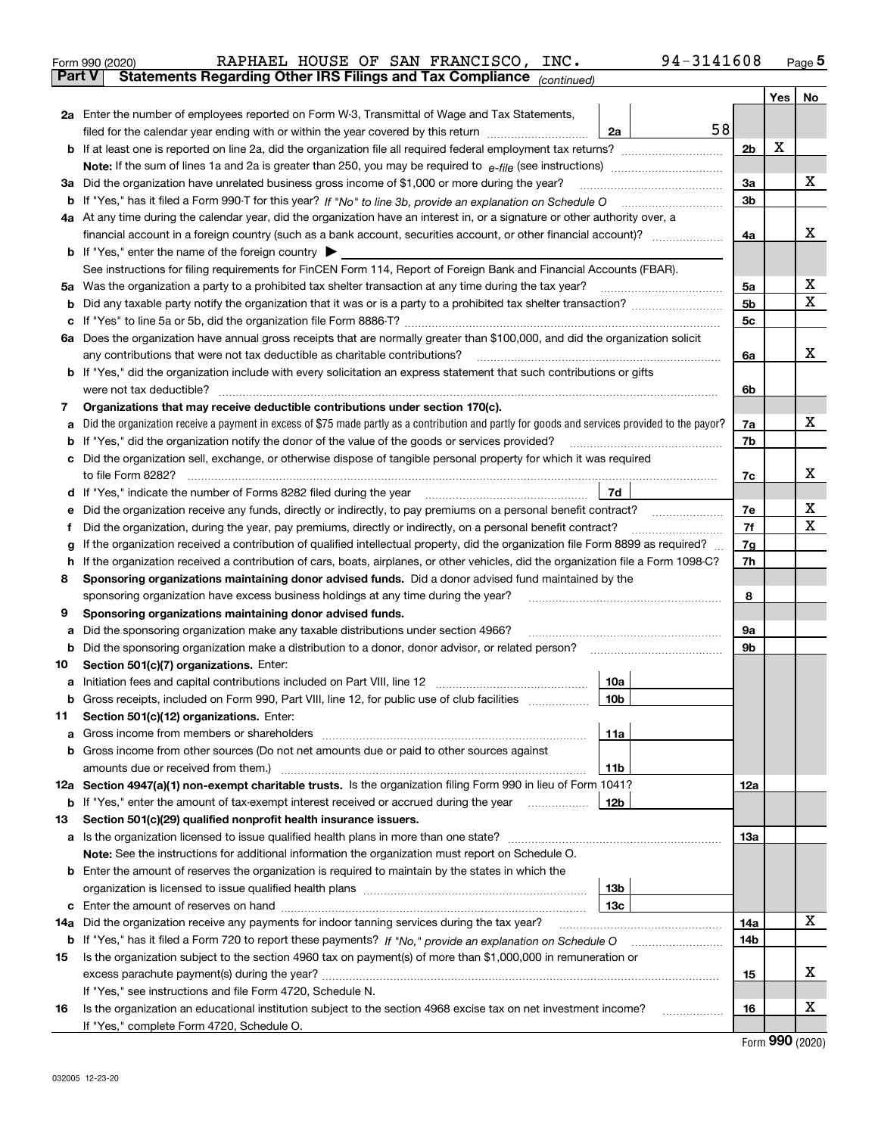|               | 94-3141608<br>RAPHAEL HOUSE OF SAN FRANCISCO,<br>INC.<br>Form 990 (2020)                                                                                                                                                            |                      |     | Page $5$ |
|---------------|-------------------------------------------------------------------------------------------------------------------------------------------------------------------------------------------------------------------------------------|----------------------|-----|----------|
| <b>Part V</b> | Statements Regarding Other IRS Filings and Tax Compliance (continued)                                                                                                                                                               |                      |     |          |
|               |                                                                                                                                                                                                                                     |                      | Yes | No       |
|               | 2a Enter the number of employees reported on Form W-3, Transmittal of Wage and Tax Statements,                                                                                                                                      |                      |     |          |
|               | 58<br>filed for the calendar year ending with or within the year covered by this return<br>2a                                                                                                                                       |                      |     |          |
|               |                                                                                                                                                                                                                                     | 2 <sub>b</sub>       | X   |          |
|               |                                                                                                                                                                                                                                     |                      |     |          |
|               | 3a Did the organization have unrelated business gross income of \$1,000 or more during the year?                                                                                                                                    | 3a                   |     | x        |
|               |                                                                                                                                                                                                                                     | 3 <sub>b</sub>       |     |          |
|               | 4a At any time during the calendar year, did the organization have an interest in, or a signature or other authority over, a                                                                                                        |                      |     |          |
|               | financial account in a foreign country (such as a bank account, securities account, or other financial account)?                                                                                                                    | 4a                   |     | x        |
|               | <b>b</b> If "Yes," enter the name of the foreign country $\blacktriangleright$                                                                                                                                                      |                      |     |          |
|               | See instructions for filing requirements for FinCEN Form 114, Report of Foreign Bank and Financial Accounts (FBAR).                                                                                                                 |                      |     | х        |
|               |                                                                                                                                                                                                                                     | 5a<br>5 <sub>b</sub> |     | x        |
| b             |                                                                                                                                                                                                                                     | 5с                   |     |          |
| c             | 6a Does the organization have annual gross receipts that are normally greater than \$100,000, and did the organization solicit                                                                                                      |                      |     |          |
|               |                                                                                                                                                                                                                                     | 6a                   |     | x        |
|               | <b>b</b> If "Yes," did the organization include with every solicitation an express statement that such contributions or gifts                                                                                                       |                      |     |          |
|               |                                                                                                                                                                                                                                     | 6b                   |     |          |
| 7             | Organizations that may receive deductible contributions under section 170(c).                                                                                                                                                       |                      |     |          |
| a             | Did the organization receive a payment in excess of \$75 made partly as a contribution and partly for goods and services provided to the payor?                                                                                     | 7a                   |     | х        |
| b             | If "Yes," did the organization notify the donor of the value of the goods or services provided?                                                                                                                                     | 7b                   |     |          |
| c             | Did the organization sell, exchange, or otherwise dispose of tangible personal property for which it was required                                                                                                                   |                      |     |          |
|               |                                                                                                                                                                                                                                     | 7c                   |     | х        |
|               | 7d<br>d If "Yes," indicate the number of Forms 8282 filed during the year [11,111] The set response to the number of Forms 8282 filed during the year                                                                               |                      |     |          |
| е             |                                                                                                                                                                                                                                     | 7e                   |     | х        |
| f             | Did the organization, during the year, pay premiums, directly or indirectly, on a personal benefit contract?                                                                                                                        | 7f                   |     | х        |
| g             | If the organization received a contribution of qualified intellectual property, did the organization file Form 8899 as required?                                                                                                    | 7g                   |     |          |
| h.            | If the organization received a contribution of cars, boats, airplanes, or other vehicles, did the organization file a Form 1098-C?                                                                                                  | 7h                   |     |          |
| 8             | Sponsoring organizations maintaining donor advised funds. Did a donor advised fund maintained by the                                                                                                                                |                      |     |          |
|               | sponsoring organization have excess business holdings at any time during the year?                                                                                                                                                  | 8                    |     |          |
| 9             | Sponsoring organizations maintaining donor advised funds.                                                                                                                                                                           |                      |     |          |
| а             | Did the sponsoring organization make any taxable distributions under section 4966?                                                                                                                                                  | <b>9a</b>            |     |          |
| b             | Did the sponsoring organization make a distribution to a donor, donor advisor, or related person?                                                                                                                                   | 9b                   |     |          |
| 10            | Section 501(c)(7) organizations. Enter:                                                                                                                                                                                             |                      |     |          |
|               | 10a                                                                                                                                                                                                                                 |                      |     |          |
|               | 10b <br>Gross receipts, included on Form 990, Part VIII, line 12, for public use of club facilities                                                                                                                                 |                      |     |          |
| 11            | Section 501(c)(12) organizations. Enter:                                                                                                                                                                                            |                      |     |          |
|               | <b>a</b> Gross income from members or shareholders<br>11a                                                                                                                                                                           |                      |     |          |
| b             | Gross income from other sources (Do not net amounts due or paid to other sources against                                                                                                                                            |                      |     |          |
|               | 11b                                                                                                                                                                                                                                 |                      |     |          |
|               | 12a Section 4947(a)(1) non-exempt charitable trusts. Is the organization filing Form 990 in lieu of Form 1041?                                                                                                                      | 12a                  |     |          |
|               | 12b<br><b>b</b> If "Yes," enter the amount of tax-exempt interest received or accrued during the year <i>manument</i> of                                                                                                            |                      |     |          |
| 13            | Section 501(c)(29) qualified nonprofit health insurance issuers.                                                                                                                                                                    |                      |     |          |
|               | a Is the organization licensed to issue qualified health plans in more than one state?                                                                                                                                              | 13a                  |     |          |
|               | Note: See the instructions for additional information the organization must report on Schedule O.                                                                                                                                   |                      |     |          |
| b             | Enter the amount of reserves the organization is required to maintain by the states in which the                                                                                                                                    |                      |     |          |
|               | 13b                                                                                                                                                                                                                                 |                      |     |          |
|               | 13с                                                                                                                                                                                                                                 |                      |     | x        |
| 14a           | Did the organization receive any payments for indoor tanning services during the tax year?                                                                                                                                          | 14a<br>14b           |     |          |
| 15            | <b>b</b> If "Yes," has it filed a Form 720 to report these payments? If "No," provide an explanation on Schedule O<br>Is the organization subject to the section 4960 tax on payment(s) of more than \$1,000,000 in remuneration or |                      |     |          |
|               |                                                                                                                                                                                                                                     | 15                   |     | x        |
|               | If "Yes," see instructions and file Form 4720, Schedule N.                                                                                                                                                                          |                      |     |          |
| 16            | Is the organization an educational institution subject to the section 4968 excise tax on net investment income?                                                                                                                     | 16                   |     | х        |
|               |                                                                                                                                                                                                                                     |                      |     |          |

Form (2020) **990**

If "Yes," complete Form 4720, Schedule O.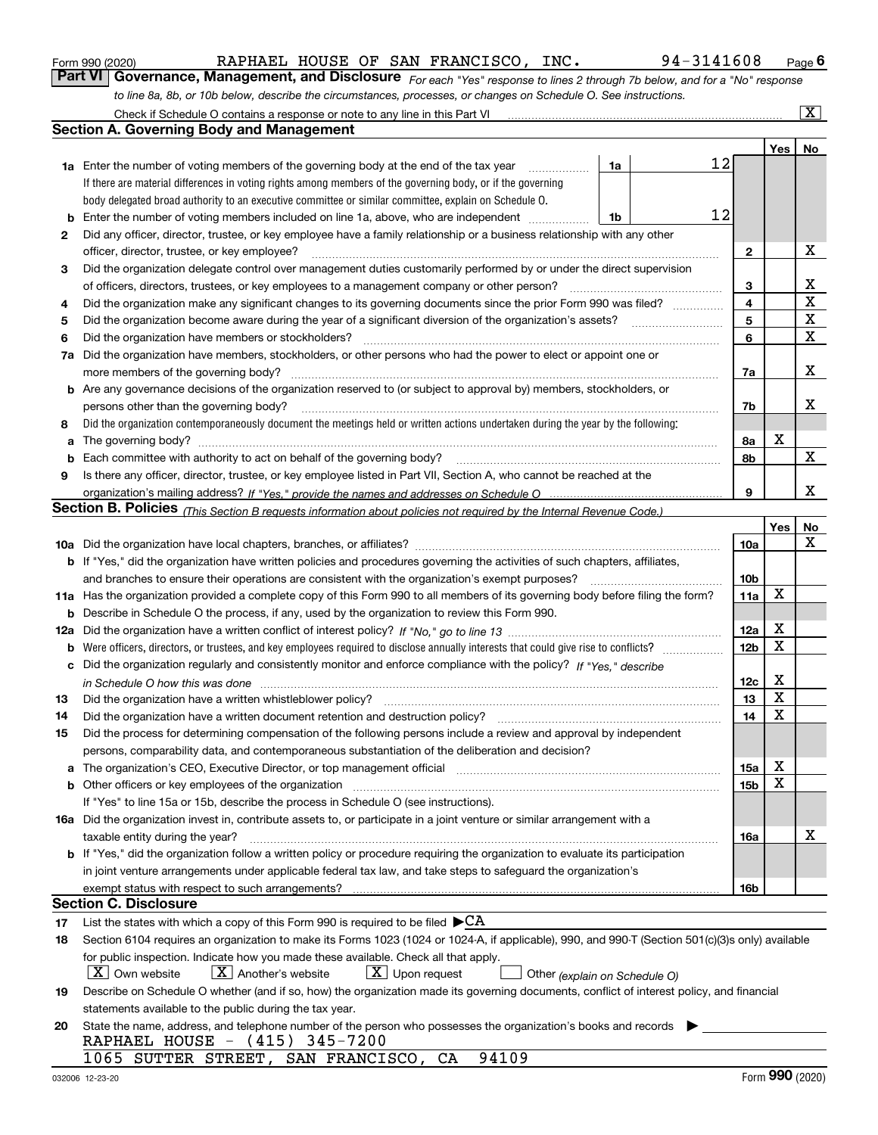|  | Form 990 (2020) |
|--|-----------------|
|  |                 |

RAPHAEL HOUSE OF SAN FRANCISCO, INC. 94-3141608

*For each "Yes" response to lines 2 through 7b below, and for a "No" response to line 8a, 8b, or 10b below, describe the circumstances, processes, or changes on Schedule O. See instructions.* Form 990 (2020) **CONVERTIGE BRANCES AND FRANCESCO, INC.** Page 6 Page 6 Page 6 Page 6 Page 6 Page 6 Page 6 Page 6 Page 6 Page 6 Page 6 Page 6 Page 6 Page 6 Page 6 Page 6 Page 6 Page 6 Page 6 Page 6 Page 6 Page 6 Page 7 Page

|     | Check if Schedule O contains a response or note to any line in this Part VI                                                                                                                                                   |    |                 |             | $\overline{\mathbf{X}}$ |
|-----|-------------------------------------------------------------------------------------------------------------------------------------------------------------------------------------------------------------------------------|----|-----------------|-------------|-------------------------|
|     | <b>Section A. Governing Body and Management</b>                                                                                                                                                                               |    |                 |             |                         |
|     |                                                                                                                                                                                                                               |    |                 | Yes         | No                      |
|     | <b>1a</b> Enter the number of voting members of the governing body at the end of the tax year<br>.                                                                                                                            | 1a | 12              |             |                         |
|     | If there are material differences in voting rights among members of the governing body, or if the governing                                                                                                                   |    |                 |             |                         |
|     | body delegated broad authority to an executive committee or similar committee, explain on Schedule O.                                                                                                                         |    |                 |             |                         |
| b   | Enter the number of voting members included on line 1a, above, who are independent                                                                                                                                            | 1b | 12              |             |                         |
| 2   | Did any officer, director, trustee, or key employee have a family relationship or a business relationship with any other                                                                                                      |    |                 |             |                         |
|     | officer, director, trustee, or key employee?                                                                                                                                                                                  |    | $\mathbf{2}$    |             | X                       |
| 3   | Did the organization delegate control over management duties customarily performed by or under the direct supervision                                                                                                         |    |                 |             |                         |
|     | of officers, directors, trustees, or key employees to a management company or other person?                                                                                                                                   |    | 3               |             | х                       |
| 4   | Did the organization make any significant changes to its governing documents since the prior Form 990 was filed?                                                                                                              |    | 4               |             | $\mathbf X$             |
| 5   | Did the organization become aware during the year of a significant diversion of the organization's assets?                                                                                                                    |    | 5               |             | $\mathbf X$             |
| 6   | Did the organization have members or stockholders?                                                                                                                                                                            |    | 6               |             | $\mathbf X$             |
| 7a  | Did the organization have members, stockholders, or other persons who had the power to elect or appoint one or                                                                                                                |    |                 |             |                         |
|     | more members of the governing body?                                                                                                                                                                                           |    | 7a              |             | х                       |
|     | <b>b</b> Are any governance decisions of the organization reserved to (or subject to approval by) members, stockholders, or                                                                                                   |    |                 |             |                         |
|     | persons other than the governing body?                                                                                                                                                                                        |    | 7b              |             | x                       |
| 8   | Did the organization contemporaneously document the meetings held or written actions undertaken during the year by the following:                                                                                             |    |                 |             |                         |
| a   |                                                                                                                                                                                                                               |    | 8а              | X           |                         |
| b   |                                                                                                                                                                                                                               |    | 8b              |             | X                       |
| 9   | Is there any officer, director, trustee, or key employee listed in Part VII, Section A, who cannot be reached at the                                                                                                          |    |                 |             |                         |
|     |                                                                                                                                                                                                                               |    | 9               |             | х                       |
|     | Section B. Policies <sub>(This Section B requests information about policies not required by the Internal Revenue Code.)</sub>                                                                                                |    |                 |             |                         |
|     |                                                                                                                                                                                                                               |    |                 | Yes         | No                      |
|     |                                                                                                                                                                                                                               |    | 10a             |             | X                       |
|     | <b>b</b> If "Yes," did the organization have written policies and procedures governing the activities of such chapters, affiliates,                                                                                           |    |                 |             |                         |
|     | and branches to ensure their operations are consistent with the organization's exempt purposes?                                                                                                                               |    | 10 <sub>b</sub> |             |                         |
|     | 11a Has the organization provided a complete copy of this Form 990 to all members of its governing body before filing the form?                                                                                               |    | 11a             | $\mathbf X$ |                         |
| b   | Describe in Schedule O the process, if any, used by the organization to review this Form 990.                                                                                                                                 |    |                 |             |                         |
| 12a |                                                                                                                                                                                                                               |    | 12a             | X           |                         |
| b   |                                                                                                                                                                                                                               |    | 12 <sub>b</sub> | X           |                         |
| с   | Did the organization regularly and consistently monitor and enforce compliance with the policy? If "Yes." describe                                                                                                            |    |                 |             |                         |
|     | in Schedule O how this was done www.communication.com/www.communication.com/www.communication.com/www.communic                                                                                                                |    | 12c             | X           |                         |
| 13  | Did the organization have a written whistleblower policy?                                                                                                                                                                     |    | 13              | X           |                         |
| 14  | Did the organization have a written document retention and destruction policy?                                                                                                                                                |    | 14              | X           |                         |
| 15  | Did the process for determining compensation of the following persons include a review and approval by independent                                                                                                            |    |                 |             |                         |
|     | persons, comparability data, and contemporaneous substantiation of the deliberation and decision?                                                                                                                             |    |                 |             |                         |
| a   | The organization's CEO, Executive Director, or top management official manufactured content content of the organization's CEO, Executive Director, or top management official manufactured content of the organization's CEO, |    | 15a             | X           |                         |
|     | <b>b</b> Other officers or key employees of the organization                                                                                                                                                                  |    | 15 <sub>b</sub> | X           |                         |
|     | If "Yes" to line 15a or 15b, describe the process in Schedule O (see instructions).                                                                                                                                           |    |                 |             |                         |
|     | 16a Did the organization invest in, contribute assets to, or participate in a joint venture or similar arrangement with a                                                                                                     |    |                 |             |                         |
|     | taxable entity during the year?                                                                                                                                                                                               |    | 16a             |             | x                       |
|     | b If "Yes," did the organization follow a written policy or procedure requiring the organization to evaluate its participation                                                                                                |    |                 |             |                         |
|     | in joint venture arrangements under applicable federal tax law, and take steps to safeguard the organization's                                                                                                                |    |                 |             |                         |
|     | exempt status with respect to such arrangements?                                                                                                                                                                              |    | 16b             |             |                         |
|     | <b>Section C. Disclosure</b>                                                                                                                                                                                                  |    |                 |             |                         |
| 17  | List the states with which a copy of this Form 990 is required to be filed $\blacktriangleright$ CA                                                                                                                           |    |                 |             |                         |
| 18  | Section 6104 requires an organization to make its Forms 1023 (1024 or 1024-A, if applicable), 990, and 990-T (Section 501(c)(3)s only) available                                                                              |    |                 |             |                         |
|     | for public inspection. Indicate how you made these available. Check all that apply.                                                                                                                                           |    |                 |             |                         |
|     | $X$ Own website<br>$X$ Another's website<br>$\lfloor x \rfloor$ Upon request<br>Other (explain on Schedule O)                                                                                                                 |    |                 |             |                         |
| 19  | Describe on Schedule O whether (and if so, how) the organization made its governing documents, conflict of interest policy, and financial                                                                                     |    |                 |             |                         |
|     | statements available to the public during the tax year.                                                                                                                                                                       |    |                 |             |                         |
| 20  | State the name, address, and telephone number of the person who possesses the organization's books and records                                                                                                                |    |                 |             |                         |
|     | RAPHAEL HOUSE - (415) 345-7200                                                                                                                                                                                                |    |                 |             |                         |
|     | 94109<br>1065 SUTTER STREET, SAN FRANCISCO, CA                                                                                                                                                                                |    |                 |             |                         |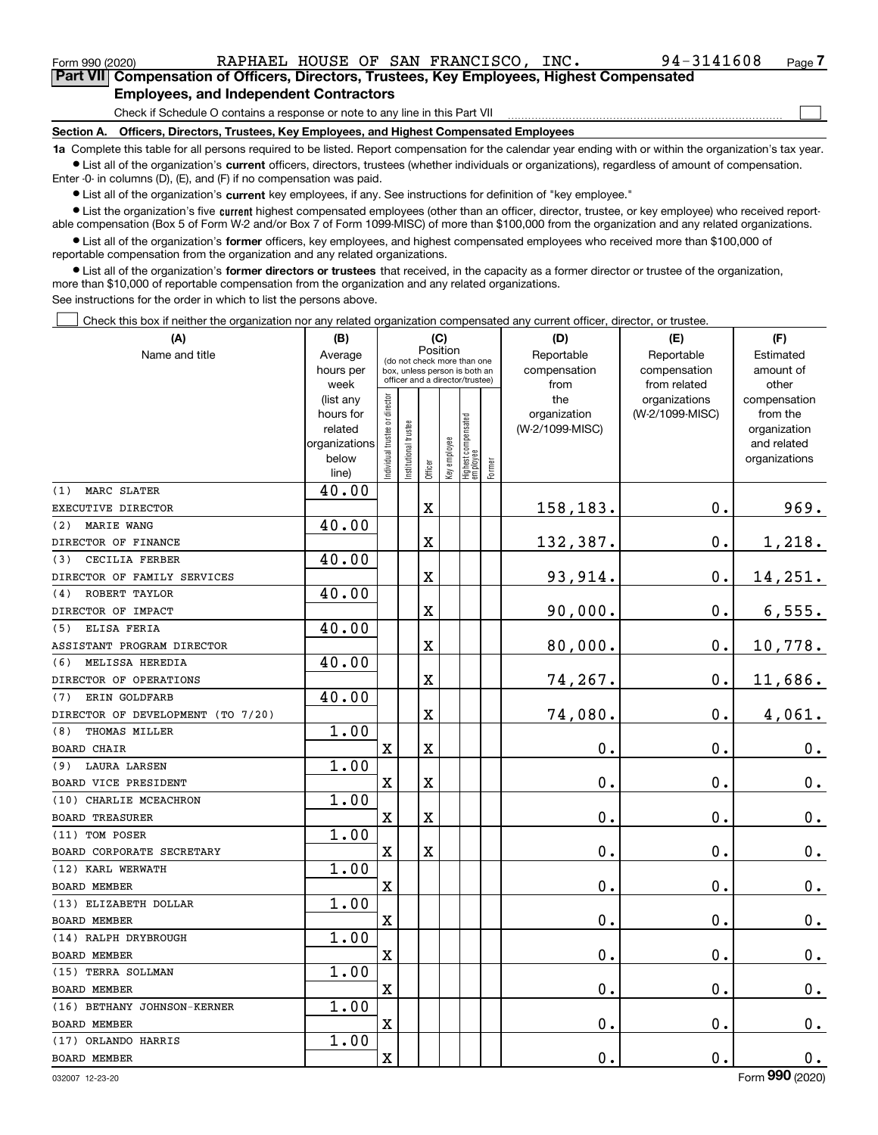| Form 990 (2020)                                                                                   |                                                                              |  |  | RAPHAEL HOUSE OF SAN FRANCISCO.                                                 | INC. | 94-3141608 | Page 7 |  |
|---------------------------------------------------------------------------------------------------|------------------------------------------------------------------------------|--|--|---------------------------------------------------------------------------------|------|------------|--------|--|
| <b>Part VII</b> Compensation of Officers, Directors, Trustees, Key Employees, Highest Compensated |                                                                              |  |  |                                                                                 |      |            |        |  |
| <b>Employees, and Independent Contractors</b>                                                     |                                                                              |  |  |                                                                                 |      |            |        |  |
|                                                                                                   | Check if Schedule O contains a response or note to any line in this Part VII |  |  |                                                                                 |      |            |        |  |
| <b>Section A.</b>                                                                                 |                                                                              |  |  | Officers, Directors, Trustees, Key Employees, and Highest Compensated Employees |      |            |        |  |

**1a**  Complete this table for all persons required to be listed. Report compensation for the calendar year ending with or within the organization's tax year. **•** List all of the organization's current officers, directors, trustees (whether individuals or organizations), regardless of amount of compensation.

Enter -0- in columns (D), (E), and (F) if no compensation was paid.

 $\bullet$  List all of the organization's  $\,$ current key employees, if any. See instructions for definition of "key employee."

**•** List the organization's five current highest compensated employees (other than an officer, director, trustee, or key employee) who received reportable compensation (Box 5 of Form W-2 and/or Box 7 of Form 1099-MISC) of more than \$100,000 from the organization and any related organizations.

**•** List all of the organization's former officers, key employees, and highest compensated employees who received more than \$100,000 of reportable compensation from the organization and any related organizations.

**former directors or trustees**  ¥ List all of the organization's that received, in the capacity as a former director or trustee of the organization, more than \$10,000 of reportable compensation from the organization and any related organizations.

See instructions for the order in which to list the persons above.

Check this box if neither the organization nor any related organization compensated any current officer, director, or trustee.  $\mathcal{L}^{\text{max}}$ 

| Position<br>Reportable<br>Name and title<br>Average<br>Reportable<br>Estimated<br>(do not check more than one<br>hours per<br>compensation<br>compensation<br>amount of<br>box, unless person is both an<br>officer and a director/trustee)<br>from<br>from related<br>other<br>week<br>ndividual trustee or director<br>the<br>(list any<br>organizations<br>compensation<br>(W-2/1099-MISC)<br>hours for<br>organization<br>from the<br>Highest compensated<br>employee<br>nstitutional trustee<br>(W-2/1099-MISC)<br>related<br>organization<br>Key employee<br>organizations<br>and related<br>below<br>organizations<br>Former<br>Officer<br>line)<br>40.00<br>MARC SLATER<br>(1)<br>969.<br>$\overline{\mathbf{X}}$<br>158,183.<br>$\mathbf 0$ .<br>EXECUTIVE DIRECTOR<br>40.00<br>(2)<br><b>MARIE WANG</b><br>1,218.<br>X<br>132,387.<br>$\mathbf 0$ .<br>DIRECTOR OF FINANCE<br>40.00<br>CECILIA FERBER<br>(3)<br>93,914.<br>$\mathbf 0$ .<br>14,251.<br>X<br>DIRECTOR OF FAMILY SERVICES<br>40.00<br>ROBERT TAYLOR<br>(4)<br>$\overline{\mathbf{X}}$<br>90,000.<br>$\mathbf 0$ .<br>6,555.<br>DIRECTOR OF IMPACT<br>40.00<br>ELISA FERIA<br>(5)<br>80,000.<br>$\mathbf 0$ .<br>10,778.<br>X<br>ASSISTANT PROGRAM DIRECTOR<br>40.00<br>MELISSA HEREDIA<br>(6)<br>$\overline{\textbf{X}}$<br>74,267.<br>$\mathbf 0$ .<br>11,686.<br>DIRECTOR OF OPERATIONS<br>40.00<br>ERIN GOLDFARB<br>(7)<br>74,080.<br>4,061.<br>$\overline{\textbf{X}}$<br>$\mathbf 0$ .<br>DIRECTOR OF DEVELOPMENT (TO 7/20)<br>1.00<br>THOMAS MILLER<br>(8)<br>$\overline{\text{X}}$<br>0.<br>0.<br>X<br>0.<br><b>BOARD CHAIR</b><br>1.00<br><b>LAURA LARSEN</b><br>(9)<br>X<br>X<br>0.<br>$\mathbf 0$ .<br>$\mathbf 0$ .<br>BOARD VICE PRESIDENT<br>1.00<br>(10) CHARLIE MCEACHRON<br>X<br>$\overline{\textbf{X}}$<br>0.<br>$\mathbf 0$ .<br>$0_{.}$<br><b>BOARD TREASURER</b><br>1.00<br>(11) TOM POSER<br>$\mathbf X$<br>$\overline{\textbf{X}}$<br>0.<br>$\mathbf 0$ .<br>$\mathbf 0$ .<br>BOARD CORPORATE SECRETARY<br>1.00<br>(12) KARL WERWATH<br>0.<br>$\mathbf 0$ .<br>$\mathbf x$<br>0.<br><b>BOARD MEMBER</b><br>1.00<br>(13) ELIZABETH DOLLAR<br>$\mathbf 0$ .<br>$\mathbf X$<br>0.<br>0.<br><b>BOARD MEMBER</b><br>(14) RALPH DRYBROUGH<br>1.00<br>0.<br>$\mathbf 0$ .<br>$0_{.}$<br>X<br><b>BOARD MEMBER</b><br>1.00<br>(15) TERRA SOLLMAN<br>$\mathbf X$<br>0.<br>$\mathbf 0$ .<br>$0_{.}$<br><b>BOARD MEMBER</b><br>1.00<br>(16) BETHANY JOHNSON-KERNER<br>X<br>0.<br>$\mathbf 0$ .<br>0.<br><b>BOARD MEMBER</b><br>1.00<br>(17) ORLANDO HARRIS<br>$\mathbf 0$ .<br>X<br>0.<br>0.<br><b>BOARD MEMBER</b> | (A) | (B) | (C) |  | (D) | (E) | (F) |  |  |
|-------------------------------------------------------------------------------------------------------------------------------------------------------------------------------------------------------------------------------------------------------------------------------------------------------------------------------------------------------------------------------------------------------------------------------------------------------------------------------------------------------------------------------------------------------------------------------------------------------------------------------------------------------------------------------------------------------------------------------------------------------------------------------------------------------------------------------------------------------------------------------------------------------------------------------------------------------------------------------------------------------------------------------------------------------------------------------------------------------------------------------------------------------------------------------------------------------------------------------------------------------------------------------------------------------------------------------------------------------------------------------------------------------------------------------------------------------------------------------------------------------------------------------------------------------------------------------------------------------------------------------------------------------------------------------------------------------------------------------------------------------------------------------------------------------------------------------------------------------------------------------------------------------------------------------------------------------------------------------------------------------------------------------------------------------------------------------------------------------------------------------------------------------------------------------------------------------------------------------------------------------------------------------------------------------------------------------------------------------------------------------------------------------------------------------------------------------------------------------------------------------------------------------------------------------------------------------------------------------|-----|-----|-----|--|-----|-----|-----|--|--|
|                                                                                                                                                                                                                                                                                                                                                                                                                                                                                                                                                                                                                                                                                                                                                                                                                                                                                                                                                                                                                                                                                                                                                                                                                                                                                                                                                                                                                                                                                                                                                                                                                                                                                                                                                                                                                                                                                                                                                                                                                                                                                                                                                                                                                                                                                                                                                                                                                                                                                                                                                                                                       |     |     |     |  |     |     |     |  |  |
|                                                                                                                                                                                                                                                                                                                                                                                                                                                                                                                                                                                                                                                                                                                                                                                                                                                                                                                                                                                                                                                                                                                                                                                                                                                                                                                                                                                                                                                                                                                                                                                                                                                                                                                                                                                                                                                                                                                                                                                                                                                                                                                                                                                                                                                                                                                                                                                                                                                                                                                                                                                                       |     |     |     |  |     |     |     |  |  |
|                                                                                                                                                                                                                                                                                                                                                                                                                                                                                                                                                                                                                                                                                                                                                                                                                                                                                                                                                                                                                                                                                                                                                                                                                                                                                                                                                                                                                                                                                                                                                                                                                                                                                                                                                                                                                                                                                                                                                                                                                                                                                                                                                                                                                                                                                                                                                                                                                                                                                                                                                                                                       |     |     |     |  |     |     |     |  |  |
|                                                                                                                                                                                                                                                                                                                                                                                                                                                                                                                                                                                                                                                                                                                                                                                                                                                                                                                                                                                                                                                                                                                                                                                                                                                                                                                                                                                                                                                                                                                                                                                                                                                                                                                                                                                                                                                                                                                                                                                                                                                                                                                                                                                                                                                                                                                                                                                                                                                                                                                                                                                                       |     |     |     |  |     |     |     |  |  |
|                                                                                                                                                                                                                                                                                                                                                                                                                                                                                                                                                                                                                                                                                                                                                                                                                                                                                                                                                                                                                                                                                                                                                                                                                                                                                                                                                                                                                                                                                                                                                                                                                                                                                                                                                                                                                                                                                                                                                                                                                                                                                                                                                                                                                                                                                                                                                                                                                                                                                                                                                                                                       |     |     |     |  |     |     |     |  |  |
|                                                                                                                                                                                                                                                                                                                                                                                                                                                                                                                                                                                                                                                                                                                                                                                                                                                                                                                                                                                                                                                                                                                                                                                                                                                                                                                                                                                                                                                                                                                                                                                                                                                                                                                                                                                                                                                                                                                                                                                                                                                                                                                                                                                                                                                                                                                                                                                                                                                                                                                                                                                                       |     |     |     |  |     |     |     |  |  |
|                                                                                                                                                                                                                                                                                                                                                                                                                                                                                                                                                                                                                                                                                                                                                                                                                                                                                                                                                                                                                                                                                                                                                                                                                                                                                                                                                                                                                                                                                                                                                                                                                                                                                                                                                                                                                                                                                                                                                                                                                                                                                                                                                                                                                                                                                                                                                                                                                                                                                                                                                                                                       |     |     |     |  |     |     |     |  |  |
|                                                                                                                                                                                                                                                                                                                                                                                                                                                                                                                                                                                                                                                                                                                                                                                                                                                                                                                                                                                                                                                                                                                                                                                                                                                                                                                                                                                                                                                                                                                                                                                                                                                                                                                                                                                                                                                                                                                                                                                                                                                                                                                                                                                                                                                                                                                                                                                                                                                                                                                                                                                                       |     |     |     |  |     |     |     |  |  |
|                                                                                                                                                                                                                                                                                                                                                                                                                                                                                                                                                                                                                                                                                                                                                                                                                                                                                                                                                                                                                                                                                                                                                                                                                                                                                                                                                                                                                                                                                                                                                                                                                                                                                                                                                                                                                                                                                                                                                                                                                                                                                                                                                                                                                                                                                                                                                                                                                                                                                                                                                                                                       |     |     |     |  |     |     |     |  |  |
|                                                                                                                                                                                                                                                                                                                                                                                                                                                                                                                                                                                                                                                                                                                                                                                                                                                                                                                                                                                                                                                                                                                                                                                                                                                                                                                                                                                                                                                                                                                                                                                                                                                                                                                                                                                                                                                                                                                                                                                                                                                                                                                                                                                                                                                                                                                                                                                                                                                                                                                                                                                                       |     |     |     |  |     |     |     |  |  |
|                                                                                                                                                                                                                                                                                                                                                                                                                                                                                                                                                                                                                                                                                                                                                                                                                                                                                                                                                                                                                                                                                                                                                                                                                                                                                                                                                                                                                                                                                                                                                                                                                                                                                                                                                                                                                                                                                                                                                                                                                                                                                                                                                                                                                                                                                                                                                                                                                                                                                                                                                                                                       |     |     |     |  |     |     |     |  |  |
|                                                                                                                                                                                                                                                                                                                                                                                                                                                                                                                                                                                                                                                                                                                                                                                                                                                                                                                                                                                                                                                                                                                                                                                                                                                                                                                                                                                                                                                                                                                                                                                                                                                                                                                                                                                                                                                                                                                                                                                                                                                                                                                                                                                                                                                                                                                                                                                                                                                                                                                                                                                                       |     |     |     |  |     |     |     |  |  |
|                                                                                                                                                                                                                                                                                                                                                                                                                                                                                                                                                                                                                                                                                                                                                                                                                                                                                                                                                                                                                                                                                                                                                                                                                                                                                                                                                                                                                                                                                                                                                                                                                                                                                                                                                                                                                                                                                                                                                                                                                                                                                                                                                                                                                                                                                                                                                                                                                                                                                                                                                                                                       |     |     |     |  |     |     |     |  |  |
|                                                                                                                                                                                                                                                                                                                                                                                                                                                                                                                                                                                                                                                                                                                                                                                                                                                                                                                                                                                                                                                                                                                                                                                                                                                                                                                                                                                                                                                                                                                                                                                                                                                                                                                                                                                                                                                                                                                                                                                                                                                                                                                                                                                                                                                                                                                                                                                                                                                                                                                                                                                                       |     |     |     |  |     |     |     |  |  |
|                                                                                                                                                                                                                                                                                                                                                                                                                                                                                                                                                                                                                                                                                                                                                                                                                                                                                                                                                                                                                                                                                                                                                                                                                                                                                                                                                                                                                                                                                                                                                                                                                                                                                                                                                                                                                                                                                                                                                                                                                                                                                                                                                                                                                                                                                                                                                                                                                                                                                                                                                                                                       |     |     |     |  |     |     |     |  |  |
|                                                                                                                                                                                                                                                                                                                                                                                                                                                                                                                                                                                                                                                                                                                                                                                                                                                                                                                                                                                                                                                                                                                                                                                                                                                                                                                                                                                                                                                                                                                                                                                                                                                                                                                                                                                                                                                                                                                                                                                                                                                                                                                                                                                                                                                                                                                                                                                                                                                                                                                                                                                                       |     |     |     |  |     |     |     |  |  |
|                                                                                                                                                                                                                                                                                                                                                                                                                                                                                                                                                                                                                                                                                                                                                                                                                                                                                                                                                                                                                                                                                                                                                                                                                                                                                                                                                                                                                                                                                                                                                                                                                                                                                                                                                                                                                                                                                                                                                                                                                                                                                                                                                                                                                                                                                                                                                                                                                                                                                                                                                                                                       |     |     |     |  |     |     |     |  |  |
|                                                                                                                                                                                                                                                                                                                                                                                                                                                                                                                                                                                                                                                                                                                                                                                                                                                                                                                                                                                                                                                                                                                                                                                                                                                                                                                                                                                                                                                                                                                                                                                                                                                                                                                                                                                                                                                                                                                                                                                                                                                                                                                                                                                                                                                                                                                                                                                                                                                                                                                                                                                                       |     |     |     |  |     |     |     |  |  |
|                                                                                                                                                                                                                                                                                                                                                                                                                                                                                                                                                                                                                                                                                                                                                                                                                                                                                                                                                                                                                                                                                                                                                                                                                                                                                                                                                                                                                                                                                                                                                                                                                                                                                                                                                                                                                                                                                                                                                                                                                                                                                                                                                                                                                                                                                                                                                                                                                                                                                                                                                                                                       |     |     |     |  |     |     |     |  |  |
|                                                                                                                                                                                                                                                                                                                                                                                                                                                                                                                                                                                                                                                                                                                                                                                                                                                                                                                                                                                                                                                                                                                                                                                                                                                                                                                                                                                                                                                                                                                                                                                                                                                                                                                                                                                                                                                                                                                                                                                                                                                                                                                                                                                                                                                                                                                                                                                                                                                                                                                                                                                                       |     |     |     |  |     |     |     |  |  |
|                                                                                                                                                                                                                                                                                                                                                                                                                                                                                                                                                                                                                                                                                                                                                                                                                                                                                                                                                                                                                                                                                                                                                                                                                                                                                                                                                                                                                                                                                                                                                                                                                                                                                                                                                                                                                                                                                                                                                                                                                                                                                                                                                                                                                                                                                                                                                                                                                                                                                                                                                                                                       |     |     |     |  |     |     |     |  |  |
|                                                                                                                                                                                                                                                                                                                                                                                                                                                                                                                                                                                                                                                                                                                                                                                                                                                                                                                                                                                                                                                                                                                                                                                                                                                                                                                                                                                                                                                                                                                                                                                                                                                                                                                                                                                                                                                                                                                                                                                                                                                                                                                                                                                                                                                                                                                                                                                                                                                                                                                                                                                                       |     |     |     |  |     |     |     |  |  |
|                                                                                                                                                                                                                                                                                                                                                                                                                                                                                                                                                                                                                                                                                                                                                                                                                                                                                                                                                                                                                                                                                                                                                                                                                                                                                                                                                                                                                                                                                                                                                                                                                                                                                                                                                                                                                                                                                                                                                                                                                                                                                                                                                                                                                                                                                                                                                                                                                                                                                                                                                                                                       |     |     |     |  |     |     |     |  |  |
|                                                                                                                                                                                                                                                                                                                                                                                                                                                                                                                                                                                                                                                                                                                                                                                                                                                                                                                                                                                                                                                                                                                                                                                                                                                                                                                                                                                                                                                                                                                                                                                                                                                                                                                                                                                                                                                                                                                                                                                                                                                                                                                                                                                                                                                                                                                                                                                                                                                                                                                                                                                                       |     |     |     |  |     |     |     |  |  |
|                                                                                                                                                                                                                                                                                                                                                                                                                                                                                                                                                                                                                                                                                                                                                                                                                                                                                                                                                                                                                                                                                                                                                                                                                                                                                                                                                                                                                                                                                                                                                                                                                                                                                                                                                                                                                                                                                                                                                                                                                                                                                                                                                                                                                                                                                                                                                                                                                                                                                                                                                                                                       |     |     |     |  |     |     |     |  |  |
|                                                                                                                                                                                                                                                                                                                                                                                                                                                                                                                                                                                                                                                                                                                                                                                                                                                                                                                                                                                                                                                                                                                                                                                                                                                                                                                                                                                                                                                                                                                                                                                                                                                                                                                                                                                                                                                                                                                                                                                                                                                                                                                                                                                                                                                                                                                                                                                                                                                                                                                                                                                                       |     |     |     |  |     |     |     |  |  |
|                                                                                                                                                                                                                                                                                                                                                                                                                                                                                                                                                                                                                                                                                                                                                                                                                                                                                                                                                                                                                                                                                                                                                                                                                                                                                                                                                                                                                                                                                                                                                                                                                                                                                                                                                                                                                                                                                                                                                                                                                                                                                                                                                                                                                                                                                                                                                                                                                                                                                                                                                                                                       |     |     |     |  |     |     |     |  |  |
|                                                                                                                                                                                                                                                                                                                                                                                                                                                                                                                                                                                                                                                                                                                                                                                                                                                                                                                                                                                                                                                                                                                                                                                                                                                                                                                                                                                                                                                                                                                                                                                                                                                                                                                                                                                                                                                                                                                                                                                                                                                                                                                                                                                                                                                                                                                                                                                                                                                                                                                                                                                                       |     |     |     |  |     |     |     |  |  |
|                                                                                                                                                                                                                                                                                                                                                                                                                                                                                                                                                                                                                                                                                                                                                                                                                                                                                                                                                                                                                                                                                                                                                                                                                                                                                                                                                                                                                                                                                                                                                                                                                                                                                                                                                                                                                                                                                                                                                                                                                                                                                                                                                                                                                                                                                                                                                                                                                                                                                                                                                                                                       |     |     |     |  |     |     |     |  |  |
|                                                                                                                                                                                                                                                                                                                                                                                                                                                                                                                                                                                                                                                                                                                                                                                                                                                                                                                                                                                                                                                                                                                                                                                                                                                                                                                                                                                                                                                                                                                                                                                                                                                                                                                                                                                                                                                                                                                                                                                                                                                                                                                                                                                                                                                                                                                                                                                                                                                                                                                                                                                                       |     |     |     |  |     |     |     |  |  |
|                                                                                                                                                                                                                                                                                                                                                                                                                                                                                                                                                                                                                                                                                                                                                                                                                                                                                                                                                                                                                                                                                                                                                                                                                                                                                                                                                                                                                                                                                                                                                                                                                                                                                                                                                                                                                                                                                                                                                                                                                                                                                                                                                                                                                                                                                                                                                                                                                                                                                                                                                                                                       |     |     |     |  |     |     |     |  |  |
|                                                                                                                                                                                                                                                                                                                                                                                                                                                                                                                                                                                                                                                                                                                                                                                                                                                                                                                                                                                                                                                                                                                                                                                                                                                                                                                                                                                                                                                                                                                                                                                                                                                                                                                                                                                                                                                                                                                                                                                                                                                                                                                                                                                                                                                                                                                                                                                                                                                                                                                                                                                                       |     |     |     |  |     |     |     |  |  |
|                                                                                                                                                                                                                                                                                                                                                                                                                                                                                                                                                                                                                                                                                                                                                                                                                                                                                                                                                                                                                                                                                                                                                                                                                                                                                                                                                                                                                                                                                                                                                                                                                                                                                                                                                                                                                                                                                                                                                                                                                                                                                                                                                                                                                                                                                                                                                                                                                                                                                                                                                                                                       |     |     |     |  |     |     |     |  |  |
|                                                                                                                                                                                                                                                                                                                                                                                                                                                                                                                                                                                                                                                                                                                                                                                                                                                                                                                                                                                                                                                                                                                                                                                                                                                                                                                                                                                                                                                                                                                                                                                                                                                                                                                                                                                                                                                                                                                                                                                                                                                                                                                                                                                                                                                                                                                                                                                                                                                                                                                                                                                                       |     |     |     |  |     |     |     |  |  |
|                                                                                                                                                                                                                                                                                                                                                                                                                                                                                                                                                                                                                                                                                                                                                                                                                                                                                                                                                                                                                                                                                                                                                                                                                                                                                                                                                                                                                                                                                                                                                                                                                                                                                                                                                                                                                                                                                                                                                                                                                                                                                                                                                                                                                                                                                                                                                                                                                                                                                                                                                                                                       |     |     |     |  |     |     |     |  |  |
|                                                                                                                                                                                                                                                                                                                                                                                                                                                                                                                                                                                                                                                                                                                                                                                                                                                                                                                                                                                                                                                                                                                                                                                                                                                                                                                                                                                                                                                                                                                                                                                                                                                                                                                                                                                                                                                                                                                                                                                                                                                                                                                                                                                                                                                                                                                                                                                                                                                                                                                                                                                                       |     |     |     |  |     |     |     |  |  |
|                                                                                                                                                                                                                                                                                                                                                                                                                                                                                                                                                                                                                                                                                                                                                                                                                                                                                                                                                                                                                                                                                                                                                                                                                                                                                                                                                                                                                                                                                                                                                                                                                                                                                                                                                                                                                                                                                                                                                                                                                                                                                                                                                                                                                                                                                                                                                                                                                                                                                                                                                                                                       |     |     |     |  |     |     |     |  |  |
|                                                                                                                                                                                                                                                                                                                                                                                                                                                                                                                                                                                                                                                                                                                                                                                                                                                                                                                                                                                                                                                                                                                                                                                                                                                                                                                                                                                                                                                                                                                                                                                                                                                                                                                                                                                                                                                                                                                                                                                                                                                                                                                                                                                                                                                                                                                                                                                                                                                                                                                                                                                                       |     |     |     |  |     |     |     |  |  |
|                                                                                                                                                                                                                                                                                                                                                                                                                                                                                                                                                                                                                                                                                                                                                                                                                                                                                                                                                                                                                                                                                                                                                                                                                                                                                                                                                                                                                                                                                                                                                                                                                                                                                                                                                                                                                                                                                                                                                                                                                                                                                                                                                                                                                                                                                                                                                                                                                                                                                                                                                                                                       |     |     |     |  |     |     |     |  |  |
|                                                                                                                                                                                                                                                                                                                                                                                                                                                                                                                                                                                                                                                                                                                                                                                                                                                                                                                                                                                                                                                                                                                                                                                                                                                                                                                                                                                                                                                                                                                                                                                                                                                                                                                                                                                                                                                                                                                                                                                                                                                                                                                                                                                                                                                                                                                                                                                                                                                                                                                                                                                                       |     |     |     |  |     |     |     |  |  |
|                                                                                                                                                                                                                                                                                                                                                                                                                                                                                                                                                                                                                                                                                                                                                                                                                                                                                                                                                                                                                                                                                                                                                                                                                                                                                                                                                                                                                                                                                                                                                                                                                                                                                                                                                                                                                                                                                                                                                                                                                                                                                                                                                                                                                                                                                                                                                                                                                                                                                                                                                                                                       |     |     |     |  |     |     |     |  |  |
|                                                                                                                                                                                                                                                                                                                                                                                                                                                                                                                                                                                                                                                                                                                                                                                                                                                                                                                                                                                                                                                                                                                                                                                                                                                                                                                                                                                                                                                                                                                                                                                                                                                                                                                                                                                                                                                                                                                                                                                                                                                                                                                                                                                                                                                                                                                                                                                                                                                                                                                                                                                                       |     |     |     |  |     |     |     |  |  |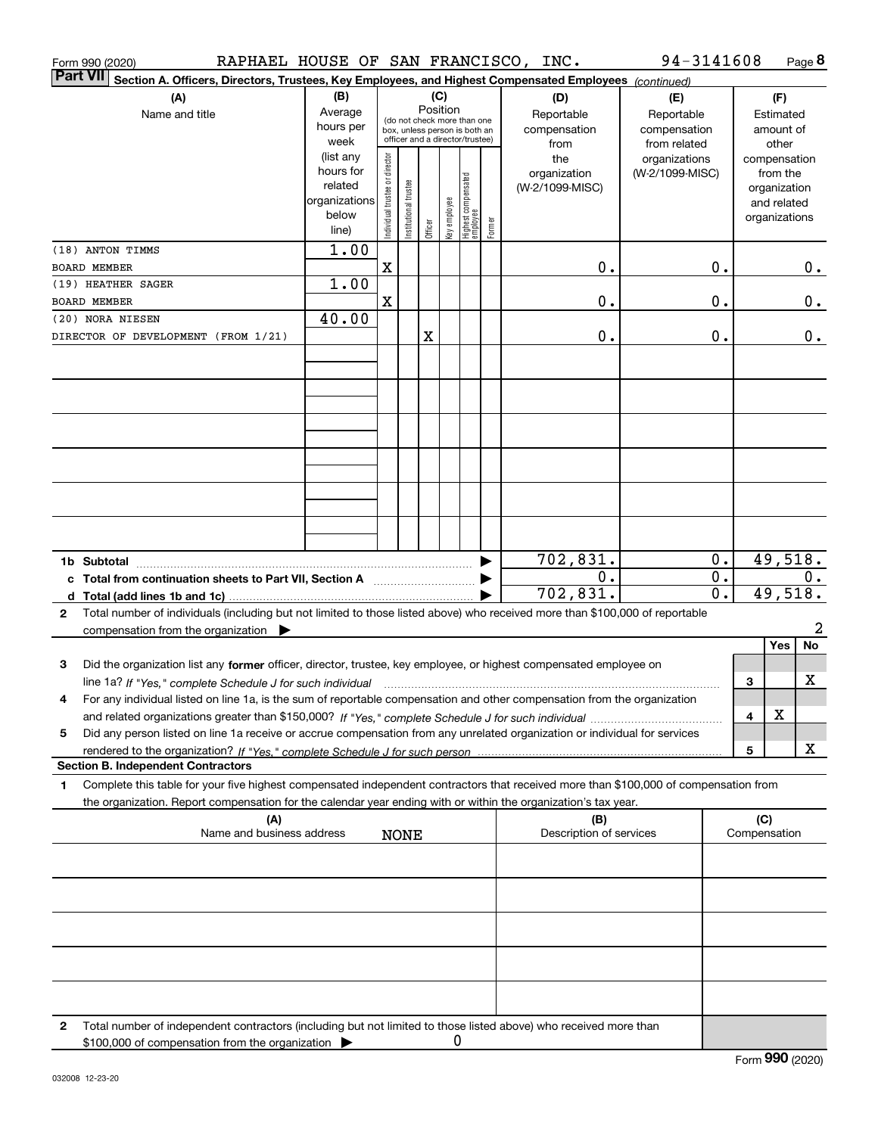| RAPHAEL HOUSE OF SAN FRANCISCO, INC.<br>Form 990 (2020)                                                                                         |                      |                                |                       |         |                 |                                                                  |        |                                | 94-3141608                   |                        |                     | Page 8             |
|-------------------------------------------------------------------------------------------------------------------------------------------------|----------------------|--------------------------------|-----------------------|---------|-----------------|------------------------------------------------------------------|--------|--------------------------------|------------------------------|------------------------|---------------------|--------------------|
| <b>Part VII</b><br>Section A. Officers, Directors, Trustees, Key Employees, and Highest Compensated Employees (continued)                       |                      |                                |                       |         |                 |                                                                  |        |                                |                              |                        |                     |                    |
| (A)                                                                                                                                             | (B)                  |                                |                       |         | (C)<br>Position |                                                                  |        | (D)                            | (E)                          |                        |                     | (F)                |
| Name and title                                                                                                                                  | Average<br>hours per |                                |                       |         |                 | (do not check more than one                                      |        | Reportable                     | Reportable                   |                        |                     | Estimated          |
|                                                                                                                                                 | week                 |                                |                       |         |                 | box, unless person is both an<br>officer and a director/trustee) |        | compensation<br>from           | compensation<br>from related |                        |                     | amount of<br>other |
|                                                                                                                                                 | (list any            |                                |                       |         |                 |                                                                  |        | the                            | organizations                |                        |                     | compensation       |
|                                                                                                                                                 | hours for            |                                |                       |         |                 |                                                                  |        | organization                   | (W-2/1099-MISC)              |                        |                     | from the           |
|                                                                                                                                                 | related              |                                |                       |         |                 |                                                                  |        | (W-2/1099-MISC)                |                              |                        |                     | organization       |
|                                                                                                                                                 | organizations        |                                |                       |         |                 |                                                                  |        |                                |                              |                        |                     | and related        |
|                                                                                                                                                 | below<br>line)       | Individual trustee or director | Institutional trustee | Officer | key employee    | Highest compensated<br>employee                                  | Former |                                |                              |                        |                     | organizations      |
| (18) ANTON TIMMS                                                                                                                                | 1.00                 |                                |                       |         |                 |                                                                  |        |                                |                              |                        |                     |                    |
| BOARD MEMBER                                                                                                                                    |                      | $\mathbf X$                    |                       |         |                 |                                                                  |        | 0.                             |                              | 0.                     |                     | 0.                 |
| (19) HEATHER SAGER                                                                                                                              | 1.00                 |                                |                       |         |                 |                                                                  |        |                                |                              |                        |                     |                    |
| BOARD MEMBER                                                                                                                                    |                      | $\mathbf X$                    |                       |         |                 |                                                                  |        | 0.                             |                              | 0.                     |                     | 0.                 |
| (20) NORA NIESEN                                                                                                                                | 40.00                |                                |                       |         |                 |                                                                  |        |                                |                              |                        |                     |                    |
| DIRECTOR OF DEVELOPMENT (FROM 1/21)                                                                                                             |                      |                                |                       | X       |                 |                                                                  |        | 0.                             |                              | 0.                     |                     | 0.                 |
|                                                                                                                                                 |                      |                                |                       |         |                 |                                                                  |        |                                |                              |                        |                     |                    |
|                                                                                                                                                 |                      |                                |                       |         |                 |                                                                  |        |                                |                              |                        |                     |                    |
|                                                                                                                                                 |                      |                                |                       |         |                 |                                                                  |        |                                |                              |                        |                     |                    |
|                                                                                                                                                 |                      |                                |                       |         |                 |                                                                  |        |                                |                              |                        |                     |                    |
|                                                                                                                                                 |                      |                                |                       |         |                 |                                                                  |        |                                |                              |                        |                     |                    |
|                                                                                                                                                 |                      |                                |                       |         |                 |                                                                  |        |                                |                              |                        |                     |                    |
|                                                                                                                                                 |                      |                                |                       |         |                 |                                                                  |        |                                |                              |                        |                     |                    |
|                                                                                                                                                 |                      |                                |                       |         |                 |                                                                  |        |                                |                              |                        |                     |                    |
|                                                                                                                                                 |                      |                                |                       |         |                 |                                                                  |        |                                |                              |                        |                     |                    |
|                                                                                                                                                 |                      |                                |                       |         |                 |                                                                  |        |                                |                              |                        |                     |                    |
|                                                                                                                                                 |                      |                                |                       |         |                 |                                                                  |        |                                |                              |                        |                     |                    |
| 1b Subtotal                                                                                                                                     |                      |                                |                       |         |                 |                                                                  |        | 702,831.                       |                              | 0.                     |                     | 49,518.            |
| c Total from continuation sheets to Part VII, Section A <b>Constant Contract Control</b>                                                        |                      |                                |                       |         |                 |                                                                  |        | 0.<br>702,831.                 |                              | 0.<br>$\overline{0}$ . |                     | 0.<br>49,518.      |
| Total number of individuals (including but not limited to those listed above) who received more than \$100,000 of reportable<br>2               |                      |                                |                       |         |                 |                                                                  |        |                                |                              |                        |                     |                    |
| compensation from the organization $\blacktriangleright$                                                                                        |                      |                                |                       |         |                 |                                                                  |        |                                |                              |                        |                     | $\overline{a}$     |
|                                                                                                                                                 |                      |                                |                       |         |                 |                                                                  |        |                                |                              |                        |                     | No<br>Yes          |
| Did the organization list any former officer, director, trustee, key employee, or highest compensated employee on<br>3                          |                      |                                |                       |         |                 |                                                                  |        |                                |                              |                        |                     |                    |
| line 1a? If "Yes," complete Schedule J for such individual manufactured contained and the 1a? If "Yes," complete Schedule J for such individual |                      |                                |                       |         |                 |                                                                  |        |                                |                              |                        | 3                   | x                  |
| For any individual listed on line 1a, is the sum of reportable compensation and other compensation from the organization<br>4                   |                      |                                |                       |         |                 |                                                                  |        |                                |                              |                        |                     |                    |
|                                                                                                                                                 |                      |                                |                       |         |                 |                                                                  |        |                                |                              |                        | 4                   | X                  |
| Did any person listed on line 1a receive or accrue compensation from any unrelated organization or individual for services<br>5                 |                      |                                |                       |         |                 |                                                                  |        |                                |                              |                        |                     |                    |
|                                                                                                                                                 |                      |                                |                       |         |                 |                                                                  |        |                                |                              |                        | 5                   | х                  |
| <b>Section B. Independent Contractors</b>                                                                                                       |                      |                                |                       |         |                 |                                                                  |        |                                |                              |                        |                     |                    |
| Complete this table for your five highest compensated independent contractors that received more than \$100,000 of compensation from<br>1       |                      |                                |                       |         |                 |                                                                  |        |                                |                              |                        |                     |                    |
| the organization. Report compensation for the calendar year ending with or within the organization's tax year.                                  |                      |                                |                       |         |                 |                                                                  |        |                                |                              |                        |                     |                    |
| (A)<br>Name and business address                                                                                                                |                      |                                | <b>NONE</b>           |         |                 |                                                                  |        | (B)<br>Description of services |                              |                        | (C)<br>Compensation |                    |
|                                                                                                                                                 |                      |                                |                       |         |                 |                                                                  |        |                                |                              |                        |                     |                    |
|                                                                                                                                                 |                      |                                |                       |         |                 |                                                                  |        |                                |                              |                        |                     |                    |
|                                                                                                                                                 |                      |                                |                       |         |                 |                                                                  |        |                                |                              |                        |                     |                    |
|                                                                                                                                                 |                      |                                |                       |         |                 |                                                                  |        |                                |                              |                        |                     |                    |
|                                                                                                                                                 |                      |                                |                       |         |                 |                                                                  |        |                                |                              |                        |                     |                    |
|                                                                                                                                                 |                      |                                |                       |         |                 |                                                                  |        |                                |                              |                        |                     |                    |
|                                                                                                                                                 |                      |                                |                       |         |                 |                                                                  |        |                                |                              |                        |                     |                    |
|                                                                                                                                                 |                      |                                |                       |         |                 |                                                                  |        |                                |                              |                        |                     |                    |
|                                                                                                                                                 |                      |                                |                       |         |                 |                                                                  |        |                                |                              |                        |                     |                    |
| Total number of independent contractors (including but not limited to those listed above) who received more than<br>2                           |                      |                                |                       |         |                 |                                                                  |        |                                |                              |                        |                     |                    |
| \$100,000 of compensation from the organization                                                                                                 |                      |                                |                       |         | 0               |                                                                  |        |                                |                              |                        |                     |                    |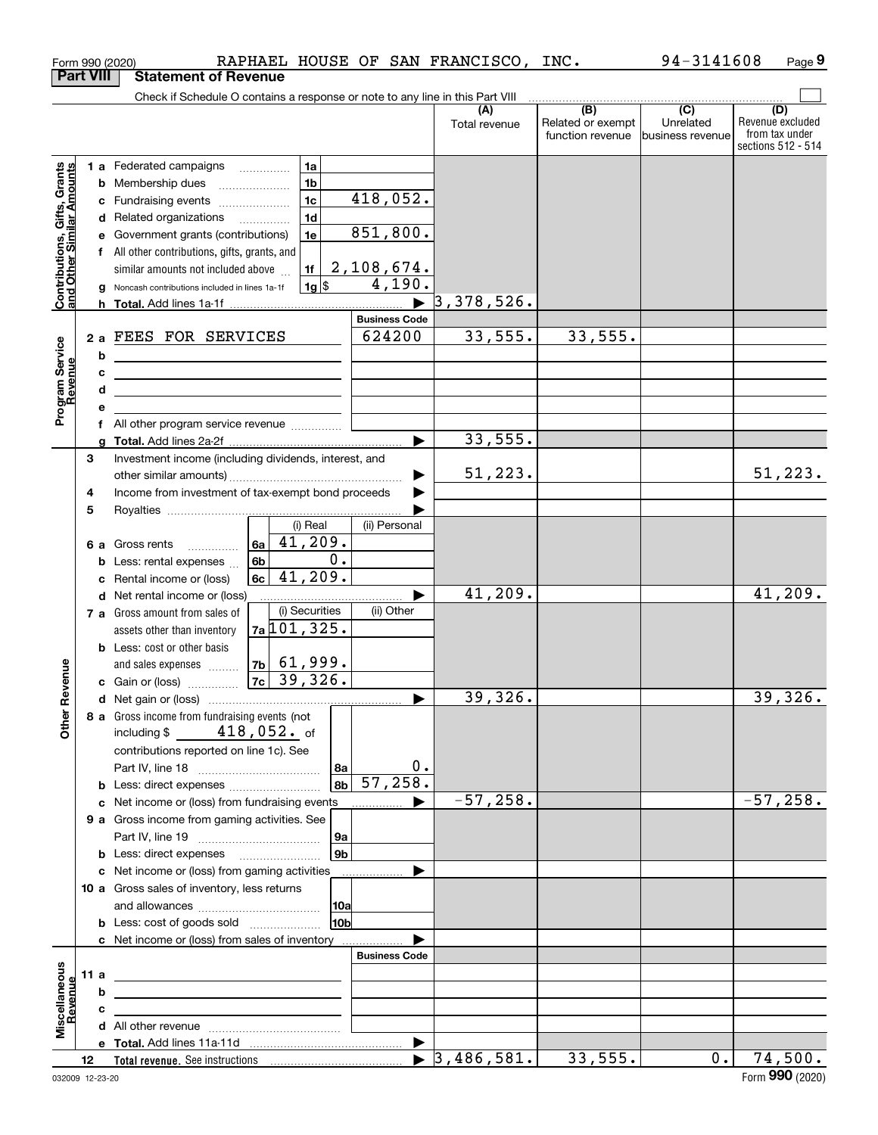|                                                           |                  | Form 990 (2020)                                                                                                        |                      |                      | RAPHAEL HOUSE OF SAN FRANCISCO, INC.     |                                              | 94-3141608                                      | Page 9                                                          |
|-----------------------------------------------------------|------------------|------------------------------------------------------------------------------------------------------------------------|----------------------|----------------------|------------------------------------------|----------------------------------------------|-------------------------------------------------|-----------------------------------------------------------------|
|                                                           | <b>Part VIII</b> | <b>Statement of Revenue</b>                                                                                            |                      |                      |                                          |                                              |                                                 |                                                                 |
|                                                           |                  | Check if Schedule O contains a response or note to any line in this Part VIII                                          |                      |                      |                                          |                                              |                                                 |                                                                 |
|                                                           |                  |                                                                                                                        |                      |                      | (A)<br>Total revenue                     | (B)<br>Related or exempt<br>function revenue | $\overline{C}$<br>Unrelated<br>business revenue | (D)<br>Revenue excluded<br>from tax under<br>sections 512 - 514 |
|                                                           |                  |                                                                                                                        |                      |                      |                                          |                                              |                                                 |                                                                 |
|                                                           |                  | 1 a Federated campaigns<br><b>b</b> Membership dues                                                                    | 1a<br>1 <sub>b</sub> |                      |                                          |                                              |                                                 |                                                                 |
|                                                           |                  | c Fundraising events                                                                                                   | 1c                   | 418,052.             |                                          |                                              |                                                 |                                                                 |
|                                                           |                  | d Related organizations                                                                                                | 1 <sub>d</sub>       |                      |                                          |                                              |                                                 |                                                                 |
|                                                           |                  | e Government grants (contributions)                                                                                    | 1e                   | 851, 800.            |                                          |                                              |                                                 |                                                                 |
|                                                           |                  | f All other contributions, gifts, grants, and                                                                          |                      |                      |                                          |                                              |                                                 |                                                                 |
|                                                           |                  | similar amounts not included above                                                                                     | 1f                   | 2,108,674.           |                                          |                                              |                                                 |                                                                 |
| Contributions, Gifts, Grants<br>and Other Similar Amounts | g                | Noncash contributions included in lines 1a-1f                                                                          | $1g$ \$              | 4,190.               |                                          |                                              |                                                 |                                                                 |
|                                                           |                  |                                                                                                                        |                      |                      | $\blacktriangleright$ 3,378,526.         |                                              |                                                 |                                                                 |
|                                                           |                  |                                                                                                                        |                      | <b>Business Code</b> |                                          |                                              |                                                 |                                                                 |
|                                                           |                  | 2 a FEES FOR SERVICES                                                                                                  |                      | 624200               | 33,555.                                  | 33,555.                                      |                                                 |                                                                 |
|                                                           | b                | <u> 1980 - Andrea Aonaichte ann an t-Aonaichte ann an t-Aonaichte ann an t-Aonaichte ann an t-Aonaichte ann an t-</u>  |                      |                      |                                          |                                              |                                                 |                                                                 |
|                                                           | c                | <u> 1989 - Johann Barn, mars ann an t-Amhain ann an t-Amhain ann an t-Amhain ann an t-Amhain ann an t-Amhain ann a</u> |                      |                      |                                          |                                              |                                                 |                                                                 |
|                                                           | d                | <u> 1989 - Johann Barn, amerikansk politiker (d. 1989)</u>                                                             |                      |                      |                                          |                                              |                                                 |                                                                 |
| Program Service<br>Revenue                                | е                |                                                                                                                        |                      |                      |                                          |                                              |                                                 |                                                                 |
|                                                           | f                | All other program service revenue                                                                                      |                      |                      | 33,555.                                  |                                              |                                                 |                                                                 |
|                                                           | a<br>3           | Investment income (including dividends, interest, and                                                                  |                      |                      |                                          |                                              |                                                 |                                                                 |
|                                                           |                  |                                                                                                                        |                      |                      | 51, 223.                                 |                                              |                                                 | 51,223.                                                         |
|                                                           | 4                | Income from investment of tax-exempt bond proceeds                                                                     |                      |                      |                                          |                                              |                                                 |                                                                 |
|                                                           | 5                |                                                                                                                        |                      |                      |                                          |                                              |                                                 |                                                                 |
|                                                           |                  |                                                                                                                        | (i) Real             | (ii) Personal        |                                          |                                              |                                                 |                                                                 |
|                                                           |                  | 6a<br>6 a Gross rents<br>.                                                                                             | 41,209.              |                      |                                          |                                              |                                                 |                                                                 |
|                                                           |                  | 6b<br><b>b</b> Less: rental expenses $\ldots$                                                                          | $\overline{0}$ .     |                      |                                          |                                              |                                                 |                                                                 |
|                                                           | c                | 6c<br>Rental income or (loss)                                                                                          | 41,209.              |                      |                                          |                                              |                                                 |                                                                 |
|                                                           |                  | d Net rental income or (loss)                                                                                          |                      |                      | 41,209.                                  |                                              |                                                 | 41,209.                                                         |
|                                                           |                  | 7 a Gross amount from sales of                                                                                         | (i) Securities       | (ii) Other           |                                          |                                              |                                                 |                                                                 |
|                                                           |                  | assets other than inventory                                                                                            | $7a$ 101, 325.       |                      |                                          |                                              |                                                 |                                                                 |
|                                                           |                  | <b>b</b> Less: cost or other basis<br>and sales expenses                                                               | $ 7b $ 61,999.       |                      |                                          |                                              |                                                 |                                                                 |
| venue                                                     |                  | c Gain or (loss)                                                                                                       | $7c$ 39, 326.        |                      |                                          |                                              |                                                 |                                                                 |
|                                                           |                  |                                                                                                                        |                      |                      | 39,326.                                  |                                              |                                                 | 39,326.                                                         |
| Other Re                                                  |                  | 8 a Gross income from fundraising events (not                                                                          |                      |                      |                                          |                                              |                                                 |                                                                 |
|                                                           |                  | $418,052$ . of<br>including \$                                                                                         |                      |                      |                                          |                                              |                                                 |                                                                 |
|                                                           |                  | contributions reported on line 1c). See                                                                                |                      |                      |                                          |                                              |                                                 |                                                                 |
|                                                           |                  |                                                                                                                        | 8a                   |                      | 0.                                       |                                              |                                                 |                                                                 |
|                                                           |                  | <b>b</b> Less: direct expenses                                                                                         | 8 <sub>b</sub>       | 57, 258.             |                                          |                                              |                                                 |                                                                 |
|                                                           | c                | Net income or (loss) from fundraising events                                                                           |                      |                      | $-57,258.$                               |                                              |                                                 | $-57,258.$                                                      |
|                                                           |                  | 9 a Gross income from gaming activities. See                                                                           |                      |                      |                                          |                                              |                                                 |                                                                 |
|                                                           |                  |                                                                                                                        | 9a<br>9b             |                      |                                          |                                              |                                                 |                                                                 |
|                                                           |                  | c Net income or (loss) from gaming activities                                                                          |                      |                      |                                          |                                              |                                                 |                                                                 |
|                                                           |                  | 10 a Gross sales of inventory, less returns                                                                            |                      |                      |                                          |                                              |                                                 |                                                                 |
|                                                           |                  |                                                                                                                        | 10al                 |                      |                                          |                                              |                                                 |                                                                 |
|                                                           |                  | <b>b</b> Less: cost of goods sold                                                                                      | 10b                  |                      |                                          |                                              |                                                 |                                                                 |
|                                                           |                  | c Net income or (loss) from sales of inventory                                                                         |                      |                      |                                          |                                              |                                                 |                                                                 |
|                                                           |                  |                                                                                                                        |                      | <b>Business Code</b> |                                          |                                              |                                                 |                                                                 |
|                                                           | 11 a             |                                                                                                                        |                      |                      |                                          |                                              |                                                 |                                                                 |
|                                                           | b                |                                                                                                                        |                      |                      |                                          |                                              |                                                 |                                                                 |
| Miscellaneous<br>Revenue                                  | c                |                                                                                                                        |                      |                      |                                          |                                              |                                                 |                                                                 |
|                                                           |                  |                                                                                                                        |                      |                      |                                          |                                              |                                                 |                                                                 |
|                                                           |                  |                                                                                                                        |                      |                      | ▶<br>3,486,581.<br>$\blacktriangleright$ | 33,555.                                      | 0.                                              | 74,500.                                                         |
|                                                           | 12               |                                                                                                                        |                      |                      |                                          |                                              |                                                 |                                                                 |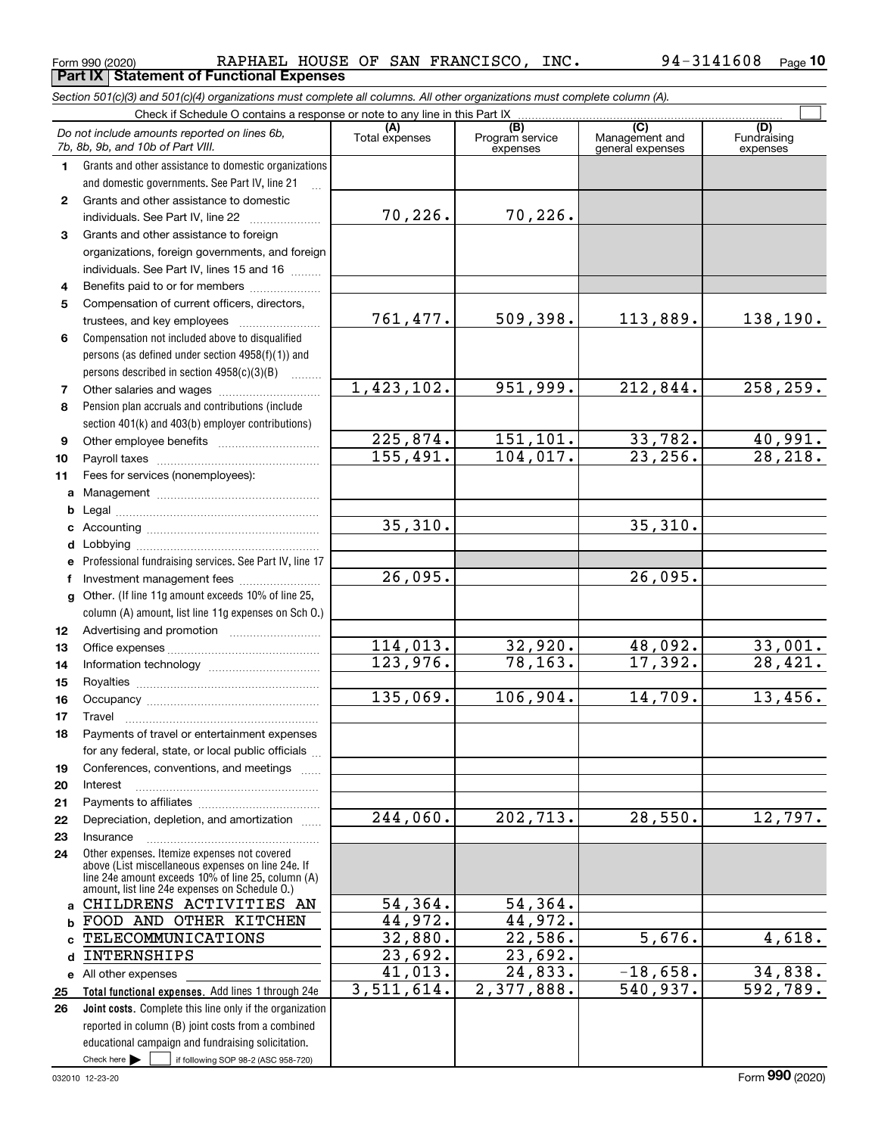*Section 501(c)(3) and 501(c)(4) organizations must complete all columns. All other organizations must complete column (A).* Check if Schedule O contains a response or note to any line in this Part IX

|              | Check if Schedule O contains a response or note to any line in this Part IX                        |                       |                                    |                                           |                                |  |  |  |
|--------------|----------------------------------------------------------------------------------------------------|-----------------------|------------------------------------|-------------------------------------------|--------------------------------|--|--|--|
|              | Do not include amounts reported on lines 6b,<br>7b, 8b, 9b, and 10b of Part VIII.                  | (A)<br>Total expenses | (B)<br>Program service<br>expenses | (C)<br>Management and<br>general expenses | (D)<br>Fundraising<br>expenses |  |  |  |
| 1.           | Grants and other assistance to domestic organizations                                              |                       |                                    |                                           |                                |  |  |  |
|              | and domestic governments. See Part IV, line 21                                                     |                       |                                    |                                           |                                |  |  |  |
| $\mathbf{2}$ | Grants and other assistance to domestic                                                            |                       |                                    |                                           |                                |  |  |  |
|              | individuals. See Part IV, line 22                                                                  | 70, 226.              | 70,226.                            |                                           |                                |  |  |  |
| 3            | Grants and other assistance to foreign                                                             |                       |                                    |                                           |                                |  |  |  |
|              | organizations, foreign governments, and foreign                                                    |                       |                                    |                                           |                                |  |  |  |
|              | individuals. See Part IV, lines 15 and 16                                                          |                       |                                    |                                           |                                |  |  |  |
| 4            | Benefits paid to or for members                                                                    |                       |                                    |                                           |                                |  |  |  |
| 5            | Compensation of current officers, directors,                                                       |                       |                                    |                                           |                                |  |  |  |
|              | trustees, and key employees                                                                        | 761,477.              | 509,398.                           | 113,889.                                  | 138,190.                       |  |  |  |
| 6            | Compensation not included above to disqualified                                                    |                       |                                    |                                           |                                |  |  |  |
|              | persons (as defined under section 4958(f)(1)) and                                                  |                       |                                    |                                           |                                |  |  |  |
| 7            | persons described in section 4958(c)(3)(B)<br>Other salaries and wages                             | 1,423,102.            | 951,999.                           | 212,844.                                  | 258, 259.                      |  |  |  |
| 8            | Pension plan accruals and contributions (include                                                   |                       |                                    |                                           |                                |  |  |  |
|              | section 401(k) and 403(b) employer contributions)                                                  |                       |                                    |                                           |                                |  |  |  |
| 9            |                                                                                                    | 225,874.              | 151,101.                           | 33,782.                                   | <u>40,991.</u>                 |  |  |  |
| 10           |                                                                                                    | 155,491.              | 104,017.                           | 23, 256.                                  | 28, 218.                       |  |  |  |
| 11           | Fees for services (nonemployees):                                                                  |                       |                                    |                                           |                                |  |  |  |
| a            |                                                                                                    |                       |                                    |                                           |                                |  |  |  |
| b            |                                                                                                    |                       |                                    |                                           |                                |  |  |  |
| c            |                                                                                                    | 35,310.               |                                    | 35,310.                                   |                                |  |  |  |
| d            |                                                                                                    |                       |                                    |                                           |                                |  |  |  |
| е            | Professional fundraising services. See Part IV, line 17                                            |                       |                                    |                                           |                                |  |  |  |
| f            | Investment management fees                                                                         | 26,095.               |                                    | 26,095.                                   |                                |  |  |  |
| g            | Other. (If line 11g amount exceeds 10% of line 25,                                                 |                       |                                    |                                           |                                |  |  |  |
|              | column (A) amount, list line 11g expenses on Sch O.)                                               |                       |                                    |                                           |                                |  |  |  |
| 12           |                                                                                                    |                       |                                    |                                           |                                |  |  |  |
| 13           |                                                                                                    | 114,013.              | 32,920.                            | 48,092.                                   | 33,001.                        |  |  |  |
| 14           |                                                                                                    | 123,976.              | 78, 163.                           | 17,392.                                   | 28,421.                        |  |  |  |
| 15           |                                                                                                    | 135,069.              | 106,904.                           | 14,709.                                   | 13,456.                        |  |  |  |
| 16           |                                                                                                    |                       |                                    |                                           |                                |  |  |  |
| 17           | Travel<br>Payments of travel or entertainment expenses                                             |                       |                                    |                                           |                                |  |  |  |
| 18           | for any federal, state, or local public officials                                                  |                       |                                    |                                           |                                |  |  |  |
| 19           | Conferences, conventions, and meetings                                                             |                       |                                    |                                           |                                |  |  |  |
| 20           | Interest                                                                                           |                       |                                    |                                           |                                |  |  |  |
| 21           |                                                                                                    |                       |                                    |                                           |                                |  |  |  |
| 22           | Depreciation, depletion, and amortization                                                          | 244,060.              | 202, 713.                          | 28,550.                                   | 12,797.                        |  |  |  |
| 23           | Insurance                                                                                          |                       |                                    |                                           |                                |  |  |  |
| 24           | Other expenses. Itemize expenses not covered<br>above (List miscellaneous expenses on line 24e. If |                       |                                    |                                           |                                |  |  |  |
|              | line 24e amount exceeds 10% of line 25, column (A)                                                 |                       |                                    |                                           |                                |  |  |  |
| a            | amount, list line 24e expenses on Schedule O.)<br>CHILDRENS ACTIVITIES AN                          | 54,364.               | 54,364.                            |                                           |                                |  |  |  |
| b            | FOOD AND OTHER KITCHEN                                                                             | 44,972.               | 44,972.                            |                                           |                                |  |  |  |
|              | TELECOMMUNICATIONS                                                                                 | 32,880.               | 22,586.                            | 5,676.                                    | 4,618.                         |  |  |  |
| d            | INTERNSHIPS                                                                                        | 23,692.               | 23,692.                            |                                           |                                |  |  |  |
| е            | All other expenses                                                                                 | 41,013.               | 24,833.                            | $-18,658.$                                | 34,838.                        |  |  |  |
| 25           | Total functional expenses. Add lines 1 through 24e                                                 | 3,511,614.            | 2,377,888.                         | 540,937.                                  | 592,789.                       |  |  |  |
| 26           | Joint costs. Complete this line only if the organization                                           |                       |                                    |                                           |                                |  |  |  |
|              | reported in column (B) joint costs from a combined                                                 |                       |                                    |                                           |                                |  |  |  |
|              | educational campaign and fundraising solicitation.                                                 |                       |                                    |                                           |                                |  |  |  |
|              | Check here $\blacktriangleright$<br>if following SOP 98-2 (ASC 958-720)                            |                       |                                    |                                           |                                |  |  |  |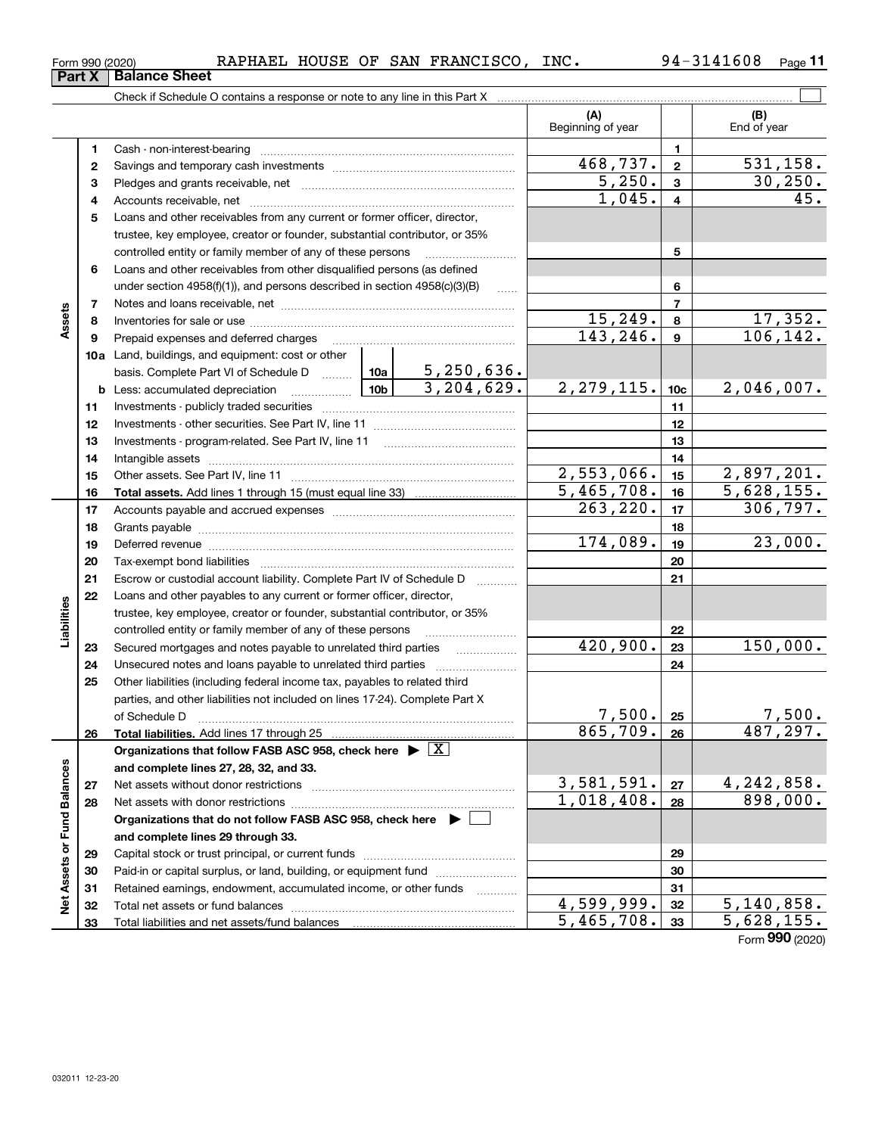| .608<br>3141<br>INC.<br>SAN FRANCISCO<br>RAPHAEL<br>HOUSE<br>OF<br>$94 -$<br><sup>⊏</sup> orm 990 (2020) | Page |
|----------------------------------------------------------------------------------------------------------|------|
|----------------------------------------------------------------------------------------------------------|------|

|                             |          | Check if Schedule O contains a response or note to any line in this Part X [11] manufacture in this part X and the Schedule O contains a response or note to any line in this Part X [12] manufacture in the Schedule O contai |                 |                          |                                |                         |                     |
|-----------------------------|----------|--------------------------------------------------------------------------------------------------------------------------------------------------------------------------------------------------------------------------------|-----------------|--------------------------|--------------------------------|-------------------------|---------------------|
|                             |          |                                                                                                                                                                                                                                |                 |                          | (A)<br>Beginning of year       |                         | (B)<br>End of year  |
|                             | 1        |                                                                                                                                                                                                                                |                 |                          |                                | 1                       |                     |
|                             | 2        |                                                                                                                                                                                                                                |                 |                          | 468,737.                       | $\overline{\mathbf{2}}$ | 531,158.            |
|                             | з        |                                                                                                                                                                                                                                |                 |                          | 5,250.                         | 3                       | 30, 250.            |
|                             | 4        |                                                                                                                                                                                                                                |                 |                          | 1,045.                         | $\overline{\mathbf{4}}$ | 45.                 |
|                             | 5        | Loans and other receivables from any current or former officer, director,                                                                                                                                                      |                 |                          |                                |                         |                     |
|                             |          | trustee, key employee, creator or founder, substantial contributor, or 35%                                                                                                                                                     |                 |                          |                                |                         |                     |
|                             |          | controlled entity or family member of any of these persons                                                                                                                                                                     |                 |                          |                                | 5                       |                     |
|                             | 6        | Loans and other receivables from other disqualified persons (as defined                                                                                                                                                        |                 |                          |                                |                         |                     |
|                             |          | under section $4958(f)(1)$ , and persons described in section $4958(c)(3)(B)$                                                                                                                                                  |                 | 1.1.1.1                  |                                | 6                       |                     |
|                             | 7        |                                                                                                                                                                                                                                |                 |                          |                                | $\overline{7}$          |                     |
| Assets                      | 8        |                                                                                                                                                                                                                                |                 |                          | 15, 249.                       | 8                       | <u>17,352.</u>      |
|                             | 9        | Prepaid expenses and deferred charges                                                                                                                                                                                          |                 |                          | 143, 246.                      | $\boldsymbol{9}$        | 106, 142.           |
|                             |          | <b>10a</b> Land, buildings, and equipment: cost or other                                                                                                                                                                       |                 |                          |                                |                         |                     |
|                             |          | basis. Complete Part VI of Schedule D  10a   5, 250, 636.                                                                                                                                                                      |                 |                          |                                |                         |                     |
|                             |          | <b>b</b> Less: accumulated depreciation<br>. 1                                                                                                                                                                                 | 10 <sub>b</sub> | 3, 204, 629.             | 2, 279, 115.                   | 10 <sub>c</sub>         | 2,046,007.          |
|                             | 11       |                                                                                                                                                                                                                                |                 |                          |                                | 11                      |                     |
|                             | 12       |                                                                                                                                                                                                                                |                 |                          |                                | 12                      |                     |
|                             | 13       |                                                                                                                                                                                                                                |                 |                          | 13                             |                         |                     |
|                             | 14       |                                                                                                                                                                                                                                |                 |                          | 14                             |                         |                     |
|                             | 15       |                                                                                                                                                                                                                                |                 |                          | 2,553,066.                     | 15                      | 2,897,201.          |
|                             | 16       |                                                                                                                                                                                                                                |                 |                          | 5,465,708.                     | 16                      | 5,628,155.          |
|                             | 17       |                                                                                                                                                                                                                                |                 |                          | 263, 220.                      | 17                      | 306, 797.           |
|                             | 18       |                                                                                                                                                                                                                                |                 |                          |                                | 18                      |                     |
|                             | 19       |                                                                                                                                                                                                                                |                 |                          | 174,089.                       | 19                      | 23,000.             |
|                             | 20       |                                                                                                                                                                                                                                |                 |                          |                                | 20                      |                     |
|                             | 21       | Escrow or custodial account liability. Complete Part IV of Schedule D                                                                                                                                                          |                 |                          |                                | 21                      |                     |
|                             | 22       | Loans and other payables to any current or former officer, director,                                                                                                                                                           |                 |                          |                                |                         |                     |
| Liabilities                 |          | trustee, key employee, creator or founder, substantial contributor, or 35%                                                                                                                                                     |                 |                          |                                |                         |                     |
|                             |          | controlled entity or family member of any of these persons                                                                                                                                                                     |                 |                          |                                | 22                      |                     |
|                             | 23       | Secured mortgages and notes payable to unrelated third parties                                                                                                                                                                 |                 |                          | $\overline{420,900}$ .         | 23                      | 150,000.            |
|                             | 24       |                                                                                                                                                                                                                                |                 |                          |                                | 24                      |                     |
|                             | 25       | Other liabilities (including federal income tax, payables to related third                                                                                                                                                     |                 |                          |                                |                         |                     |
|                             |          | parties, and other liabilities not included on lines 17-24). Complete Part X                                                                                                                                                   |                 |                          |                                |                         |                     |
|                             |          | of Schedule D                                                                                                                                                                                                                  |                 |                          | $7,500$ . 25<br>$865, 709.$ 26 |                         | 7,500.<br>487, 297. |
|                             | 26       |                                                                                                                                                                                                                                |                 |                          |                                |                         |                     |
|                             |          | Organizations that follow FASB ASC 958, check here $\blacktriangleright \lfloor X \rfloor$                                                                                                                                     |                 |                          |                                |                         |                     |
|                             |          | and complete lines 27, 28, 32, and 33.                                                                                                                                                                                         |                 |                          | 3,581,591.                     | 27                      | 4, 242, 858.        |
|                             | 27<br>28 |                                                                                                                                                                                                                                |                 | $\overline{1,018,408}$ . | 28                             | 898,000.                |                     |
|                             |          | Organizations that do not follow FASB ASC 958, check here $\blacktriangleright \lfloor$                                                                                                                                        |                 |                          |                                |                         |                     |
|                             |          |                                                                                                                                                                                                                                |                 |                          |                                |                         |                     |
|                             | 29       | and complete lines 29 through 33.                                                                                                                                                                                              |                 |                          |                                | 29                      |                     |
|                             | 30       | Paid-in or capital surplus, or land, building, or equipment fund                                                                                                                                                               |                 |                          |                                | 30                      |                     |
|                             | 31       | Retained earnings, endowment, accumulated income, or other funds                                                                                                                                                               |                 |                          |                                | 31                      |                     |
| Net Assets or Fund Balances | 32       |                                                                                                                                                                                                                                |                 |                          | $\overline{4,599},999.$        | 32                      | 5,140,858.          |
|                             | 33       |                                                                                                                                                                                                                                |                 |                          | 5,465,708.                     | 33                      | 5,628,155.          |
|                             |          |                                                                                                                                                                                                                                |                 |                          |                                |                         |                     |

Form (2020) **990**

## **Part X Balance Sheet**

| Form 990 (2020 |  |
|----------------|--|
|                |  |
|                |  |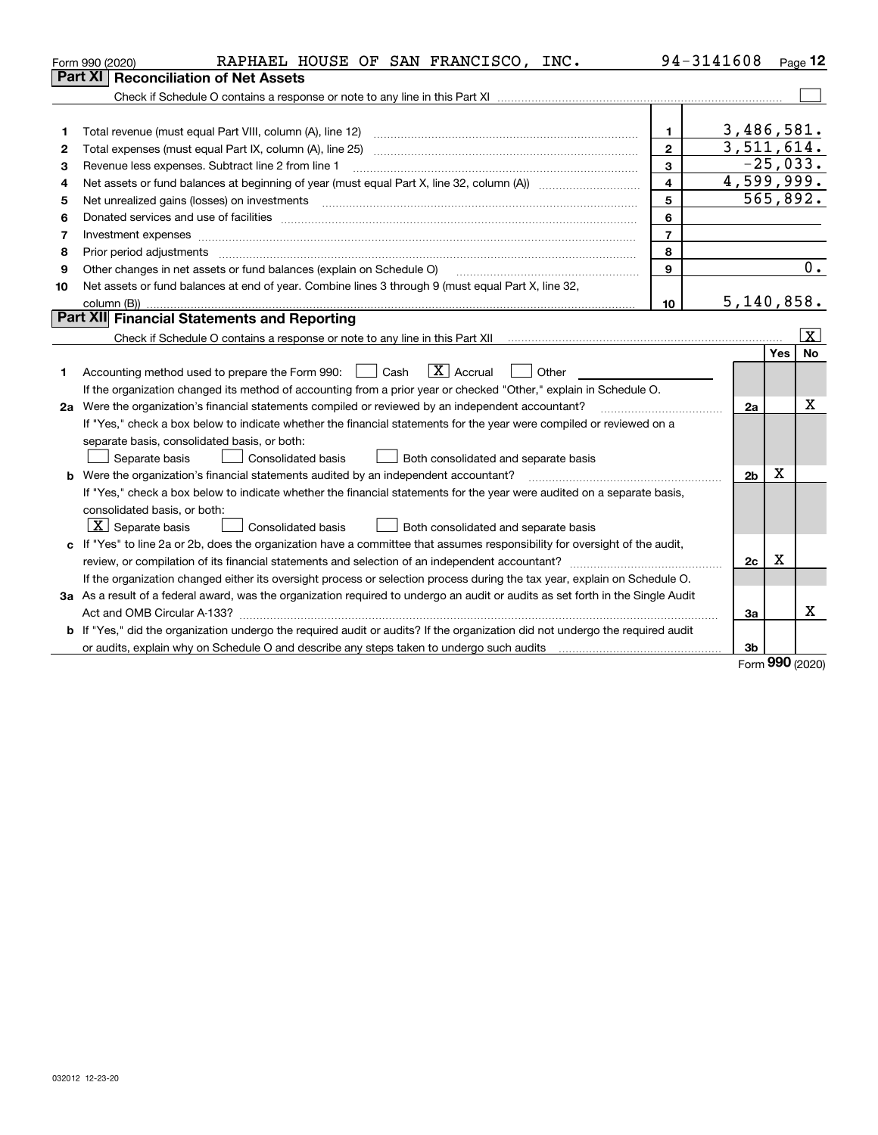|    | RAPHAEL HOUSE OF SAN FRANCISCO, INC.<br>Form 990 (2020)                                                                                                                                                                        |                         | 94-3141608     |            | Page $12$    |  |
|----|--------------------------------------------------------------------------------------------------------------------------------------------------------------------------------------------------------------------------------|-------------------------|----------------|------------|--------------|--|
|    | <b>Part XI</b><br><b>Reconciliation of Net Assets</b>                                                                                                                                                                          |                         |                |            |              |  |
|    |                                                                                                                                                                                                                                |                         |                |            |              |  |
|    |                                                                                                                                                                                                                                |                         |                |            |              |  |
| 1  |                                                                                                                                                                                                                                | 1                       | 3,486,581.     |            |              |  |
| 2  |                                                                                                                                                                                                                                | $\mathbf{2}$            | 3,511,614.     |            | $-25,033.$   |  |
| з  | 3<br>Revenue less expenses. Subtract line 2 from line 1                                                                                                                                                                        |                         |                |            |              |  |
| 4  |                                                                                                                                                                                                                                | $\overline{\mathbf{4}}$ | 4,599,999.     |            |              |  |
| 5  | Net unrealized gains (losses) on investments [11] [12] [12] [13] [13] [13] [13] [14] [15] [15] [15] [15] [15] [                                                                                                                | 5                       |                |            | 565,892.     |  |
| 6  | Donated services and use of facilities [111] matter contracts and the facilities in the matter of facilities [11] matter contracts and use of facilities [11] matter contracts and the service of the service of the service o | 6                       |                |            |              |  |
| 7  |                                                                                                                                                                                                                                | $\overline{7}$          |                |            |              |  |
| 8  | Prior period adjustments material contents and content of the content of the content of the content of the content of the content of the content of the content of the content of the content of the content of the content of | 8                       |                |            |              |  |
| 9  | Other changes in net assets or fund balances (explain on Schedule O)                                                                                                                                                           | 9                       |                |            | 0.           |  |
| 10 | Net assets or fund balances at end of year. Combine lines 3 through 9 (must equal Part X, line 32,                                                                                                                             |                         |                |            |              |  |
|    |                                                                                                                                                                                                                                | 10                      | 5,140,858.     |            |              |  |
|    | Part XII Financial Statements and Reporting                                                                                                                                                                                    |                         |                |            |              |  |
|    |                                                                                                                                                                                                                                |                         |                |            | $\mathbf{x}$ |  |
|    |                                                                                                                                                                                                                                |                         |                | <b>Yes</b> | <b>No</b>    |  |
| 1  | $\boxed{\text{X}}$ Accrual<br>Accounting method used to prepare the Form 990: <u>I</u> Cash<br>Other<br>$\perp$                                                                                                                |                         |                |            |              |  |
|    | If the organization changed its method of accounting from a prior year or checked "Other," explain in Schedule O.                                                                                                              |                         |                |            |              |  |
|    | 2a Were the organization's financial statements compiled or reviewed by an independent accountant?<br>2a                                                                                                                       |                         |                |            |              |  |
|    | If "Yes," check a box below to indicate whether the financial statements for the year were compiled or reviewed on a                                                                                                           |                         |                |            |              |  |
|    | separate basis, consolidated basis, or both:                                                                                                                                                                                   |                         |                |            |              |  |
|    | Separate basis<br>Consolidated basis<br>Both consolidated and separate basis                                                                                                                                                   |                         |                |            |              |  |
|    | <b>b</b> Were the organization's financial statements audited by an independent accountant?                                                                                                                                    |                         | 2 <sub>b</sub> | Х          |              |  |
|    | If "Yes," check a box below to indicate whether the financial statements for the year were audited on a separate basis,                                                                                                        |                         |                |            |              |  |
|    | consolidated basis, or both:                                                                                                                                                                                                   |                         |                |            |              |  |
|    | $ \mathbf{X} $ Separate basis<br><b>Consolidated basis</b><br>Both consolidated and separate basis                                                                                                                             |                         |                |            |              |  |
|    | c If "Yes" to line 2a or 2b, does the organization have a committee that assumes responsibility for oversight of the audit,                                                                                                    |                         |                |            |              |  |
|    | х<br>2c                                                                                                                                                                                                                        |                         |                |            |              |  |
|    | If the organization changed either its oversight process or selection process during the tax year, explain on Schedule O.                                                                                                      |                         |                |            |              |  |
|    | 3a As a result of a federal award, was the organization required to undergo an audit or audits as set forth in the Single Audit                                                                                                |                         |                |            |              |  |
|    |                                                                                                                                                                                                                                |                         | 3a             |            | x            |  |
|    | <b>b</b> If "Yes," did the organization undergo the required audit or audits? If the organization did not undergo the required audit                                                                                           |                         |                |            |              |  |
|    |                                                                                                                                                                                                                                |                         | 3 <sub>b</sub> |            |              |  |

Form (2020) **990**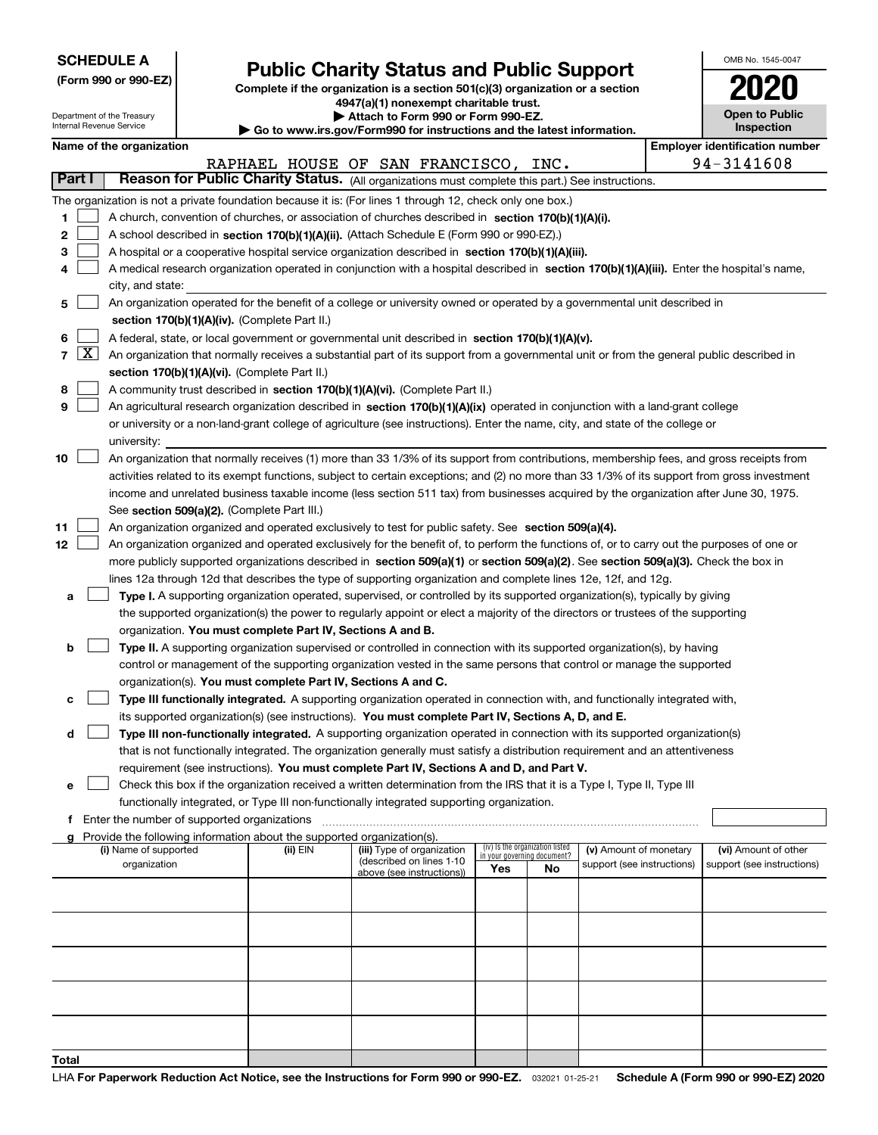|  | <b>SCHEDULE A</b> |
|--|-------------------|
|--|-------------------|

Department of the Treasury Internal Revenue Service

**(Form 990 or 990-EZ)**

## **Public Charity Status and Public Support**

**Complete if the organization is a section 501(c)(3) organization or a section 4947(a)(1) nonexempt charitable trust. | Attach to Form 990 or Form 990-EZ.** 

| $\blacksquare$                                                           |
|--------------------------------------------------------------------------|
| ▶ Go to www.irs.gov/Form990 for instructions and the latest information. |

| OMB No 1545-0047             |
|------------------------------|
| 2020                         |
| Open to Public<br>Inspection |

|  | Name of the organization |
|--|--------------------------|
|--|--------------------------|

|            |                                                                                                           | Name of the organization                                                                                                                                                                                                                                                              |          |                                      |                                 |     |                            |  | <b>Employer identification number</b> |
|------------|-----------------------------------------------------------------------------------------------------------|---------------------------------------------------------------------------------------------------------------------------------------------------------------------------------------------------------------------------------------------------------------------------------------|----------|--------------------------------------|---------------------------------|-----|----------------------------|--|---------------------------------------|
|            |                                                                                                           |                                                                                                                                                                                                                                                                                       |          | RAPHAEL HOUSE OF SAN FRANCISCO, INC. |                                 |     |                            |  | 94-3141608                            |
| Part I     |                                                                                                           | Reason for Public Charity Status. (All organizations must complete this part.) See instructions.                                                                                                                                                                                      |          |                                      |                                 |     |                            |  |                                       |
|            | The organization is not a private foundation because it is: (For lines 1 through 12, check only one box.) |                                                                                                                                                                                                                                                                                       |          |                                      |                                 |     |                            |  |                                       |
| 1          |                                                                                                           | A church, convention of churches, or association of churches described in section 170(b)(1)(A)(i).                                                                                                                                                                                    |          |                                      |                                 |     |                            |  |                                       |
| 2          |                                                                                                           | A school described in section 170(b)(1)(A)(ii). (Attach Schedule E (Form 990 or 990-EZ).)                                                                                                                                                                                             |          |                                      |                                 |     |                            |  |                                       |
| з          |                                                                                                           | A hospital or a cooperative hospital service organization described in section 170(b)(1)(A)(iii).                                                                                                                                                                                     |          |                                      |                                 |     |                            |  |                                       |
| 4          |                                                                                                           | A medical research organization operated in conjunction with a hospital described in section 170(b)(1)(A)(iii). Enter the hospital's name,                                                                                                                                            |          |                                      |                                 |     |                            |  |                                       |
|            |                                                                                                           | city, and state:                                                                                                                                                                                                                                                                      |          |                                      |                                 |     |                            |  |                                       |
| 5          |                                                                                                           | An organization operated for the benefit of a college or university owned or operated by a governmental unit described in                                                                                                                                                             |          |                                      |                                 |     |                            |  |                                       |
|            |                                                                                                           | section 170(b)(1)(A)(iv). (Complete Part II.)                                                                                                                                                                                                                                         |          |                                      |                                 |     |                            |  |                                       |
| 6          |                                                                                                           | A federal, state, or local government or governmental unit described in section 170(b)(1)(A)(v).                                                                                                                                                                                      |          |                                      |                                 |     |                            |  |                                       |
| $7 \times$ |                                                                                                           | An organization that normally receives a substantial part of its support from a governmental unit or from the general public described in                                                                                                                                             |          |                                      |                                 |     |                            |  |                                       |
|            |                                                                                                           | section 170(b)(1)(A)(vi). (Complete Part II.)                                                                                                                                                                                                                                         |          |                                      |                                 |     |                            |  |                                       |
| 8          |                                                                                                           | A community trust described in section 170(b)(1)(A)(vi). (Complete Part II.)                                                                                                                                                                                                          |          |                                      |                                 |     |                            |  |                                       |
| 9          |                                                                                                           | An agricultural research organization described in section 170(b)(1)(A)(ix) operated in conjunction with a land-grant college                                                                                                                                                         |          |                                      |                                 |     |                            |  |                                       |
|            |                                                                                                           | or university or a non-land-grant college of agriculture (see instructions). Enter the name, city, and state of the college or                                                                                                                                                        |          |                                      |                                 |     |                            |  |                                       |
|            |                                                                                                           | university:                                                                                                                                                                                                                                                                           |          |                                      |                                 |     |                            |  |                                       |
| 10         |                                                                                                           | An organization that normally receives (1) more than 33 1/3% of its support from contributions, membership fees, and gross receipts from                                                                                                                                              |          |                                      |                                 |     |                            |  |                                       |
|            |                                                                                                           | activities related to its exempt functions, subject to certain exceptions; and (2) no more than 33 1/3% of its support from gross investment<br>income and unrelated business taxable income (less section 511 tax) from businesses acquired by the organization after June 30, 1975. |          |                                      |                                 |     |                            |  |                                       |
|            |                                                                                                           | See section 509(a)(2). (Complete Part III.)                                                                                                                                                                                                                                           |          |                                      |                                 |     |                            |  |                                       |
| 11         |                                                                                                           | An organization organized and operated exclusively to test for public safety. See section 509(a)(4).                                                                                                                                                                                  |          |                                      |                                 |     |                            |  |                                       |
| 12         |                                                                                                           | An organization organized and operated exclusively for the benefit of, to perform the functions of, or to carry out the purposes of one or                                                                                                                                            |          |                                      |                                 |     |                            |  |                                       |
|            |                                                                                                           | more publicly supported organizations described in section 509(a)(1) or section 509(a)(2). See section 509(a)(3). Check the box in                                                                                                                                                    |          |                                      |                                 |     |                            |  |                                       |
|            |                                                                                                           | lines 12a through 12d that describes the type of supporting organization and complete lines 12e, 12f, and 12g.                                                                                                                                                                        |          |                                      |                                 |     |                            |  |                                       |
| а          |                                                                                                           | Type I. A supporting organization operated, supervised, or controlled by its supported organization(s), typically by giving                                                                                                                                                           |          |                                      |                                 |     |                            |  |                                       |
|            |                                                                                                           | the supported organization(s) the power to regularly appoint or elect a majority of the directors or trustees of the supporting                                                                                                                                                       |          |                                      |                                 |     |                            |  |                                       |
|            |                                                                                                           | organization. You must complete Part IV, Sections A and B.                                                                                                                                                                                                                            |          |                                      |                                 |     |                            |  |                                       |
| b          |                                                                                                           | Type II. A supporting organization supervised or controlled in connection with its supported organization(s), by having                                                                                                                                                               |          |                                      |                                 |     |                            |  |                                       |
|            |                                                                                                           | control or management of the supporting organization vested in the same persons that control or manage the supported                                                                                                                                                                  |          |                                      |                                 |     |                            |  |                                       |
|            |                                                                                                           | organization(s). You must complete Part IV, Sections A and C.                                                                                                                                                                                                                         |          |                                      |                                 |     |                            |  |                                       |
| с          |                                                                                                           | Type III functionally integrated. A supporting organization operated in connection with, and functionally integrated with,                                                                                                                                                            |          |                                      |                                 |     |                            |  |                                       |
|            |                                                                                                           | its supported organization(s) (see instructions). You must complete Part IV, Sections A, D, and E.                                                                                                                                                                                    |          |                                      |                                 |     |                            |  |                                       |
| d          |                                                                                                           | Type III non-functionally integrated. A supporting organization operated in connection with its supported organization(s)                                                                                                                                                             |          |                                      |                                 |     |                            |  |                                       |
|            |                                                                                                           | that is not functionally integrated. The organization generally must satisfy a distribution requirement and an attentiveness                                                                                                                                                          |          |                                      |                                 |     |                            |  |                                       |
|            |                                                                                                           | requirement (see instructions). You must complete Part IV, Sections A and D, and Part V.                                                                                                                                                                                              |          |                                      |                                 |     |                            |  |                                       |
| е          |                                                                                                           | Check this box if the organization received a written determination from the IRS that it is a Type I, Type II, Type III                                                                                                                                                               |          |                                      |                                 |     |                            |  |                                       |
|            |                                                                                                           | functionally integrated, or Type III non-functionally integrated supporting organization.                                                                                                                                                                                             |          |                                      |                                 |     |                            |  |                                       |
| f          |                                                                                                           | Enter the number of supported organizations                                                                                                                                                                                                                                           |          |                                      |                                 |     |                            |  |                                       |
|            |                                                                                                           | g Provide the following information about the supported organization(s).<br>(i) Name of supported                                                                                                                                                                                     | (ii) EIN | (iii) Type of organization           | (iv) Is the organization listed |     | (v) Amount of monetary     |  | (vi) Amount of other                  |
|            |                                                                                                           | organization                                                                                                                                                                                                                                                                          |          | (described on lines 1-10             | in your governing document?     |     | support (see instructions) |  | support (see instructions)            |
|            |                                                                                                           |                                                                                                                                                                                                                                                                                       |          | above (see instructions))            | Yes                             | No. |                            |  |                                       |
|            |                                                                                                           |                                                                                                                                                                                                                                                                                       |          |                                      |                                 |     |                            |  |                                       |
|            |                                                                                                           |                                                                                                                                                                                                                                                                                       |          |                                      |                                 |     |                            |  |                                       |
|            |                                                                                                           |                                                                                                                                                                                                                                                                                       |          |                                      |                                 |     |                            |  |                                       |
|            |                                                                                                           |                                                                                                                                                                                                                                                                                       |          |                                      |                                 |     |                            |  |                                       |
|            |                                                                                                           |                                                                                                                                                                                                                                                                                       |          |                                      |                                 |     |                            |  |                                       |
|            |                                                                                                           |                                                                                                                                                                                                                                                                                       |          |                                      |                                 |     |                            |  |                                       |
|            |                                                                                                           |                                                                                                                                                                                                                                                                                       |          |                                      |                                 |     |                            |  |                                       |
|            |                                                                                                           |                                                                                                                                                                                                                                                                                       |          |                                      |                                 |     |                            |  |                                       |
|            |                                                                                                           |                                                                                                                                                                                                                                                                                       |          |                                      |                                 |     |                            |  |                                       |
| Total      |                                                                                                           |                                                                                                                                                                                                                                                                                       |          |                                      |                                 |     |                            |  |                                       |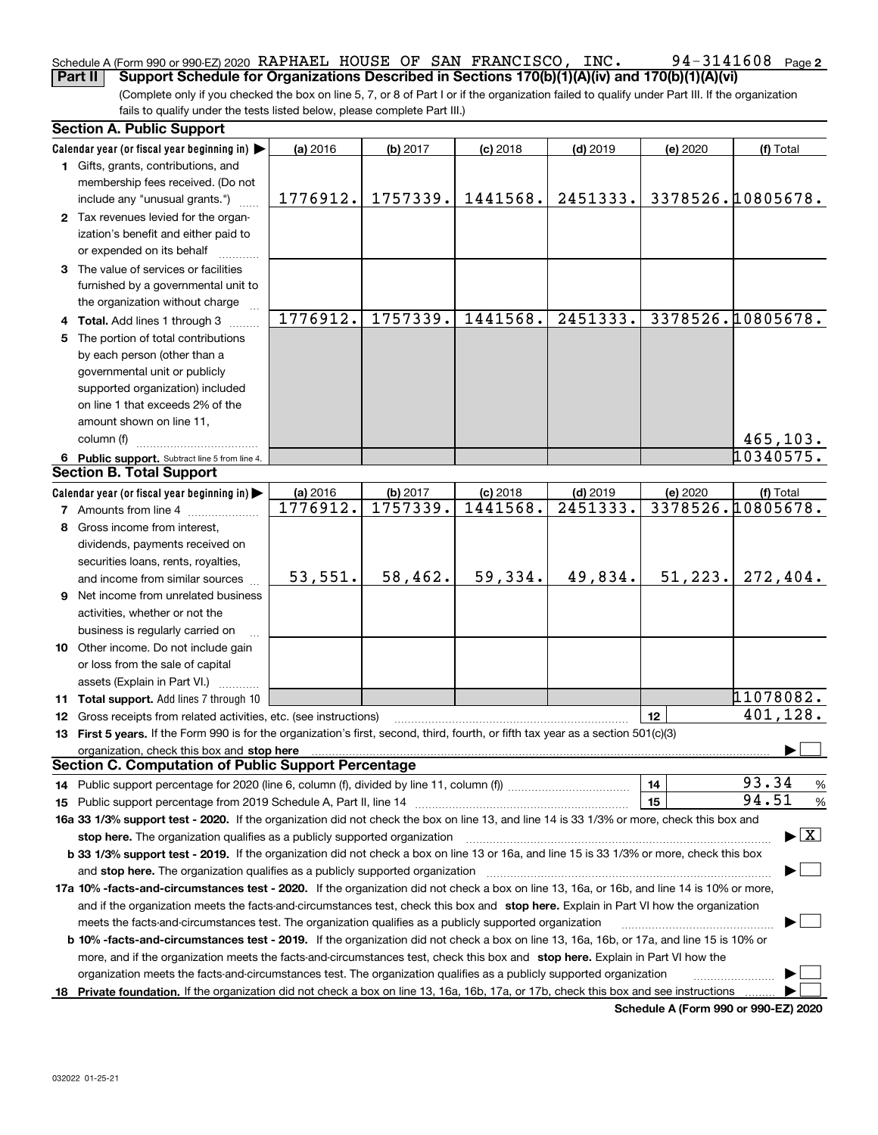### **2** Schedule A (Form 990 or 990-EZ) 2020  $\,$  RAPHAEL  $\,$  HOUSE OF SAN FRANCISCO ,  $\,$  INC  $\,$  .  $\,$   $\,$   $\,$  94  $-$  3141608  $\,$   $\,$  Page **Part II Support Schedule for Organizations Described in Sections 170(b)(1)(A)(iv) and 170(b)(1)(A)(vi)**

(Complete only if you checked the box on line 5, 7, or 8 of Part I or if the organization failed to qualify under Part III. If the organization fails to qualify under the tests listed below, please complete Part III.)

|    | <b>Section A. Public Support</b>                                                                                                                                                                                               |          |          |            |            |          |                                          |
|----|--------------------------------------------------------------------------------------------------------------------------------------------------------------------------------------------------------------------------------|----------|----------|------------|------------|----------|------------------------------------------|
|    | Calendar year (or fiscal year beginning in)                                                                                                                                                                                    | (a) 2016 | (b) 2017 | $(c)$ 2018 | $(d)$ 2019 | (e) 2020 | (f) Total                                |
|    | 1 Gifts, grants, contributions, and                                                                                                                                                                                            |          |          |            |            |          |                                          |
|    | membership fees received. (Do not                                                                                                                                                                                              |          |          |            |            |          |                                          |
|    | include any "unusual grants.")                                                                                                                                                                                                 | 1776912. | 1757339. | 1441568.   | 2451333.   |          | 3378526.10805678.                        |
|    | 2 Tax revenues levied for the organ-                                                                                                                                                                                           |          |          |            |            |          |                                          |
|    | ization's benefit and either paid to                                                                                                                                                                                           |          |          |            |            |          |                                          |
|    | or expended on its behalf                                                                                                                                                                                                      |          |          |            |            |          |                                          |
|    | 3 The value of services or facilities                                                                                                                                                                                          |          |          |            |            |          |                                          |
|    | furnished by a governmental unit to                                                                                                                                                                                            |          |          |            |            |          |                                          |
|    | the organization without charge                                                                                                                                                                                                |          |          |            |            |          |                                          |
|    | 4 Total. Add lines 1 through 3                                                                                                                                                                                                 | 1776912. | 1757339. | 1441568.   | 2451333.   |          | 3378526.10805678.                        |
| 5. | The portion of total contributions                                                                                                                                                                                             |          |          |            |            |          |                                          |
|    | by each person (other than a                                                                                                                                                                                                   |          |          |            |            |          |                                          |
|    | governmental unit or publicly                                                                                                                                                                                                  |          |          |            |            |          |                                          |
|    | supported organization) included                                                                                                                                                                                               |          |          |            |            |          |                                          |
|    | on line 1 that exceeds 2% of the                                                                                                                                                                                               |          |          |            |            |          |                                          |
|    | amount shown on line 11,                                                                                                                                                                                                       |          |          |            |            |          |                                          |
|    | column (f)                                                                                                                                                                                                                     |          |          |            |            |          | 465, 103.                                |
|    | 6 Public support. Subtract line 5 from line 4.                                                                                                                                                                                 |          |          |            |            |          | 10340575.                                |
|    | <b>Section B. Total Support</b>                                                                                                                                                                                                |          |          |            |            |          |                                          |
|    | Calendar year (or fiscal year beginning in)                                                                                                                                                                                    | (a) 2016 | (b) 2017 | $(c)$ 2018 | $(d)$ 2019 | (e) 2020 | (f) Total                                |
|    | <b>7</b> Amounts from line 4                                                                                                                                                                                                   | 1776912. | 1757339. | 1441568.   | 2451333.   |          | 3378526.10805678.                        |
| 8  | Gross income from interest,                                                                                                                                                                                                    |          |          |            |            |          |                                          |
|    | dividends, payments received on                                                                                                                                                                                                |          |          |            |            |          |                                          |
|    | securities loans, rents, royalties,                                                                                                                                                                                            |          |          |            |            |          |                                          |
|    | and income from similar sources                                                                                                                                                                                                | 53,551.  | 58,462.  | 59,334.    | 49,834.    | 51,223.  | 272,404.                                 |
|    | 9 Net income from unrelated business                                                                                                                                                                                           |          |          |            |            |          |                                          |
|    | activities, whether or not the                                                                                                                                                                                                 |          |          |            |            |          |                                          |
|    | business is regularly carried on                                                                                                                                                                                               |          |          |            |            |          |                                          |
|    | 10 Other income. Do not include gain                                                                                                                                                                                           |          |          |            |            |          |                                          |
|    | or loss from the sale of capital                                                                                                                                                                                               |          |          |            |            |          |                                          |
|    | assets (Explain in Part VI.)                                                                                                                                                                                                   |          |          |            |            |          |                                          |
|    | 11 Total support. Add lines 7 through 10                                                                                                                                                                                       |          |          |            |            |          | 11078082.                                |
|    | <b>12</b> Gross receipts from related activities, etc. (see instructions)                                                                                                                                                      |          |          |            |            | 12       | 401,128.                                 |
|    | 13 First 5 years. If the Form 990 is for the organization's first, second, third, fourth, or fifth tax year as a section 501(c)(3)                                                                                             |          |          |            |            |          |                                          |
|    | organization, check this box and stop here manufactured and stop here and stop here are all the control of the state of the state of the state of the state of the state of the state of the state of the state of the state o |          |          |            |            |          |                                          |
|    | <b>Section C. Computation of Public Support Percentage</b>                                                                                                                                                                     |          |          |            |            |          |                                          |
|    | 14 Public support percentage for 2020 (line 6, column (f), divided by line 11, column (f) <i>mummanon</i> mummanon                                                                                                             |          |          |            |            | 14       | 93.34<br>%                               |
|    |                                                                                                                                                                                                                                |          |          |            |            | 15       | 94.51<br>%                               |
|    | 16a 33 1/3% support test - 2020. If the organization did not check the box on line 13, and line 14 is 33 1/3% or more, check this box and                                                                                      |          |          |            |            |          |                                          |
|    | stop here. The organization qualifies as a publicly supported organization                                                                                                                                                     |          |          |            |            |          | $\blacktriangleright$ $\boxed{\text{X}}$ |
|    | b 33 1/3% support test - 2019. If the organization did not check a box on line 13 or 16a, and line 15 is 33 1/3% or more, check this box                                                                                       |          |          |            |            |          |                                          |
|    |                                                                                                                                                                                                                                |          |          |            |            |          |                                          |
|    | and stop here. The organization qualifies as a publicly supported organization                                                                                                                                                 |          |          |            |            |          |                                          |
|    | 17a 10% -facts-and-circumstances test - 2020. If the organization did not check a box on line 13, 16a, or 16b, and line 14 is 10% or more,                                                                                     |          |          |            |            |          |                                          |
|    | and if the organization meets the facts-and-circumstances test, check this box and stop here. Explain in Part VI how the organization                                                                                          |          |          |            |            |          |                                          |
|    | meets the facts-and-circumstances test. The organization qualifies as a publicly supported organization                                                                                                                        |          |          |            |            |          |                                          |
|    | <b>b 10% -facts-and-circumstances test - 2019.</b> If the organization did not check a box on line 13, 16a, 16b, or 17a, and line 15 is 10% or                                                                                 |          |          |            |            |          |                                          |
|    | more, and if the organization meets the facts-and-circumstances test, check this box and stop here. Explain in Part VI how the                                                                                                 |          |          |            |            |          |                                          |
|    | organization meets the facts-and-circumstances test. The organization qualifies as a publicly supported organization                                                                                                           |          |          |            |            |          |                                          |
|    | 18 Private foundation. If the organization did not check a box on line 13, 16a, 16b, 17a, or 17b, check this box and see instructions                                                                                          |          |          |            |            |          |                                          |

**Schedule A (Form 990 or 990-EZ) 2020**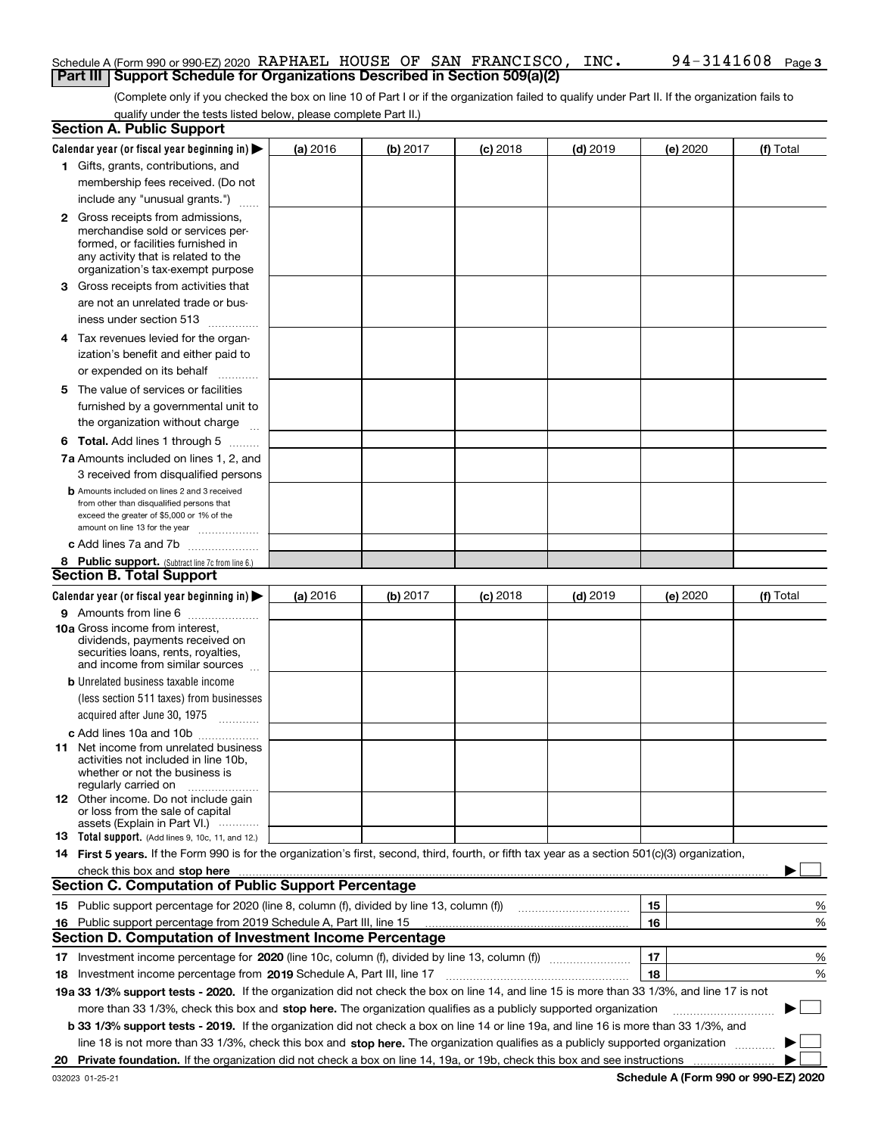### Schedule A (Form 990 or 990-EZ) 2020  $\,$  RAPHAEL  $\,$  HOUSE OF SAN FRANCISCO ,  $\,$  INC  $\,$  .  $\,$   $\,$   $\,$  94  $-$  3141608  $\,$   $\,$  Page **Part III** | Support Schedule for Organizations Described in Section 509(a)(2)

(Complete only if you checked the box on line 10 of Part I or if the organization failed to qualify under Part II. If the organization fails to qualify under the tests listed below, please complete Part II.)

|    | <b>Section A. Public Support</b>                                                                                                                 |          |          |            |            |          |           |
|----|--------------------------------------------------------------------------------------------------------------------------------------------------|----------|----------|------------|------------|----------|-----------|
|    | Calendar year (or fiscal year beginning in) $\blacktriangleright$                                                                                | (a) 2016 | (b) 2017 | $(c)$ 2018 | $(d)$ 2019 | (e) 2020 | (f) Total |
|    | 1 Gifts, grants, contributions, and                                                                                                              |          |          |            |            |          |           |
|    | membership fees received. (Do not                                                                                                                |          |          |            |            |          |           |
|    | include any "unusual grants.")                                                                                                                   |          |          |            |            |          |           |
|    | <b>2</b> Gross receipts from admissions,                                                                                                         |          |          |            |            |          |           |
|    | merchandise sold or services per-                                                                                                                |          |          |            |            |          |           |
|    | formed, or facilities furnished in                                                                                                               |          |          |            |            |          |           |
|    | any activity that is related to the<br>organization's tax-exempt purpose                                                                         |          |          |            |            |          |           |
|    | 3 Gross receipts from activities that                                                                                                            |          |          |            |            |          |           |
|    | are not an unrelated trade or bus-                                                                                                               |          |          |            |            |          |           |
|    |                                                                                                                                                  |          |          |            |            |          |           |
|    | iness under section 513                                                                                                                          |          |          |            |            |          |           |
|    | 4 Tax revenues levied for the organ-                                                                                                             |          |          |            |            |          |           |
|    | ization's benefit and either paid to                                                                                                             |          |          |            |            |          |           |
|    | or expended on its behalf<br>.                                                                                                                   |          |          |            |            |          |           |
|    | 5 The value of services or facilities                                                                                                            |          |          |            |            |          |           |
|    | furnished by a governmental unit to                                                                                                              |          |          |            |            |          |           |
|    | the organization without charge                                                                                                                  |          |          |            |            |          |           |
|    | <b>6 Total.</b> Add lines 1 through 5                                                                                                            |          |          |            |            |          |           |
|    | 7a Amounts included on lines 1, 2, and                                                                                                           |          |          |            |            |          |           |
|    | 3 received from disqualified persons                                                                                                             |          |          |            |            |          |           |
|    | <b>b</b> Amounts included on lines 2 and 3 received                                                                                              |          |          |            |            |          |           |
|    | from other than disqualified persons that                                                                                                        |          |          |            |            |          |           |
|    | exceed the greater of \$5,000 or 1% of the<br>amount on line 13 for the year                                                                     |          |          |            |            |          |           |
|    | c Add lines 7a and 7b                                                                                                                            |          |          |            |            |          |           |
|    | 8 Public support. (Subtract line 7c from line 6.)                                                                                                |          |          |            |            |          |           |
|    | <b>Section B. Total Support</b>                                                                                                                  |          |          |            |            |          |           |
|    | Calendar year (or fiscal year beginning in)                                                                                                      | (a) 2016 | (b) 2017 | $(c)$ 2018 | $(d)$ 2019 | (e) 2020 | (f) Total |
|    | 9 Amounts from line 6                                                                                                                            |          |          |            |            |          |           |
|    | <b>10a</b> Gross income from interest,                                                                                                           |          |          |            |            |          |           |
|    | dividends, payments received on                                                                                                                  |          |          |            |            |          |           |
|    | securities loans, rents, royalties,<br>and income from similar sources                                                                           |          |          |            |            |          |           |
|    | <b>b</b> Unrelated business taxable income                                                                                                       |          |          |            |            |          |           |
|    | (less section 511 taxes) from businesses                                                                                                         |          |          |            |            |          |           |
|    | acquired after June 30, 1975 [10001]                                                                                                             |          |          |            |            |          |           |
|    |                                                                                                                                                  |          |          |            |            |          |           |
|    | c Add lines 10a and 10b<br>11 Net income from unrelated business                                                                                 |          |          |            |            |          |           |
|    | activities not included in line 10b,                                                                                                             |          |          |            |            |          |           |
|    | whether or not the business is                                                                                                                   |          |          |            |            |          |           |
|    | regularly carried on                                                                                                                             |          |          |            |            |          |           |
|    | <b>12</b> Other income. Do not include gain<br>or loss from the sale of capital                                                                  |          |          |            |            |          |           |
|    | assets (Explain in Part VI.)                                                                                                                     |          |          |            |            |          |           |
|    | <b>13</b> Total support. (Add lines 9, 10c, 11, and 12.)                                                                                         |          |          |            |            |          |           |
|    | 14 First 5 years. If the Form 990 is for the organization's first, second, third, fourth, or fifth tax year as a section 501(c)(3) organization, |          |          |            |            |          |           |
|    | check this box and stop here measurements are constructed as the state of the state of the state of the state o                                  |          |          |            |            |          |           |
|    | <b>Section C. Computation of Public Support Percentage</b>                                                                                       |          |          |            |            |          |           |
|    | 15 Public support percentage for 2020 (line 8, column (f), divided by line 13, column (f))                                                       |          |          |            |            | 15       | %         |
|    | 16 Public support percentage from 2019 Schedule A, Part III, line 15                                                                             |          |          |            |            | 16       | %         |
|    | Section D. Computation of Investment Income Percentage                                                                                           |          |          |            |            |          |           |
|    | 17 Investment income percentage for 2020 (line 10c, column (f), divided by line 13, column (f))                                                  |          |          |            |            | 17       | %         |
|    | <b>18</b> Investment income percentage from <b>2019</b> Schedule A, Part III, line 17                                                            |          |          |            |            | 18       | %         |
|    | 19a 33 1/3% support tests - 2020. If the organization did not check the box on line 14, and line 15 is more than 33 1/3%, and line 17 is not     |          |          |            |            |          |           |
|    | more than 33 1/3%, check this box and stop here. The organization qualifies as a publicly supported organization                                 |          |          |            |            |          | ▶         |
|    | b 33 1/3% support tests - 2019. If the organization did not check a box on line 14 or line 19a, and line 16 is more than 33 1/3%, and            |          |          |            |            |          |           |
|    | line 18 is not more than 33 1/3%, check this box and stop here. The organization qualifies as a publicly supported organization                  |          |          |            |            |          |           |
| 20 |                                                                                                                                                  |          |          |            |            |          |           |
|    |                                                                                                                                                  |          |          |            |            |          |           |

**Schedule A (Form 990 or 990-EZ) 2020**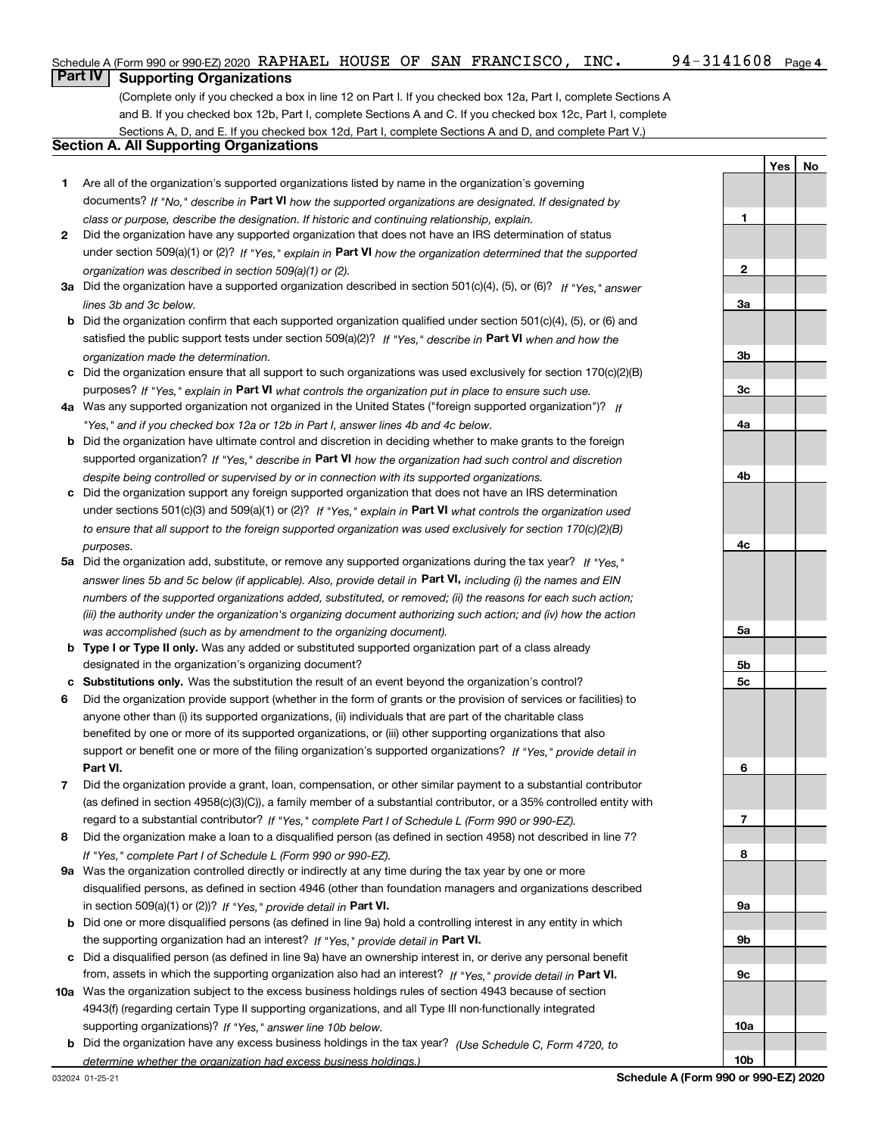**1**

**YesNo**

## **Part IV Supporting Organizations**

(Complete only if you checked a box in line 12 on Part I. If you checked box 12a, Part I, complete Sections A and B. If you checked box 12b, Part I, complete Sections A and C. If you checked box 12c, Part I, complete Sections A, D, and E. If you checked box 12d, Part I, complete Sections A and D, and complete Part V.)

### **Section A. All Supporting Organizations**

- **1** Are all of the organization's supported organizations listed by name in the organization's governing documents? If "No," describe in **Part VI** how the supported organizations are designated. If designated by *class or purpose, describe the designation. If historic and continuing relationship, explain.*
- **2** Did the organization have any supported organization that does not have an IRS determination of status under section 509(a)(1) or (2)? If "Yes," explain in Part VI how the organization determined that the supported *organization was described in section 509(a)(1) or (2).*
- **3a** Did the organization have a supported organization described in section 501(c)(4), (5), or (6)? If "Yes," answer *lines 3b and 3c below.*
- **b** Did the organization confirm that each supported organization qualified under section 501(c)(4), (5), or (6) and satisfied the public support tests under section 509(a)(2)? If "Yes," describe in **Part VI** when and how the *organization made the determination.*
- **c**Did the organization ensure that all support to such organizations was used exclusively for section 170(c)(2)(B) purposes? If "Yes," explain in **Part VI** what controls the organization put in place to ensure such use.
- **4a***If* Was any supported organization not organized in the United States ("foreign supported organization")? *"Yes," and if you checked box 12a or 12b in Part I, answer lines 4b and 4c below.*
- **b** Did the organization have ultimate control and discretion in deciding whether to make grants to the foreign supported organization? If "Yes," describe in **Part VI** how the organization had such control and discretion *despite being controlled or supervised by or in connection with its supported organizations.*
- **c** Did the organization support any foreign supported organization that does not have an IRS determination under sections 501(c)(3) and 509(a)(1) or (2)? If "Yes," explain in **Part VI** what controls the organization used *to ensure that all support to the foreign supported organization was used exclusively for section 170(c)(2)(B) purposes.*
- **5a***If "Yes,"* Did the organization add, substitute, or remove any supported organizations during the tax year? answer lines 5b and 5c below (if applicable). Also, provide detail in **Part VI,** including (i) the names and EIN *numbers of the supported organizations added, substituted, or removed; (ii) the reasons for each such action; (iii) the authority under the organization's organizing document authorizing such action; and (iv) how the action was accomplished (such as by amendment to the organizing document).*
- **b** Type I or Type II only. Was any added or substituted supported organization part of a class already designated in the organization's organizing document?
- **cSubstitutions only.**  Was the substitution the result of an event beyond the organization's control?
- **6** Did the organization provide support (whether in the form of grants or the provision of services or facilities) to **Part VI.** *If "Yes," provide detail in* support or benefit one or more of the filing organization's supported organizations? anyone other than (i) its supported organizations, (ii) individuals that are part of the charitable class benefited by one or more of its supported organizations, or (iii) other supporting organizations that also
- **7**Did the organization provide a grant, loan, compensation, or other similar payment to a substantial contributor *If "Yes," complete Part I of Schedule L (Form 990 or 990-EZ).* regard to a substantial contributor? (as defined in section 4958(c)(3)(C)), a family member of a substantial contributor, or a 35% controlled entity with
- **8** Did the organization make a loan to a disqualified person (as defined in section 4958) not described in line 7? *If "Yes," complete Part I of Schedule L (Form 990 or 990-EZ).*
- **9a** Was the organization controlled directly or indirectly at any time during the tax year by one or more in section 509(a)(1) or (2))? If "Yes," *provide detail in* <code>Part VI.</code> disqualified persons, as defined in section 4946 (other than foundation managers and organizations described
- **b** Did one or more disqualified persons (as defined in line 9a) hold a controlling interest in any entity in which the supporting organization had an interest? If "Yes," provide detail in P**art VI**.
- **c**Did a disqualified person (as defined in line 9a) have an ownership interest in, or derive any personal benefit from, assets in which the supporting organization also had an interest? If "Yes," provide detail in P**art VI.**
- **10a** Was the organization subject to the excess business holdings rules of section 4943 because of section supporting organizations)? If "Yes," answer line 10b below. 4943(f) (regarding certain Type II supporting organizations, and all Type III non-functionally integrated
- **b** Did the organization have any excess business holdings in the tax year? (Use Schedule C, Form 4720, to *determine whether the organization had excess business holdings.)*

**23a3b3c4a4b4c5a5b5c6789a 9b9c10a**

**10b**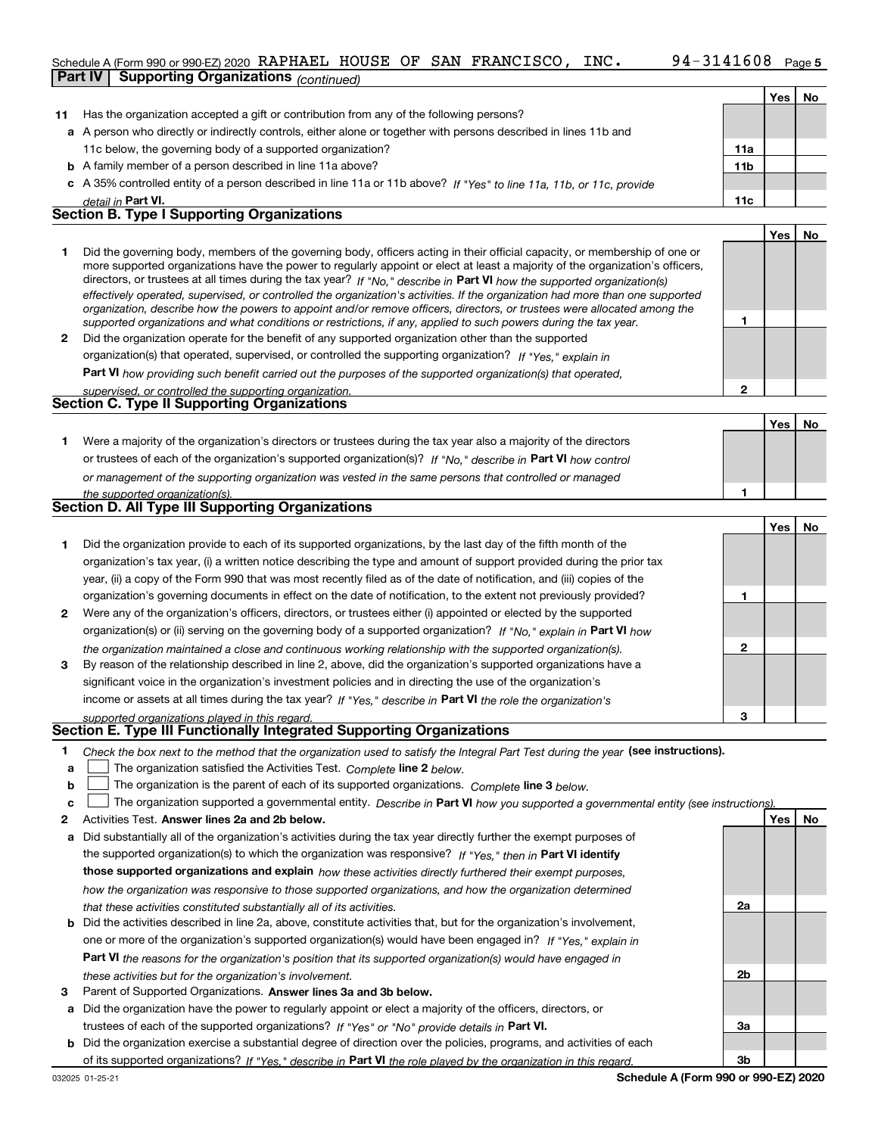### Schedule A (Form 990 or 990-EZ) 2020  $\,$  RAPHAEL  $\,$  HOUSE OF SAN FRANCISCO ,  $\,$  INC  $\,$  .  $\,$   $\,$   $\,$  94  $-$  3141608  $\,$   $\,$  Page

|              | <b>Part IV</b> | <b>Supporting Organizations (continued)</b>                                                                                                                                                                                                               |                 |            |    |
|--------------|----------------|-----------------------------------------------------------------------------------------------------------------------------------------------------------------------------------------------------------------------------------------------------------|-----------------|------------|----|
|              |                |                                                                                                                                                                                                                                                           |                 | Yes        | No |
| 11           |                | Has the organization accepted a gift or contribution from any of the following persons?                                                                                                                                                                   |                 |            |    |
|              |                | a A person who directly or indirectly controls, either alone or together with persons described in lines 11b and                                                                                                                                          |                 |            |    |
|              |                | 11c below, the governing body of a supported organization?                                                                                                                                                                                                | 11a             |            |    |
|              |                | <b>b</b> A family member of a person described in line 11a above?                                                                                                                                                                                         | 11 <sub>b</sub> |            |    |
|              |                | c A 35% controlled entity of a person described in line 11a or 11b above? If "Yes" to line 11a, 11b, or 11c, provide                                                                                                                                      |                 |            |    |
|              |                | detail in Part VI.                                                                                                                                                                                                                                        | 11c             |            |    |
|              |                | <b>Section B. Type I Supporting Organizations</b>                                                                                                                                                                                                         |                 |            |    |
|              |                |                                                                                                                                                                                                                                                           |                 | Yes        | No |
| 1            |                | Did the governing body, members of the governing body, officers acting in their official capacity, or membership of one or                                                                                                                                |                 |            |    |
|              |                | more supported organizations have the power to regularly appoint or elect at least a majority of the organization's officers,                                                                                                                             |                 |            |    |
|              |                | directors, or trustees at all times during the tax year? If "No," describe in Part VI how the supported organization(s)<br>effectively operated, supervised, or controlled the organization's activities. If the organization had more than one supported |                 |            |    |
|              |                | organization, describe how the powers to appoint and/or remove officers, directors, or trustees were allocated among the                                                                                                                                  |                 |            |    |
|              |                | supported organizations and what conditions or restrictions, if any, applied to such powers during the tax year.                                                                                                                                          | 1               |            |    |
| $\mathbf{2}$ |                | Did the organization operate for the benefit of any supported organization other than the supported                                                                                                                                                       |                 |            |    |
|              |                | organization(s) that operated, supervised, or controlled the supporting organization? If "Yes," explain in                                                                                                                                                |                 |            |    |
|              |                | Part VI how providing such benefit carried out the purposes of the supported organization(s) that operated,                                                                                                                                               |                 |            |    |
|              |                | supervised, or controlled the supporting organization.                                                                                                                                                                                                    | $\mathbf{2}$    |            |    |
|              |                | <b>Section C. Type II Supporting Organizations</b>                                                                                                                                                                                                        |                 |            |    |
|              |                |                                                                                                                                                                                                                                                           |                 | Yes        | No |
| 1.           |                | Were a majority of the organization's directors or trustees during the tax year also a majority of the directors                                                                                                                                          |                 |            |    |
|              |                | or trustees of each of the organization's supported organization(s)? If "No," describe in Part VI how control                                                                                                                                             |                 |            |    |
|              |                | or management of the supporting organization was vested in the same persons that controlled or managed                                                                                                                                                    |                 |            |    |
|              |                | the supported organization(s).<br>Section D. All Type III Supporting Organizations                                                                                                                                                                        | 1               |            |    |
|              |                |                                                                                                                                                                                                                                                           |                 |            |    |
|              |                |                                                                                                                                                                                                                                                           |                 | Yes        | No |
| 1            |                | Did the organization provide to each of its supported organizations, by the last day of the fifth month of the                                                                                                                                            |                 |            |    |
|              |                | organization's tax year, (i) a written notice describing the type and amount of support provided during the prior tax                                                                                                                                     |                 |            |    |
|              |                | year, (ii) a copy of the Form 990 that was most recently filed as of the date of notification, and (iii) copies of the                                                                                                                                    |                 |            |    |
|              |                | organization's governing documents in effect on the date of notification, to the extent not previously provided?                                                                                                                                          | 1               |            |    |
| $\mathbf{2}$ |                | Were any of the organization's officers, directors, or trustees either (i) appointed or elected by the supported                                                                                                                                          |                 |            |    |
|              |                | organization(s) or (ii) serving on the governing body of a supported organization? If "No," explain in Part VI how                                                                                                                                        |                 |            |    |
|              |                | the organization maintained a close and continuous working relationship with the supported organization(s).                                                                                                                                               | $\mathbf{2}$    |            |    |
| 3            |                | By reason of the relationship described in line 2, above, did the organization's supported organizations have a                                                                                                                                           |                 |            |    |
|              |                | significant voice in the organization's investment policies and in directing the use of the organization's                                                                                                                                                |                 |            |    |
|              |                | income or assets at all times during the tax year? If "Yes," describe in Part VI the role the organization's                                                                                                                                              |                 |            |    |
|              |                | supported organizations played in this regard.<br>Section E. Type III Functionally Integrated Supporting Organizations                                                                                                                                    | з               |            |    |
| 1            |                | Check the box next to the method that the organization used to satisfy the Integral Part Test during the year (see instructions).                                                                                                                         |                 |            |    |
| a            |                | The organization satisfied the Activities Test. Complete line 2 below.                                                                                                                                                                                    |                 |            |    |
| b            |                | The organization is the parent of each of its supported organizations. Complete line 3 below.                                                                                                                                                             |                 |            |    |
| c            |                | The organization supported a governmental entity. Describe in Part VI how you supported a governmental entity (see instructions).                                                                                                                         |                 |            |    |
| 2            |                | Activities Test. Answer lines 2a and 2b below.                                                                                                                                                                                                            |                 | <b>Yes</b> | No |
| а            |                | Did substantially all of the organization's activities during the tax year directly further the exempt purposes of                                                                                                                                        |                 |            |    |
|              |                | the supported organization(s) to which the organization was responsive? If "Yes." then in Part VI identify                                                                                                                                                |                 |            |    |
|              |                | those supported organizations and explain how these activities directly furthered their exempt purposes,                                                                                                                                                  |                 |            |    |
|              |                | how the organization was responsive to those supported organizations, and how the organization determined                                                                                                                                                 |                 |            |    |

- *that these activities constituted substantially all of its activities.*
- **b** Did the activities described in line 2a, above, constitute activities that, but for the organization's involvement, **Part VI**  *the reasons for the organization's position that its supported organization(s) would have engaged in* one or more of the organization's supported organization(s) would have been engaged in? If "Yes," e*xplain in these activities but for the organization's involvement.*
- **3** Parent of Supported Organizations. Answer lines 3a and 3b below.

**a** Did the organization have the power to regularly appoint or elect a majority of the officers, directors, or trustees of each of the supported organizations? If "Yes" or "No" provide details in **Part VI.** 

**b** Did the organization exercise a substantial degree of direction over the policies, programs, and activities of each of its supported organizations? If "Yes," describe in Part VI the role played by the organization in this regard.

**Schedule A (Form 990 or 990-EZ) 2020**

**2a**

**2b**

**3a**

**3b**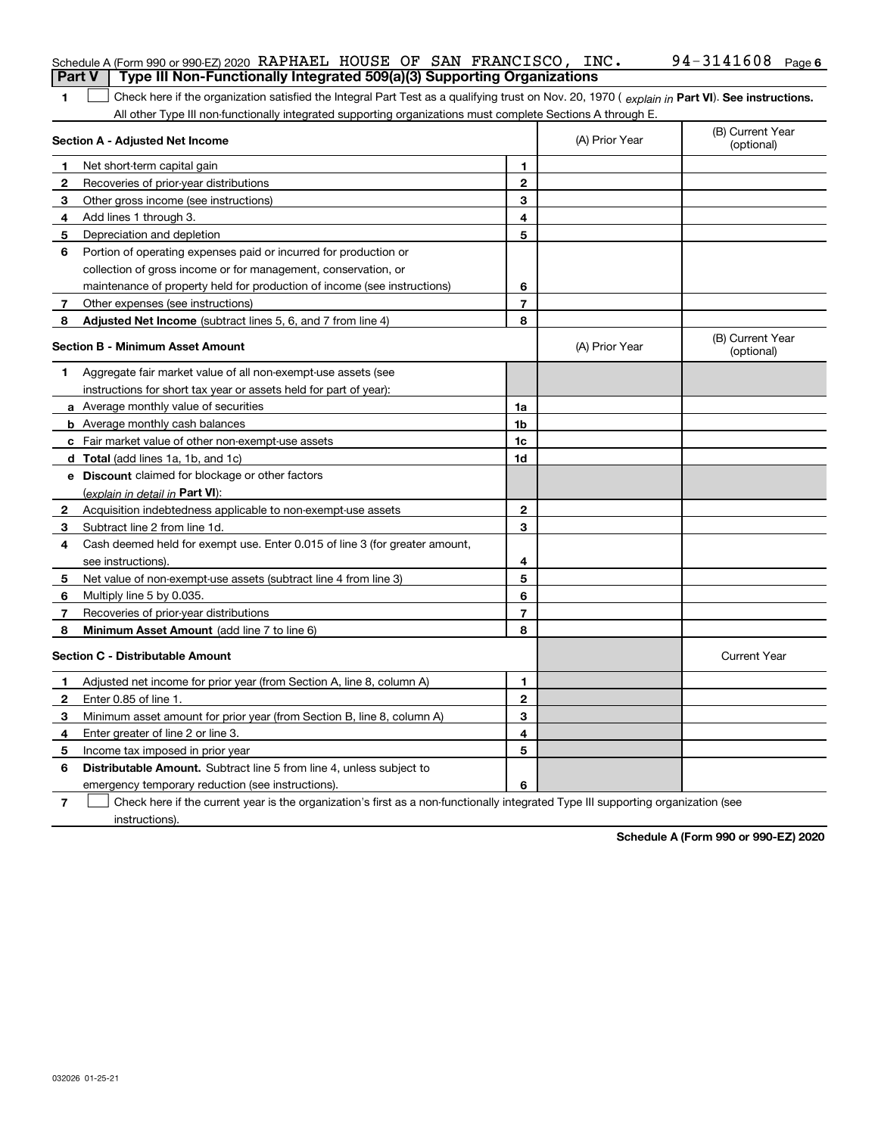| <b>Part V</b> | Schedule A (Form 990 or 990-EZ) 2020 RAPHAEL HOUSE OF SAN FRANCISCO, INC.<br>Type III Non-Functionally Integrated 509(a)(3) Supporting Organizations |                |                | 94-3141608 Page 6              |
|---------------|------------------------------------------------------------------------------------------------------------------------------------------------------|----------------|----------------|--------------------------------|
|               |                                                                                                                                                      |                |                |                                |
| 1             | Check here if the organization satisfied the Integral Part Test as a qualifying trust on Nov. 20, 1970 (explain in Part VI). See instructions.       |                |                |                                |
|               | All other Type III non-functionally integrated supporting organizations must complete Sections A through E.<br>Section A - Adjusted Net Income       |                | (A) Prior Year | (B) Current Year<br>(optional) |
|               | Net short-term capital gain                                                                                                                          | 1              |                |                                |
| 2             | Recoveries of prior-year distributions                                                                                                               | $\mathbf 2$    |                |                                |
| 3             | Other gross income (see instructions)                                                                                                                | 3              |                |                                |
| 4             | Add lines 1 through 3.                                                                                                                               | 4              |                |                                |
| 5             | Depreciation and depletion                                                                                                                           | 5              |                |                                |
| 6             | Portion of operating expenses paid or incurred for production or                                                                                     |                |                |                                |
|               | collection of gross income or for management, conservation, or                                                                                       |                |                |                                |
|               | maintenance of property held for production of income (see instructions)                                                                             | 6              |                |                                |
| 7             | Other expenses (see instructions)                                                                                                                    | $\overline{7}$ |                |                                |
| 8             | Adjusted Net Income (subtract lines 5, 6, and 7 from line 4)                                                                                         | 8              |                |                                |
|               | <b>Section B - Minimum Asset Amount</b>                                                                                                              |                | (A) Prior Year | (B) Current Year<br>(optional) |
| 1.            | Aggregate fair market value of all non-exempt-use assets (see                                                                                        |                |                |                                |
|               | instructions for short tax year or assets held for part of year):                                                                                    |                |                |                                |
|               | a Average monthly value of securities                                                                                                                | 1a             |                |                                |
|               | <b>b</b> Average monthly cash balances                                                                                                               | 1b             |                |                                |
|               | c Fair market value of other non-exempt-use assets                                                                                                   | 1c             |                |                                |
|               | <b>d</b> Total (add lines 1a, 1b, and 1c)                                                                                                            | 1d             |                |                                |
|               | <b>e</b> Discount claimed for blockage or other factors                                                                                              |                |                |                                |
|               | (explain in detail in Part VI):                                                                                                                      |                |                |                                |
| 2             | Acquisition indebtedness applicable to non-exempt-use assets                                                                                         | $\mathbf{2}$   |                |                                |
| 3             | Subtract line 2 from line 1d.                                                                                                                        | 3              |                |                                |
| 4             | Cash deemed held for exempt use. Enter 0.015 of line 3 (for greater amount,                                                                          |                |                |                                |
|               | see instructions).                                                                                                                                   | 4              |                |                                |
| 5             | Net value of non-exempt-use assets (subtract line 4 from line 3)                                                                                     | 5              |                |                                |
| 6             | Multiply line 5 by 0.035.                                                                                                                            | 6              |                |                                |
| 7             | Recoveries of prior-year distributions                                                                                                               | $\overline{7}$ |                |                                |
| 8             | Minimum Asset Amount (add line 7 to line 6)                                                                                                          | 8              |                |                                |
|               | <b>Section C - Distributable Amount</b>                                                                                                              |                |                | <b>Current Year</b>            |
|               | Adjusted net income for prior year (from Section A, line 8, column A)                                                                                | 1              |                |                                |
|               | Enter 0.85 of line 1.                                                                                                                                | 2              |                |                                |
| 3             | Minimum asset amount for prior year (from Section B, line 8, column A)                                                                               | 3              |                |                                |
| 4             | Enter greater of line 2 or line 3.                                                                                                                   | 4              |                |                                |
| 5             | Income tax imposed in prior year                                                                                                                     | 5              |                |                                |
| 6             | <b>Distributable Amount.</b> Subtract line 5 from line 4, unless subject to                                                                          |                |                |                                |
|               | emergency temporary reduction (see instructions).                                                                                                    | 6              |                |                                |
| 7             | Check here if the current year is the organization's first as a non-functionally integrated Type III supporting organization (see                    |                |                |                                |

instructions).

**Schedule A (Form 990 or 990-EZ) 2020**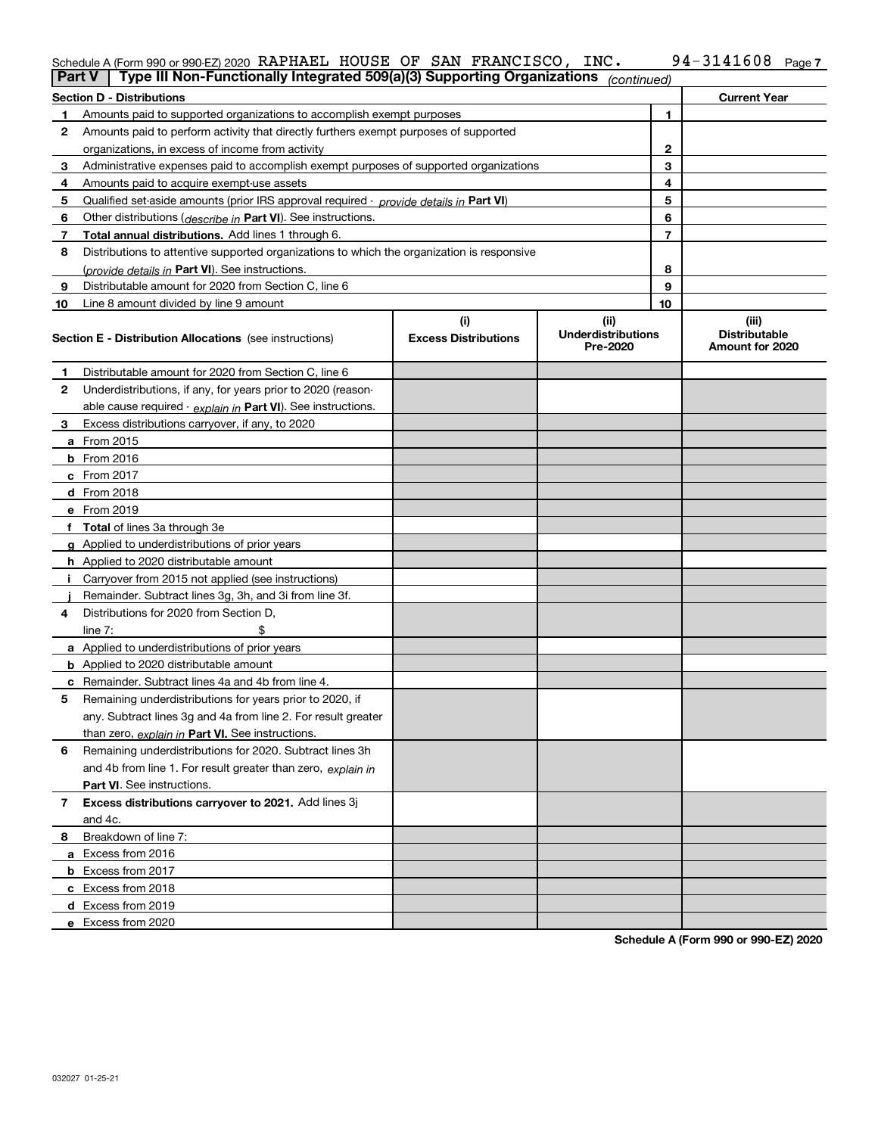### **7** Schedule A (Form 990 or 990-EZ) 2020 KAPHAEL HOUSE OF SAN F'KANCISCO, INC。 94-3I4I6U8 Page RAPHAEL HOUSE OF SAN FRANCISCO, INC. 94-3141608

| <b>Part V</b> | Type III Non-Functionally Integrated 509(a)(3) Supporting Organizations                    |                                    | (continued)                                   |                |                                                  |
|---------------|--------------------------------------------------------------------------------------------|------------------------------------|-----------------------------------------------|----------------|--------------------------------------------------|
|               | <b>Section D - Distributions</b>                                                           |                                    |                                               |                | <b>Current Year</b>                              |
| 1             | Amounts paid to supported organizations to accomplish exempt purposes                      |                                    |                                               | 1              |                                                  |
| 2             | Amounts paid to perform activity that directly furthers exempt purposes of supported       |                                    |                                               |                |                                                  |
|               | organizations, in excess of income from activity                                           |                                    |                                               | 2              |                                                  |
| 3             | Administrative expenses paid to accomplish exempt purposes of supported organizations      | 3                                  |                                               |                |                                                  |
| 4             | Amounts paid to acquire exempt-use assets                                                  |                                    |                                               | 4              |                                                  |
| 5             | Qualified set-aside amounts (prior IRS approval required - provide details in Part VI)     |                                    |                                               | 5              |                                                  |
| 6             | Other distributions ( <i>describe in</i> Part VI). See instructions.                       |                                    |                                               | 6              |                                                  |
| 7             | Total annual distributions. Add lines 1 through 6.                                         |                                    |                                               | $\overline{7}$ |                                                  |
| 8             | Distributions to attentive supported organizations to which the organization is responsive |                                    |                                               |                |                                                  |
|               | (provide details in Part VI). See instructions.                                            |                                    |                                               | 8              |                                                  |
| 9             | Distributable amount for 2020 from Section C, line 6                                       |                                    |                                               | 9              |                                                  |
| 10            | Line 8 amount divided by line 9 amount                                                     |                                    |                                               | 10             |                                                  |
|               | Section E - Distribution Allocations (see instructions)                                    | (i)<br><b>Excess Distributions</b> | (ii)<br><b>Underdistributions</b><br>Pre-2020 |                | (iii)<br><b>Distributable</b><br>Amount for 2020 |
| 1             | Distributable amount for 2020 from Section C, line 6                                       |                                    |                                               |                |                                                  |
| 2             | Underdistributions, if any, for years prior to 2020 (reason-                               |                                    |                                               |                |                                                  |
|               | able cause required - explain in Part VI). See instructions.                               |                                    |                                               |                |                                                  |
| 3             | Excess distributions carryover, if any, to 2020                                            |                                    |                                               |                |                                                  |
|               | a From 2015                                                                                |                                    |                                               |                |                                                  |
|               | <b>b</b> From 2016                                                                         |                                    |                                               |                |                                                  |
|               | $c$ From 2017                                                                              |                                    |                                               |                |                                                  |
|               | d From 2018                                                                                |                                    |                                               |                |                                                  |
|               | e From 2019                                                                                |                                    |                                               |                |                                                  |
|               | f Total of lines 3a through 3e                                                             |                                    |                                               |                |                                                  |
|               | g Applied to underdistributions of prior years                                             |                                    |                                               |                |                                                  |
|               | <b>h</b> Applied to 2020 distributable amount                                              |                                    |                                               |                |                                                  |
|               | Carryover from 2015 not applied (see instructions)                                         |                                    |                                               |                |                                                  |
|               | Remainder. Subtract lines 3g, 3h, and 3i from line 3f.                                     |                                    |                                               |                |                                                  |
| 4             | Distributions for 2020 from Section D,                                                     |                                    |                                               |                |                                                  |
|               | line $7:$                                                                                  |                                    |                                               |                |                                                  |
|               | a Applied to underdistributions of prior years                                             |                                    |                                               |                |                                                  |
|               | <b>b</b> Applied to 2020 distributable amount                                              |                                    |                                               |                |                                                  |
|               | c Remainder. Subtract lines 4a and 4b from line 4.                                         |                                    |                                               |                |                                                  |
| 5.            | Remaining underdistributions for years prior to 2020, if                                   |                                    |                                               |                |                                                  |
|               | any. Subtract lines 3g and 4a from line 2. For result greater                              |                                    |                                               |                |                                                  |
|               | than zero, explain in Part VI. See instructions.                                           |                                    |                                               |                |                                                  |
| 6             | Remaining underdistributions for 2020. Subtract lines 3h                                   |                                    |                                               |                |                                                  |
|               | and 4b from line 1. For result greater than zero, explain in                               |                                    |                                               |                |                                                  |
|               | <b>Part VI.</b> See instructions.                                                          |                                    |                                               |                |                                                  |
| 7             | Excess distributions carryover to 2021. Add lines 3j                                       |                                    |                                               |                |                                                  |
|               | and 4c.                                                                                    |                                    |                                               |                |                                                  |
| 8             | Breakdown of line 7:                                                                       |                                    |                                               |                |                                                  |
|               | a Excess from 2016                                                                         |                                    |                                               |                |                                                  |
|               | <b>b</b> Excess from 2017                                                                  |                                    |                                               |                |                                                  |
|               | c Excess from 2018                                                                         |                                    |                                               |                |                                                  |
|               | d Excess from 2019                                                                         |                                    |                                               |                |                                                  |
|               | e Excess from 2020                                                                         |                                    |                                               |                |                                                  |
|               |                                                                                            |                                    |                                               |                |                                                  |

**Schedule A (Form 990 or 990-EZ) 2020**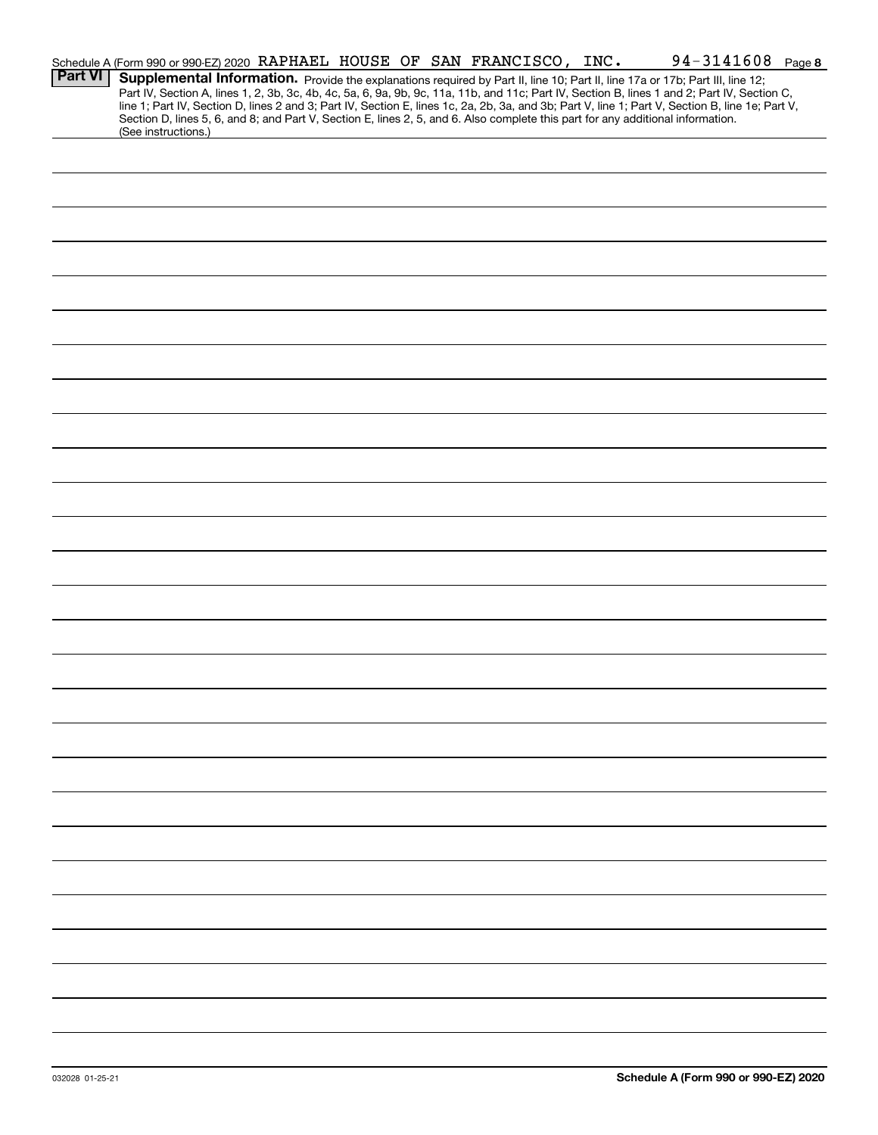|                | Schedule A (Form 990 or 990-EZ) 2020 RAPHAEL HOUSE OF SAN FRANCISCO, INC.                                                                                                                                                                                                                                                                                                                                                         |  |  |  |  |  | 94-3141608 Page 8 |  |
|----------------|-----------------------------------------------------------------------------------------------------------------------------------------------------------------------------------------------------------------------------------------------------------------------------------------------------------------------------------------------------------------------------------------------------------------------------------|--|--|--|--|--|-------------------|--|
| <b>Part VI</b> | Supplemental Information. Provide the explanations required by Part II, line 10; Part II, line 17a or 17b; Part III, line 12;<br>Part IV, Section A, lines 1, 2, 3b, 3c, 4b, 4c, 5a, 6, 9a, 9b, 9c, 11a, 11b, and 11c; Part IV, Section B, lines 1 and 2; Part IV, Section C,<br>line 1; Part IV, Section D, lines 2 and 3; Part IV, Section E, lines 1c, 2a, 2b, 3a, and 3b; Part V, line 1; Part V, Section B, line 1e; Part V, |  |  |  |  |  |                   |  |
|                | Section D, lines 5, 6, and 8; and Part V, Section E, lines 2, 5, and 6. Also complete this part for any additional information.<br>(See instructions.)                                                                                                                                                                                                                                                                            |  |  |  |  |  |                   |  |
|                |                                                                                                                                                                                                                                                                                                                                                                                                                                   |  |  |  |  |  |                   |  |
|                |                                                                                                                                                                                                                                                                                                                                                                                                                                   |  |  |  |  |  |                   |  |
|                |                                                                                                                                                                                                                                                                                                                                                                                                                                   |  |  |  |  |  |                   |  |
|                |                                                                                                                                                                                                                                                                                                                                                                                                                                   |  |  |  |  |  |                   |  |
|                |                                                                                                                                                                                                                                                                                                                                                                                                                                   |  |  |  |  |  |                   |  |
|                |                                                                                                                                                                                                                                                                                                                                                                                                                                   |  |  |  |  |  |                   |  |
|                |                                                                                                                                                                                                                                                                                                                                                                                                                                   |  |  |  |  |  |                   |  |
|                |                                                                                                                                                                                                                                                                                                                                                                                                                                   |  |  |  |  |  |                   |  |
|                |                                                                                                                                                                                                                                                                                                                                                                                                                                   |  |  |  |  |  |                   |  |
|                |                                                                                                                                                                                                                                                                                                                                                                                                                                   |  |  |  |  |  |                   |  |
|                |                                                                                                                                                                                                                                                                                                                                                                                                                                   |  |  |  |  |  |                   |  |
|                |                                                                                                                                                                                                                                                                                                                                                                                                                                   |  |  |  |  |  |                   |  |
|                |                                                                                                                                                                                                                                                                                                                                                                                                                                   |  |  |  |  |  |                   |  |
|                |                                                                                                                                                                                                                                                                                                                                                                                                                                   |  |  |  |  |  |                   |  |
|                |                                                                                                                                                                                                                                                                                                                                                                                                                                   |  |  |  |  |  |                   |  |
|                |                                                                                                                                                                                                                                                                                                                                                                                                                                   |  |  |  |  |  |                   |  |
|                |                                                                                                                                                                                                                                                                                                                                                                                                                                   |  |  |  |  |  |                   |  |
|                |                                                                                                                                                                                                                                                                                                                                                                                                                                   |  |  |  |  |  |                   |  |
|                |                                                                                                                                                                                                                                                                                                                                                                                                                                   |  |  |  |  |  |                   |  |
|                |                                                                                                                                                                                                                                                                                                                                                                                                                                   |  |  |  |  |  |                   |  |
|                |                                                                                                                                                                                                                                                                                                                                                                                                                                   |  |  |  |  |  |                   |  |
|                |                                                                                                                                                                                                                                                                                                                                                                                                                                   |  |  |  |  |  |                   |  |
|                |                                                                                                                                                                                                                                                                                                                                                                                                                                   |  |  |  |  |  |                   |  |
|                |                                                                                                                                                                                                                                                                                                                                                                                                                                   |  |  |  |  |  |                   |  |
|                |                                                                                                                                                                                                                                                                                                                                                                                                                                   |  |  |  |  |  |                   |  |
|                |                                                                                                                                                                                                                                                                                                                                                                                                                                   |  |  |  |  |  |                   |  |
|                |                                                                                                                                                                                                                                                                                                                                                                                                                                   |  |  |  |  |  |                   |  |
|                |                                                                                                                                                                                                                                                                                                                                                                                                                                   |  |  |  |  |  |                   |  |
|                |                                                                                                                                                                                                                                                                                                                                                                                                                                   |  |  |  |  |  |                   |  |
|                |                                                                                                                                                                                                                                                                                                                                                                                                                                   |  |  |  |  |  |                   |  |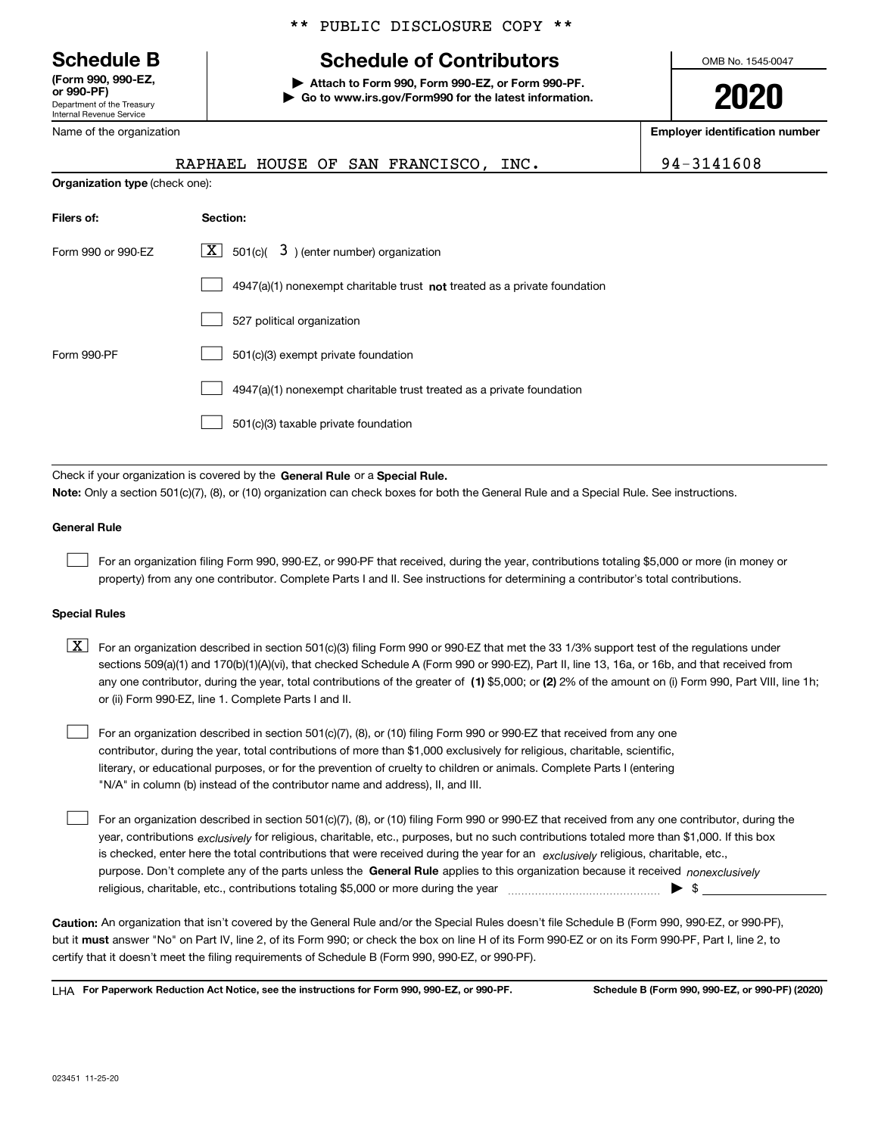Department of the Treasury Internal Revenue Service **(Form 990, 990-EZ, or 990-PF)**

Name of the organization

\*\* PUBLIC DISCLOSURE COPY \*\*

## **Schedule B Schedule of Contributors**

**| Attach to Form 990, Form 990-EZ, or Form 990-PF. | Go to www.irs.gov/Form990 for the latest information.** OMB No. 1545-0047

**2020**

**Employer identification number**

| RAPHAEL HOUSE OF SAN FRANCISCO, INC.                                                                                                                                                                                                                                             | 94-3141608 |
|----------------------------------------------------------------------------------------------------------------------------------------------------------------------------------------------------------------------------------------------------------------------------------|------------|
| Organization type (check one):                                                                                                                                                                                                                                                   |            |
| Section:<br>Filers of:                                                                                                                                                                                                                                                           |            |
| $X$ 501(c)( 3) (enter number) organization<br>Form 990 or 990-EZ                                                                                                                                                                                                                 |            |
| $4947(a)(1)$ nonexempt charitable trust not treated as a private foundation                                                                                                                                                                                                      |            |
| 527 political organization                                                                                                                                                                                                                                                       |            |
| Form 990-PF<br>501(c)(3) exempt private foundation                                                                                                                                                                                                                               |            |
| 4947(a)(1) nonexempt charitable trust treated as a private foundation                                                                                                                                                                                                            |            |
| 501(c)(3) taxable private foundation                                                                                                                                                                                                                                             |            |
|                                                                                                                                                                                                                                                                                  |            |
| Check if your organization is covered by the General Rule or a Special Rule.                                                                                                                                                                                                     |            |
| Note: Only a section 501(c)(7), (8), or (10) organization can check boxes for both the General Rule and a Special Rule. See instructions.                                                                                                                                        |            |
| <b>General Rule</b>                                                                                                                                                                                                                                                              |            |
| For an organization filing Form 990, 990-EZ, or 990-PF that received, during the year, contributions totaling \$5,000 or more (in money or<br>property) from any one contributor. Complete Parts I and II. See instructions for determining a contributor's total contributions. |            |
| <b>Special Rules</b>                                                                                                                                                                                                                                                             |            |

| $X$ For an organization described in section 501(c)(3) filing Form 990 or 990-EZ that met the 33 1/3% support test of the regulations under           |
|-------------------------------------------------------------------------------------------------------------------------------------------------------|
| sections 509(a)(1) and 170(b)(1)(A)(vi), that checked Schedule A (Form 990 or 990-EZ), Part II, line 13, 16a, or 16b, and that received from          |
| any one contributor, during the year, total contributions of the greater of (1) \$5,000; or (2) 2% of the amount on (i) Form 990, Part VIII, line 1h; |
| or (ii) Form 990-EZ, line 1. Complete Parts I and II.                                                                                                 |

For an organization described in section 501(c)(7), (8), or (10) filing Form 990 or 990-EZ that received from any one contributor, during the year, total contributions of more than \$1,000 exclusively for religious, charitable, scientific, literary, or educational purposes, or for the prevention of cruelty to children or animals. Complete Parts I (entering "N/A" in column (b) instead of the contributor name and address), II, and III.  $\mathcal{L}^{\text{max}}$ 

purpose. Don't complete any of the parts unless the **General Rule** applies to this organization because it received *nonexclusively* year, contributions <sub>exclusively</sub> for religious, charitable, etc., purposes, but no such contributions totaled more than \$1,000. If this box is checked, enter here the total contributions that were received during the year for an  $\;$ exclusively religious, charitable, etc., For an organization described in section 501(c)(7), (8), or (10) filing Form 990 or 990-EZ that received from any one contributor, during the religious, charitable, etc., contributions totaling \$5,000 or more during the year  $\Box$ — $\Box$  =  $\Box$  $\mathcal{L}^{\text{max}}$ 

**Caution:**  An organization that isn't covered by the General Rule and/or the Special Rules doesn't file Schedule B (Form 990, 990-EZ, or 990-PF),  **must** but it answer "No" on Part IV, line 2, of its Form 990; or check the box on line H of its Form 990-EZ or on its Form 990-PF, Part I, line 2, to certify that it doesn't meet the filing requirements of Schedule B (Form 990, 990-EZ, or 990-PF).

**For Paperwork Reduction Act Notice, see the instructions for Form 990, 990-EZ, or 990-PF. Schedule B (Form 990, 990-EZ, or 990-PF) (2020)** LHA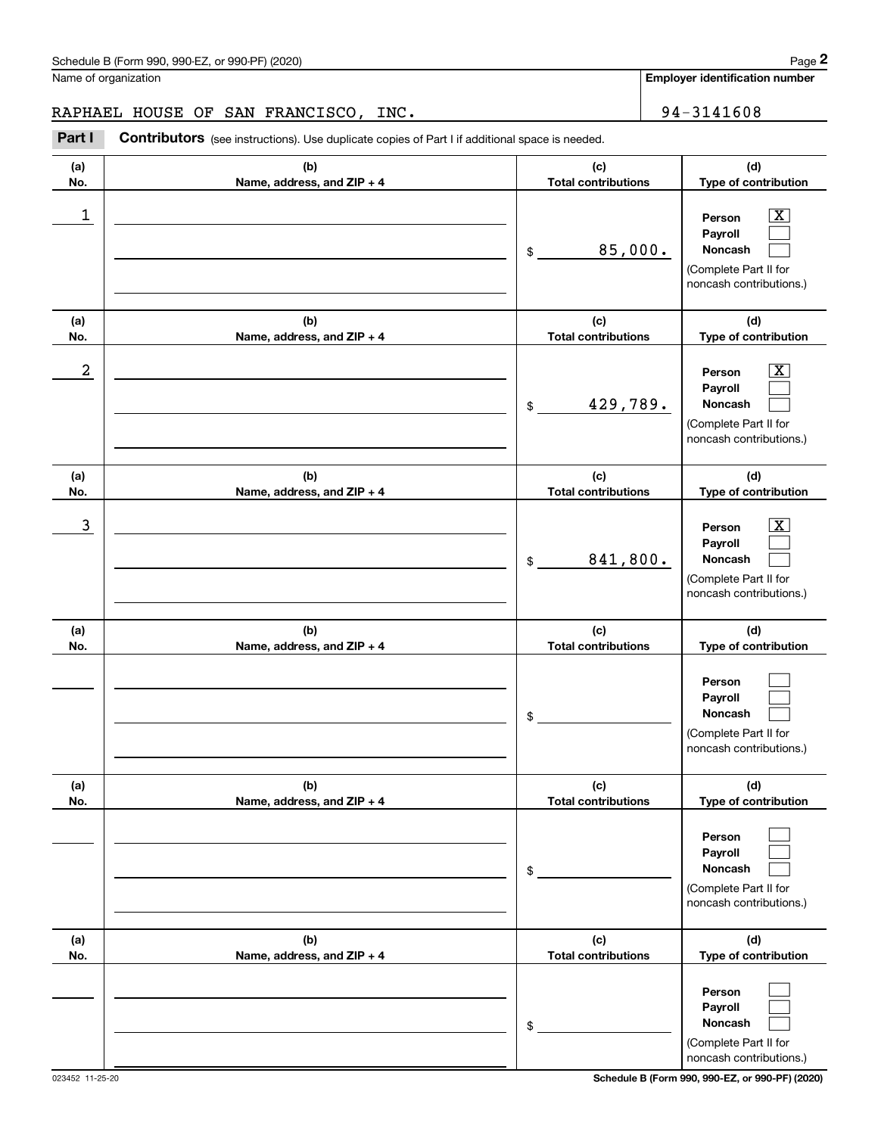**Employer identification number**

RAPHAEL HOUSE OF SAN FRANCISCO, INC. | 94-3141608

Chedule B (Form 990, 990-EZ, or 990-PF) (2020)<br>
lame of organization<br> **2PAREL HOUSE OF SAN FRANCISCO, INC.**<br>
294 – 3141608<br>
2Part I **Contributors** (see instructions). Use duplicate copies of Part I if additional space is n

| (a)<br>No. | (b)<br>Name, address, and ZIP + 4 | (c)<br><b>Total contributions</b> | (d)<br>Type of contribution                                                                                 |
|------------|-----------------------------------|-----------------------------------|-------------------------------------------------------------------------------------------------------------|
| 1          |                                   | 85,000.<br>$\frac{1}{2}$          | $\overline{\mathbf{X}}$<br>Person<br>Payroll<br>Noncash<br>(Complete Part II for<br>noncash contributions.) |
| (a)<br>No. | (b)<br>Name, address, and ZIP + 4 | (c)<br><b>Total contributions</b> | (d)<br>Type of contribution                                                                                 |
| 2          |                                   | 429,789.<br>\$                    | $\overline{\mathbf{X}}$<br>Person<br>Payroll<br>Noncash<br>(Complete Part II for<br>noncash contributions.) |
| (a)<br>No. | (b)<br>Name, address, and ZIP + 4 | (c)<br><b>Total contributions</b> | (d)<br>Type of contribution                                                                                 |
| 3          |                                   | 841,800.<br>\$                    | $\overline{\text{X}}$<br>Person<br>Payroll<br>Noncash<br>(Complete Part II for<br>noncash contributions.)   |
| (a)<br>No. | (b)<br>Name, address, and ZIP + 4 | (c)<br><b>Total contributions</b> | (d)<br>Type of contribution                                                                                 |
|            |                                   | \$                                | Person<br>Payroll<br>Noncash<br>(Complete Part II for<br>noncash contributions.)                            |
| (a)<br>No. | (b)<br>Name, address, and ZIP + 4 | (c)<br><b>Total contributions</b> | (d)<br>Type of contribution                                                                                 |
|            |                                   | \$                                | Person<br>Payroll<br>Noncash<br>(Complete Part II for<br>noncash contributions.)                            |
| (a)<br>No. | (b)<br>Name, address, and ZIP + 4 | (c)<br><b>Total contributions</b> | (d)<br>Type of contribution                                                                                 |
|            |                                   | \$                                | Person<br>Payroll<br>Noncash<br>(Complete Part II for<br>noncash contributions.)                            |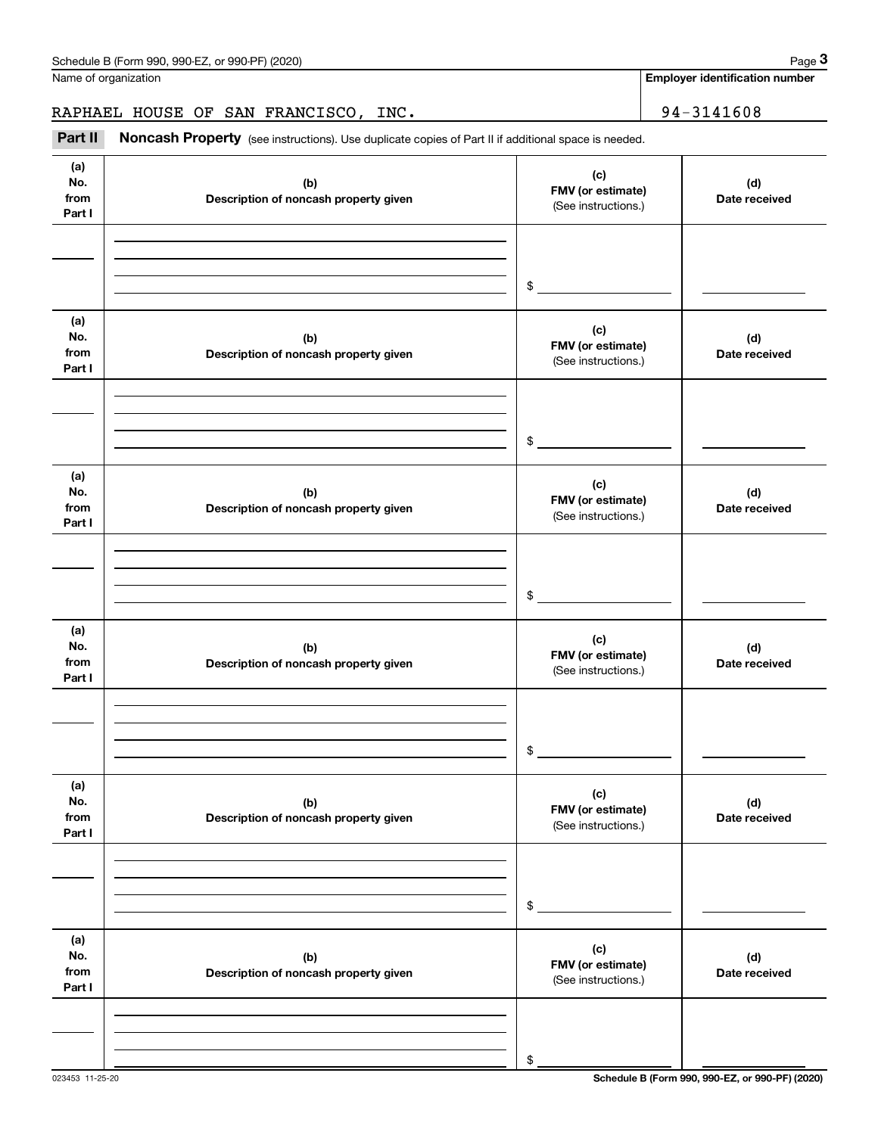**Employer identification number**

RAPHAEL HOUSE OF SAN FRANCISCO, INC. | 94-3141608

Chedule B (Form 990, 990-EZ, or 990-PF) (2020)<br> **2020 ame of organization**<br> **34-3141608**<br> **24-3141608**<br> **194-3141608**<br> **194-3141608**<br> **194-3141608** 

| (a)<br>No.<br>from<br>Part I | (b)<br>Description of noncash property given | (c)<br>FMV (or estimate)<br>(See instructions.) | (d)<br>Date received |
|------------------------------|----------------------------------------------|-------------------------------------------------|----------------------|
|                              |                                              |                                                 |                      |
|                              |                                              | \$                                              |                      |
| (a)                          |                                              |                                                 |                      |
| No.<br>from<br>Part I        | (b)<br>Description of noncash property given | (c)<br>FMV (or estimate)<br>(See instructions.) | (d)<br>Date received |
|                              |                                              |                                                 |                      |
|                              |                                              | $\frac{1}{2}$                                   |                      |
| (a)                          |                                              |                                                 |                      |
| No.<br>from<br>Part I        | (b)<br>Description of noncash property given | (c)<br>FMV (or estimate)<br>(See instructions.) | (d)<br>Date received |
|                              |                                              |                                                 |                      |
|                              |                                              | $\frac{1}{2}$                                   |                      |
| (a)                          |                                              |                                                 |                      |
| No.<br>from<br>Part I        | (b)<br>Description of noncash property given | (c)<br>FMV (or estimate)<br>(See instructions.) | (d)<br>Date received |
|                              |                                              |                                                 |                      |
|                              |                                              | $$\circ$$                                       |                      |
| (a)                          |                                              |                                                 |                      |
| No.<br>from<br>Part I        | (b)<br>Description of noncash property given | (c)<br>FMV (or estimate)<br>(See instructions.) | (d)<br>Date received |
|                              |                                              |                                                 |                      |
|                              |                                              | \$                                              |                      |
| (a)<br>No.<br>from<br>Part I | (b)<br>Description of noncash property given | (c)<br>FMV (or estimate)<br>(See instructions.) | (d)<br>Date received |
|                              |                                              |                                                 |                      |
|                              |                                              | \$                                              |                      |
|                              |                                              |                                                 |                      |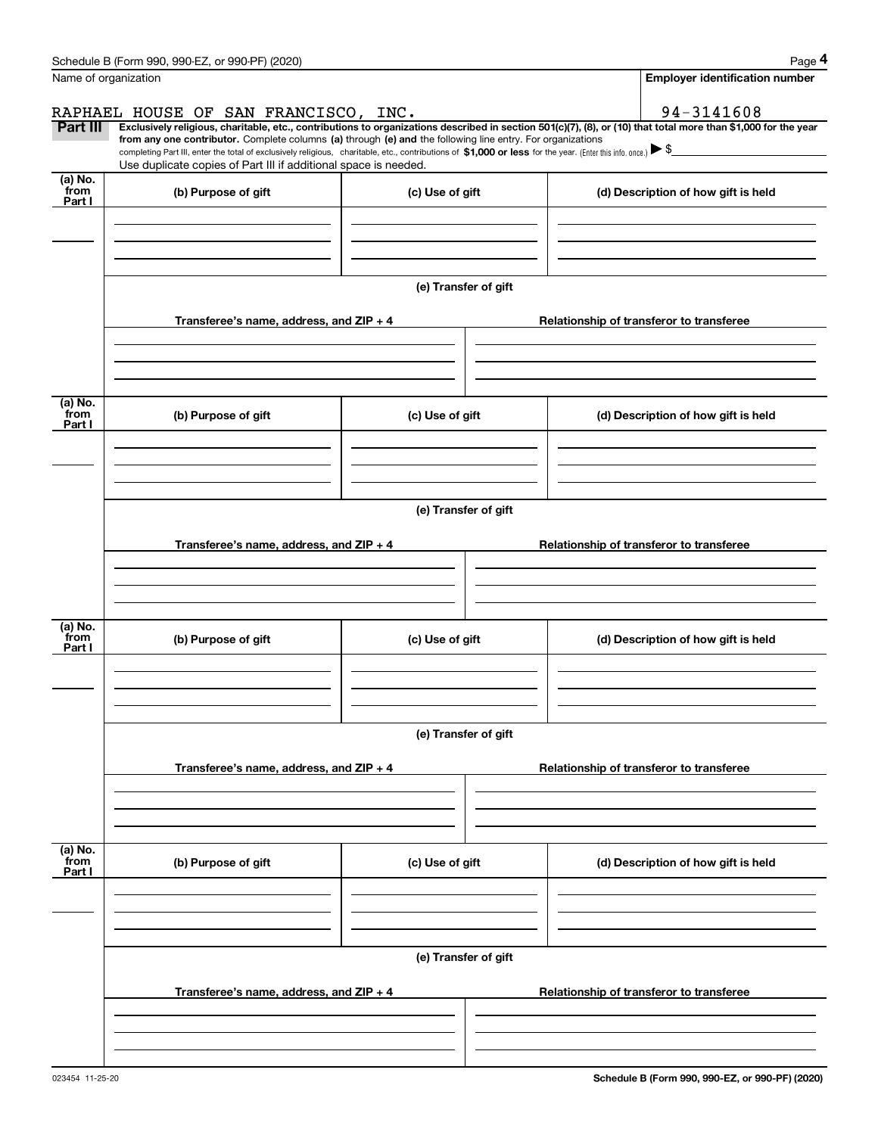|                 | Schedule B (Form 990, 990-EZ, or 990-PF) (2020)                                                                                                                                                                                 |                      | Page 4                                                                                                                                                         |  |  |  |  |  |  |
|-----------------|---------------------------------------------------------------------------------------------------------------------------------------------------------------------------------------------------------------------------------|----------------------|----------------------------------------------------------------------------------------------------------------------------------------------------------------|--|--|--|--|--|--|
|                 | Name of organization                                                                                                                                                                                                            |                      | <b>Employer identification number</b>                                                                                                                          |  |  |  |  |  |  |
|                 | RAPHAEL HOUSE OF SAN FRANCISCO, INC.                                                                                                                                                                                            |                      | 94-3141608                                                                                                                                                     |  |  |  |  |  |  |
| Part III        | from any one contributor. Complete columns (a) through (e) and the following line entry. For organizations                                                                                                                      |                      | Exclusively religious, charitable, etc., contributions to organizations described in section 501(c)(7), (8), or (10) that total more than \$1,000 for the year |  |  |  |  |  |  |
|                 | completing Part III, enter the total of exclusively religious, charitable, etc., contributions of \$1,000 or less for the year. (Enter this info. once.) \\$<br>Use duplicate copies of Part III if additional space is needed. |                      |                                                                                                                                                                |  |  |  |  |  |  |
| (a) No.         |                                                                                                                                                                                                                                 |                      |                                                                                                                                                                |  |  |  |  |  |  |
| from<br>Part I  | (b) Purpose of gift                                                                                                                                                                                                             | (c) Use of gift      | (d) Description of how gift is held                                                                                                                            |  |  |  |  |  |  |
|                 |                                                                                                                                                                                                                                 |                      |                                                                                                                                                                |  |  |  |  |  |  |
|                 |                                                                                                                                                                                                                                 |                      |                                                                                                                                                                |  |  |  |  |  |  |
|                 |                                                                                                                                                                                                                                 |                      |                                                                                                                                                                |  |  |  |  |  |  |
|                 |                                                                                                                                                                                                                                 | (e) Transfer of gift |                                                                                                                                                                |  |  |  |  |  |  |
|                 | Transferee's name, address, and ZIP + 4                                                                                                                                                                                         |                      | Relationship of transferor to transferee                                                                                                                       |  |  |  |  |  |  |
|                 |                                                                                                                                                                                                                                 |                      |                                                                                                                                                                |  |  |  |  |  |  |
|                 |                                                                                                                                                                                                                                 |                      |                                                                                                                                                                |  |  |  |  |  |  |
|                 |                                                                                                                                                                                                                                 |                      |                                                                                                                                                                |  |  |  |  |  |  |
| (a) No.<br>from | (b) Purpose of gift                                                                                                                                                                                                             | (c) Use of gift      | (d) Description of how gift is held                                                                                                                            |  |  |  |  |  |  |
| Part I          |                                                                                                                                                                                                                                 |                      |                                                                                                                                                                |  |  |  |  |  |  |
|                 |                                                                                                                                                                                                                                 |                      |                                                                                                                                                                |  |  |  |  |  |  |
|                 |                                                                                                                                                                                                                                 |                      |                                                                                                                                                                |  |  |  |  |  |  |
|                 | (e) Transfer of gift                                                                                                                                                                                                            |                      |                                                                                                                                                                |  |  |  |  |  |  |
|                 |                                                                                                                                                                                                                                 |                      |                                                                                                                                                                |  |  |  |  |  |  |
|                 | Transferee's name, address, and ZIP + 4                                                                                                                                                                                         |                      | Relationship of transferor to transferee                                                                                                                       |  |  |  |  |  |  |
|                 |                                                                                                                                                                                                                                 |                      |                                                                                                                                                                |  |  |  |  |  |  |
|                 |                                                                                                                                                                                                                                 |                      |                                                                                                                                                                |  |  |  |  |  |  |
| (a) No.         |                                                                                                                                                                                                                                 |                      |                                                                                                                                                                |  |  |  |  |  |  |
| from<br>Part I  | (b) Purpose of gift                                                                                                                                                                                                             | (c) Use of gift      | (d) Description of how gift is held                                                                                                                            |  |  |  |  |  |  |
|                 |                                                                                                                                                                                                                                 |                      |                                                                                                                                                                |  |  |  |  |  |  |
|                 |                                                                                                                                                                                                                                 |                      |                                                                                                                                                                |  |  |  |  |  |  |
|                 |                                                                                                                                                                                                                                 |                      |                                                                                                                                                                |  |  |  |  |  |  |
|                 |                                                                                                                                                                                                                                 | (e) Transfer of gift |                                                                                                                                                                |  |  |  |  |  |  |
|                 | Transferee's name, address, and $ZIP + 4$                                                                                                                                                                                       |                      | Relationship of transferor to transferee                                                                                                                       |  |  |  |  |  |  |
|                 |                                                                                                                                                                                                                                 |                      |                                                                                                                                                                |  |  |  |  |  |  |
|                 |                                                                                                                                                                                                                                 |                      |                                                                                                                                                                |  |  |  |  |  |  |
|                 |                                                                                                                                                                                                                                 |                      |                                                                                                                                                                |  |  |  |  |  |  |
| (a) No.<br>from | (b) Purpose of gift                                                                                                                                                                                                             | (c) Use of gift      | (d) Description of how gift is held                                                                                                                            |  |  |  |  |  |  |
| Part I          |                                                                                                                                                                                                                                 |                      |                                                                                                                                                                |  |  |  |  |  |  |
|                 |                                                                                                                                                                                                                                 |                      |                                                                                                                                                                |  |  |  |  |  |  |
|                 |                                                                                                                                                                                                                                 |                      |                                                                                                                                                                |  |  |  |  |  |  |
|                 |                                                                                                                                                                                                                                 | (e) Transfer of gift |                                                                                                                                                                |  |  |  |  |  |  |
|                 |                                                                                                                                                                                                                                 |                      |                                                                                                                                                                |  |  |  |  |  |  |
|                 | Transferee's name, address, and $ZIP + 4$                                                                                                                                                                                       |                      | Relationship of transferor to transferee                                                                                                                       |  |  |  |  |  |  |
|                 |                                                                                                                                                                                                                                 |                      |                                                                                                                                                                |  |  |  |  |  |  |
|                 |                                                                                                                                                                                                                                 |                      |                                                                                                                                                                |  |  |  |  |  |  |
|                 |                                                                                                                                                                                                                                 |                      |                                                                                                                                                                |  |  |  |  |  |  |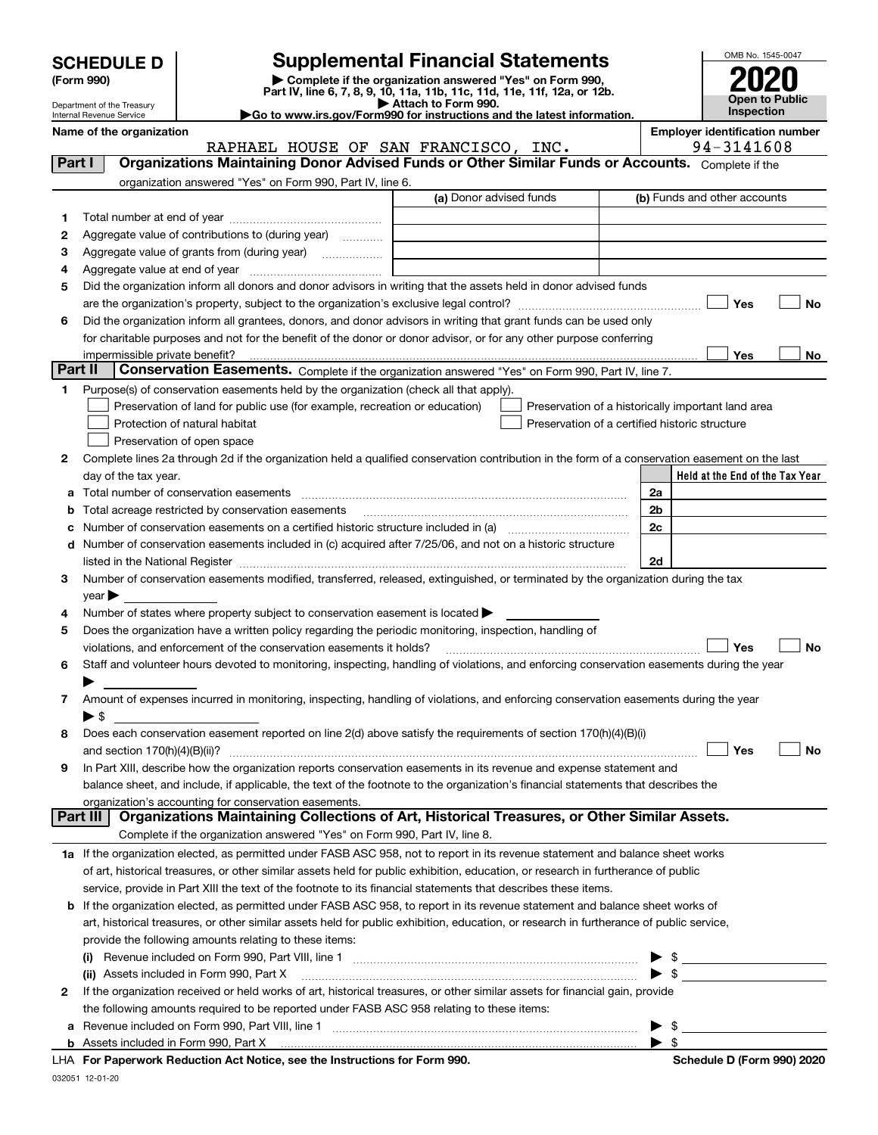| <b>SCHEDULE D</b> |  |
|-------------------|--|
|-------------------|--|

| (Form 990) |  |
|------------|--|
|------------|--|

## **SCHEDULE D Supplemental Financial Statements**

(Form 990)<br>
Pepartment of the Treasury<br>
Department of the Treasury<br>
Department of the Treasury<br>
Department of the Treasury<br> **Co to www.irs.gov/Form990 for instructions and the latest information.**<br> **Co to www.irs.gov/Form9** 



Department of the Treasury Internal Revenue Service

| Name of the organization<br>RAPHAEL HOUSE OF SAN FRANCISCO, INC.                                                                                    | <b>Employer identification number</b><br>94-3141608 |
|-----------------------------------------------------------------------------------------------------------------------------------------------------|-----------------------------------------------------|
| Organizations Maintaining Donor Advised Funds or Other Similar Funds or Accounts. Complete if the<br>Part I                                         |                                                     |
| organization answered "Yes" on Form 990, Part IV, line 6.                                                                                           |                                                     |
| (a) Donor advised funds                                                                                                                             | (b) Funds and other accounts                        |
| 1                                                                                                                                                   |                                                     |
| Aggregate value of contributions to (during year)<br>2                                                                                              |                                                     |
| 3<br>Aggregate value of grants from (during year)                                                                                                   |                                                     |
| 4                                                                                                                                                   |                                                     |
| Did the organization inform all donors and donor advisors in writing that the assets held in donor advised funds<br>5                               |                                                     |
|                                                                                                                                                     | Yes<br>No                                           |
| Did the organization inform all grantees, donors, and donor advisors in writing that grant funds can be used only<br>6                              |                                                     |
| for charitable purposes and not for the benefit of the donor or donor advisor, or for any other purpose conferring                                  |                                                     |
| impermissible private benefit?                                                                                                                      | Yes<br>No.                                          |
| Part II<br>Conservation Easements. Complete if the organization answered "Yes" on Form 990, Part IV, line 7.                                        |                                                     |
| Purpose(s) of conservation easements held by the organization (check all that apply).<br>1                                                          |                                                     |
| Preservation of land for public use (for example, recreation or education)                                                                          | Preservation of a historically important land area  |
| Protection of natural habitat                                                                                                                       | Preservation of a certified historic structure      |
| Preservation of open space                                                                                                                          |                                                     |
| Complete lines 2a through 2d if the organization held a qualified conservation contribution in the form of a conservation easement on the last<br>2 |                                                     |
| day of the tax year.                                                                                                                                | Held at the End of the Tax Year                     |
| Total number of conservation easements<br>а                                                                                                         | 2a                                                  |
| Total acreage restricted by conservation easements<br>b                                                                                             | 2b                                                  |
| c                                                                                                                                                   | 2c                                                  |
| Number of conservation easements included in (c) acquired after 7/25/06, and not on a historic structure<br>d                                       |                                                     |
|                                                                                                                                                     | 2d                                                  |
| Number of conservation easements modified, transferred, released, extinguished, or terminated by the organization during the tax<br>3               |                                                     |
| $year \blacktriangleright$                                                                                                                          |                                                     |
| Number of states where property subject to conservation easement is located ><br>4                                                                  |                                                     |
| Does the organization have a written policy regarding the periodic monitoring, inspection, handling of<br>5                                         |                                                     |
| violations, and enforcement of the conservation easements it holds?                                                                                 | No<br>Yes                                           |
| Staff and volunteer hours devoted to monitoring, inspecting, handling of violations, and enforcing conservation easements during the year<br>6      |                                                     |
|                                                                                                                                                     |                                                     |
| Amount of expenses incurred in monitoring, inspecting, handling of violations, and enforcing conservation easements during the year<br>7            |                                                     |
| $\blacktriangleright$ \$                                                                                                                            |                                                     |
| Does each conservation easement reported on line 2(d) above satisfy the requirements of section 170(h)(4)(B)(i)<br>8                                |                                                     |
|                                                                                                                                                     | No<br>Yes                                           |
| In Part XIII, describe how the organization reports conservation easements in its revenue and expense statement and                                 |                                                     |
| balance sheet, and include, if applicable, the text of the footnote to the organization's financial statements that describes the                   |                                                     |
| organization's accounting for conservation easements.                                                                                               |                                                     |
| Organizations Maintaining Collections of Art, Historical Treasures, or Other Similar Assets.<br>Part III I                                          |                                                     |
| Complete if the organization answered "Yes" on Form 990, Part IV, line 8.                                                                           |                                                     |
| 1a If the organization elected, as permitted under FASB ASC 958, not to report in its revenue statement and balance sheet works                     |                                                     |
| of art, historical treasures, or other similar assets held for public exhibition, education, or research in furtherance of public                   |                                                     |
| service, provide in Part XIII the text of the footnote to its financial statements that describes these items.                                      |                                                     |
| If the organization elected, as permitted under FASB ASC 958, to report in its revenue statement and balance sheet works of<br>b                    |                                                     |
| art, historical treasures, or other similar assets held for public exhibition, education, or research in furtherance of public service,             |                                                     |
| provide the following amounts relating to these items:                                                                                              |                                                     |
| Revenue included on Form 990, Part VIII, line 1 [2000] [2000] [2000] [2000] [3000] [3000] [3000] [3000] [3000<br>$\left( 1\right)$                  | $\blacktriangleright$ \$                            |
| (ii) Assets included in Form 990, Part X                                                                                                            | $\blacktriangleright$ \$                            |
| If the organization received or held works of art, historical treasures, or other similar assets for financial gain, provide<br>2                   |                                                     |
| the following amounts required to be reported under FASB ASC 958 relating to these items:                                                           |                                                     |
| а                                                                                                                                                   | \$<br>▶                                             |
|                                                                                                                                                     | $\blacktriangleright$ s                             |

**For Paperwork Reduction Act Notice, see the Instructions for Form 990. Schedule D (Form 990) 2020** LHA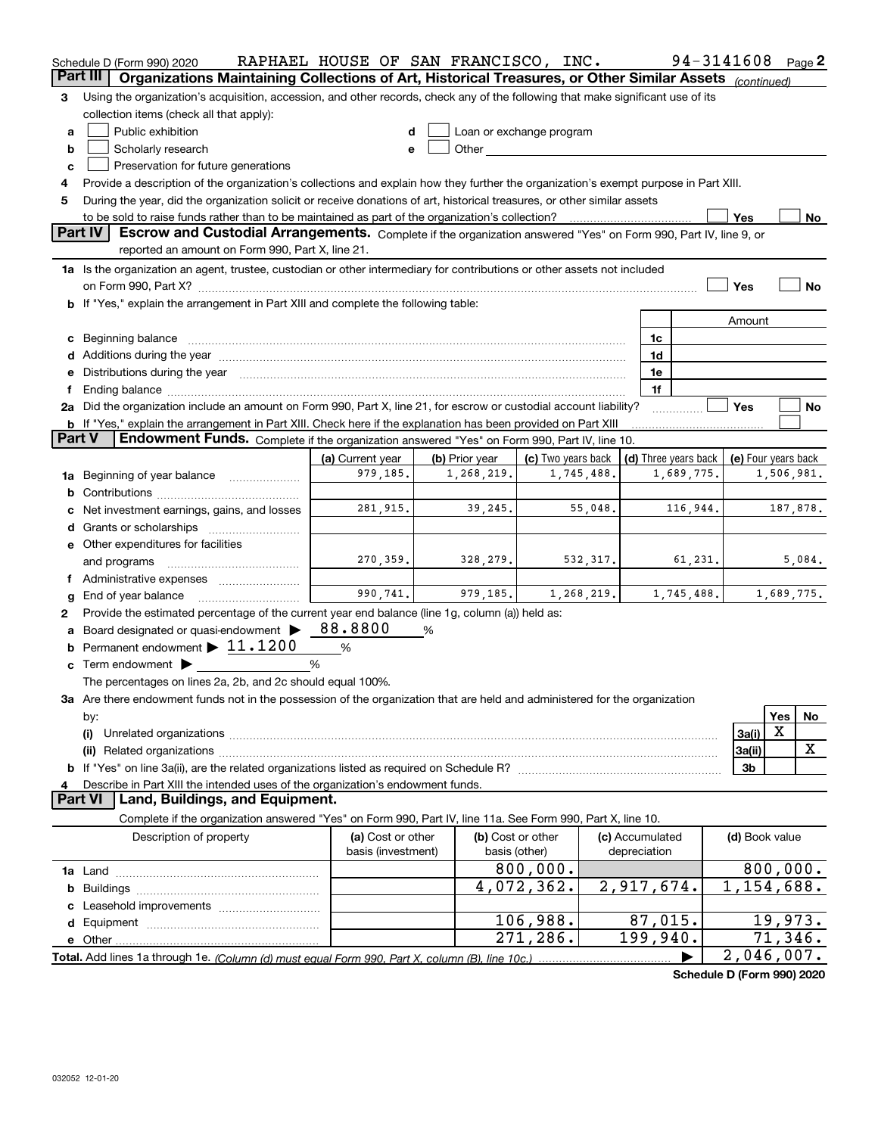|                | Schedule D (Form 990) 2020                                                                                                                                                                                                     | RAPHAEL HOUSE OF SAN FRANCISCO, INC.    |   |                                    |                    |            |                                 |                      | 94-3141608               |            | Page $2$ |
|----------------|--------------------------------------------------------------------------------------------------------------------------------------------------------------------------------------------------------------------------------|-----------------------------------------|---|------------------------------------|--------------------|------------|---------------------------------|----------------------|--------------------------|------------|----------|
| Part III       | Organizations Maintaining Collections of Art, Historical Treasures, or Other Similar Assets (continued)                                                                                                                        |                                         |   |                                    |                    |            |                                 |                      |                          |            |          |
| З              | Using the organization's acquisition, accession, and other records, check any of the following that make significant use of its                                                                                                |                                         |   |                                    |                    |            |                                 |                      |                          |            |          |
|                | collection items (check all that apply):                                                                                                                                                                                       |                                         |   |                                    |                    |            |                                 |                      |                          |            |          |
| a              | Public exhibition                                                                                                                                                                                                              | d                                       |   | Loan or exchange program           |                    |            |                                 |                      |                          |            |          |
| b              | Scholarly research                                                                                                                                                                                                             | e                                       |   |                                    |                    |            |                                 |                      |                          |            |          |
| c              | Preservation for future generations                                                                                                                                                                                            |                                         |   |                                    |                    |            |                                 |                      |                          |            |          |
| 4              | Provide a description of the organization's collections and explain how they further the organization's exempt purpose in Part XIII.                                                                                           |                                         |   |                                    |                    |            |                                 |                      |                          |            |          |
| 5              | During the year, did the organization solicit or receive donations of art, historical treasures, or other similar assets                                                                                                       |                                         |   |                                    |                    |            |                                 |                      |                          |            |          |
|                | to be sold to raise funds rather than to be maintained as part of the organization's collection?                                                                                                                               |                                         |   |                                    |                    |            |                                 |                      | Yes                      |            | No       |
| <b>Part IV</b> | Escrow and Custodial Arrangements. Complete if the organization answered "Yes" on Form 990, Part IV, line 9, or                                                                                                                |                                         |   |                                    |                    |            |                                 |                      |                          |            |          |
|                | reported an amount on Form 990, Part X, line 21.                                                                                                                                                                               |                                         |   |                                    |                    |            |                                 |                      |                          |            |          |
|                | 1a Is the organization an agent, trustee, custodian or other intermediary for contributions or other assets not included                                                                                                       |                                         |   |                                    |                    |            |                                 |                      |                          |            |          |
|                | on Form 990, Part X? [11] matter contracts and contracts and contracts are contracted as a form 990, Part X?                                                                                                                   |                                         |   |                                    |                    |            |                                 |                      | Yes                      |            | No       |
|                | b If "Yes," explain the arrangement in Part XIII and complete the following table:                                                                                                                                             |                                         |   |                                    |                    |            |                                 |                      |                          |            |          |
|                |                                                                                                                                                                                                                                |                                         |   |                                    |                    |            |                                 |                      | Amount                   |            |          |
|                |                                                                                                                                                                                                                                |                                         |   |                                    |                    |            | 1c                              |                      |                          |            |          |
|                |                                                                                                                                                                                                                                |                                         |   |                                    |                    |            | 1d                              |                      |                          |            |          |
|                | e Distributions during the year manufactured and continuum and contact the year manufactured and contact the year manufactured and contact the year manufactured and contact the year manufactured and contact the year manufa |                                         |   |                                    |                    |            | 1e                              |                      |                          |            |          |
|                |                                                                                                                                                                                                                                |                                         |   |                                    |                    |            | 1f                              |                      |                          |            |          |
|                | 2a Did the organization include an amount on Form 990, Part X, line 21, for escrow or custodial account liability?                                                                                                             |                                         |   |                                    |                    |            |                                 |                      | Yes                      |            | No       |
| <b>Part V</b>  | <b>b</b> If "Yes," explain the arrangement in Part XIII. Check here if the explanation has been provided on Part XIII<br>Endowment Funds. Complete if the organization answered "Yes" on Form 990, Part IV, line 10.           |                                         |   |                                    |                    |            |                                 |                      |                          |            |          |
|                |                                                                                                                                                                                                                                | (a) Current year                        |   | (b) Prior year                     | (c) Two years back |            |                                 | (d) Three years back | (e) Four years back      |            |          |
| 1a             | Beginning of year balance                                                                                                                                                                                                      | 979,185.                                |   | 1,268,219.                         |                    | 1,745,488. |                                 | 1,689,775.           |                          | 1,506,981. |          |
| b              |                                                                                                                                                                                                                                |                                         |   |                                    |                    |            |                                 |                      |                          |            |          |
|                | Net investment earnings, gains, and losses                                                                                                                                                                                     | 281,915.                                |   | 39,245.                            |                    | 55,048.    |                                 | 116,944.             |                          | 187,878.   |          |
|                |                                                                                                                                                                                                                                |                                         |   |                                    |                    |            |                                 |                      |                          |            |          |
|                | e Other expenditures for facilities                                                                                                                                                                                            |                                         |   |                                    |                    |            |                                 |                      |                          |            |          |
|                | and programs                                                                                                                                                                                                                   | 270, 359.                               |   | 328,279.                           |                    | 532, 317.  |                                 | 61,231.              |                          |            | 5,084.   |
|                | f Administrative expenses <i></i>                                                                                                                                                                                              |                                         |   |                                    |                    |            |                                 |                      |                          |            |          |
| g              | End of year balance                                                                                                                                                                                                            | 990,741.                                |   | 979,185.                           |                    | 1,268,219. |                                 | 1,745,488.           |                          | 1,689,775. |          |
| 2              | Provide the estimated percentage of the current year end balance (line 1g, column (a)) held as:                                                                                                                                |                                         |   |                                    |                    |            |                                 |                      |                          |            |          |
| a              | Board designated or quasi-endowment $\blacktriangleright$ 88.800                                                                                                                                                               |                                         | % |                                    |                    |            |                                 |                      |                          |            |          |
|                | <b>b</b> Permanent endowment $\blacktriangleright$ 11.1200                                                                                                                                                                     | %                                       |   |                                    |                    |            |                                 |                      |                          |            |          |
|                | c Term endowment $\blacktriangleright$                                                                                                                                                                                         | %                                       |   |                                    |                    |            |                                 |                      |                          |            |          |
|                | The percentages on lines 2a, 2b, and 2c should equal 100%.                                                                                                                                                                     |                                         |   |                                    |                    |            |                                 |                      |                          |            |          |
|                | 3a Are there endowment funds not in the possession of the organization that are held and administered for the organization                                                                                                     |                                         |   |                                    |                    |            |                                 |                      |                          |            |          |
|                | by:                                                                                                                                                                                                                            |                                         |   |                                    |                    |            |                                 |                      |                          | Yes        | No       |
|                | (i)                                                                                                                                                                                                                            |                                         |   |                                    |                    |            |                                 |                      | 3a(i)                    | Х          |          |
|                |                                                                                                                                                                                                                                |                                         |   |                                    |                    |            |                                 |                      | 3a(ii)                   |            | x        |
|                |                                                                                                                                                                                                                                |                                         |   |                                    |                    |            |                                 |                      | 3b                       |            |          |
| 4              | Describe in Part XIII the intended uses of the organization's endowment funds.                                                                                                                                                 |                                         |   |                                    |                    |            |                                 |                      |                          |            |          |
|                | Land, Buildings, and Equipment.<br><b>Part VI</b>                                                                                                                                                                              |                                         |   |                                    |                    |            |                                 |                      |                          |            |          |
|                | Complete if the organization answered "Yes" on Form 990, Part IV, line 11a. See Form 990, Part X, line 10.                                                                                                                     |                                         |   |                                    |                    |            |                                 |                      |                          |            |          |
|                | Description of property                                                                                                                                                                                                        | (a) Cost or other<br>basis (investment) |   | (b) Cost or other<br>basis (other) |                    |            | (c) Accumulated<br>depreciation |                      | (d) Book value           |            |          |
|                |                                                                                                                                                                                                                                |                                         |   |                                    | 800,000.           |            |                                 |                      | 800,000.                 |            |          |
|                |                                                                                                                                                                                                                                |                                         |   |                                    | 4,072,362.         |            | 2,917,674.                      |                      | $\overline{1,154,688}$ . |            |          |
|                |                                                                                                                                                                                                                                |                                         |   |                                    |                    |            |                                 |                      |                          |            |          |
|                |                                                                                                                                                                                                                                |                                         |   |                                    | 106,988.           |            | 87,015.                         |                      |                          | 19,973.    |          |
|                | e Other                                                                                                                                                                                                                        |                                         |   |                                    | 271, 286.          |            | 199,940.                        |                      |                          | 71,346.    |          |
|                |                                                                                                                                                                                                                                |                                         |   |                                    |                    |            |                                 |                      | 2,046,007.               |            |          |

**Schedule D (Form 990) 2020**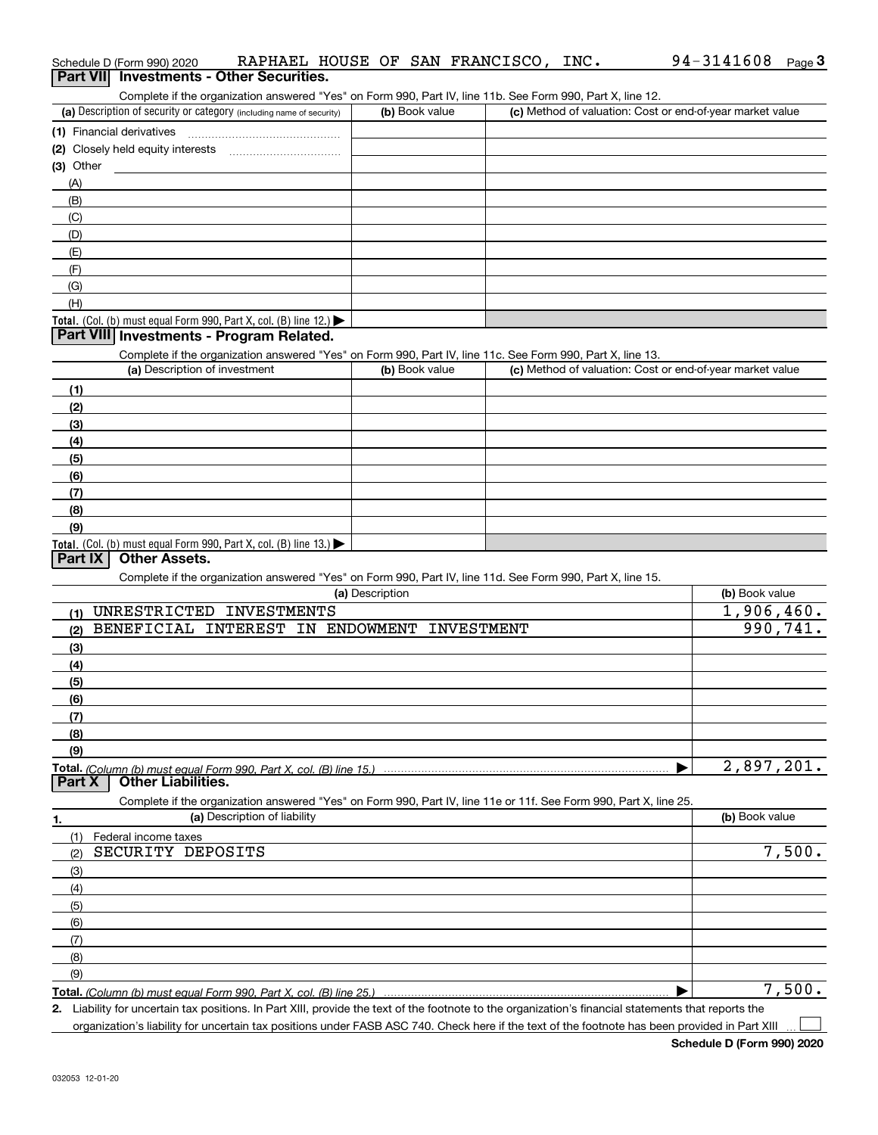|            | Part VII Investments - Other Securities.                                                                                                             |                 |                                                           |                |
|------------|------------------------------------------------------------------------------------------------------------------------------------------------------|-----------------|-----------------------------------------------------------|----------------|
|            | Complete if the organization answered "Yes" on Form 990, Part IV, line 11b. See Form 990, Part X, line 12.                                           |                 |                                                           |                |
|            | (a) Description of security or category (including name of security)                                                                                 | (b) Book value  | (c) Method of valuation: Cost or end-of-year market value |                |
|            | (1) Financial derivatives                                                                                                                            |                 |                                                           |                |
|            |                                                                                                                                                      |                 |                                                           |                |
| (3) Other  |                                                                                                                                                      |                 |                                                           |                |
| (A)        |                                                                                                                                                      |                 |                                                           |                |
| (B)        |                                                                                                                                                      |                 |                                                           |                |
| (C)        |                                                                                                                                                      |                 |                                                           |                |
| (D)        |                                                                                                                                                      |                 |                                                           |                |
| (E)        |                                                                                                                                                      |                 |                                                           |                |
| (F)        |                                                                                                                                                      |                 |                                                           |                |
| (G)        |                                                                                                                                                      |                 |                                                           |                |
| (H)        |                                                                                                                                                      |                 |                                                           |                |
|            | <b>Total.</b> (Col. (b) must equal Form 990, Part X, col. (B) line 12.)<br>Part VIII Investments - Program Related.                                  |                 |                                                           |                |
|            | Complete if the organization answered "Yes" on Form 990, Part IV, line 11c. See Form 990, Part X, line 13.                                           |                 |                                                           |                |
|            | (a) Description of investment                                                                                                                        | (b) Book value  | (c) Method of valuation: Cost or end-of-year market value |                |
| (1)        |                                                                                                                                                      |                 |                                                           |                |
| (2)        |                                                                                                                                                      |                 |                                                           |                |
| (3)        |                                                                                                                                                      |                 |                                                           |                |
| (4)        |                                                                                                                                                      |                 |                                                           |                |
| (5)        |                                                                                                                                                      |                 |                                                           |                |
| (6)        |                                                                                                                                                      |                 |                                                           |                |
| (7)        |                                                                                                                                                      |                 |                                                           |                |
| (8)        |                                                                                                                                                      |                 |                                                           |                |
| (9)        |                                                                                                                                                      |                 |                                                           |                |
|            | Total. (Col. (b) must equal Form 990, Part X, col. (B) line 13.)                                                                                     |                 |                                                           |                |
| Part IX    | <b>Other Assets.</b>                                                                                                                                 |                 |                                                           |                |
|            | Complete if the organization answered "Yes" on Form 990, Part IV, line 11d. See Form 990, Part X, line 15.                                           |                 |                                                           |                |
|            |                                                                                                                                                      | (a) Description |                                                           | (b) Book value |
| (1)        | UNRESTRICTED INVESTMENTS                                                                                                                             |                 |                                                           | 1,906,460.     |
| (2)        | BENEFICIAL INTEREST IN ENDOWMENT INVESTMENT                                                                                                          |                 |                                                           | 990,741.       |
| (3)        |                                                                                                                                                      |                 |                                                           |                |
| (4)        |                                                                                                                                                      |                 |                                                           |                |
| (5)        |                                                                                                                                                      |                 |                                                           |                |
| (6)        |                                                                                                                                                      |                 |                                                           |                |
| (7)        |                                                                                                                                                      |                 |                                                           |                |
| (8)        |                                                                                                                                                      |                 |                                                           |                |
| (9)        |                                                                                                                                                      |                 |                                                           |                |
| Part X     | <b>Total.</b> (Column (b) must equal Form 990, Part X, col. (B) line 15.)<br><b>Other Liabilities.</b>                                               |                 |                                                           | 2,897,201.     |
|            |                                                                                                                                                      |                 |                                                           |                |
|            | Complete if the organization answered "Yes" on Form 990, Part IV, line 11e or 11f. See Form 990, Part X, line 25.<br>(a) Description of liability    |                 |                                                           | (b) Book value |
| 1.         |                                                                                                                                                      |                 |                                                           |                |
| (1)<br>(2) | Federal income taxes<br>SECURITY DEPOSITS                                                                                                            |                 |                                                           | 7,500.         |
|            |                                                                                                                                                      |                 |                                                           |                |
| (3)        |                                                                                                                                                      |                 |                                                           |                |
| (4)<br>(5) |                                                                                                                                                      |                 |                                                           |                |
| (6)        |                                                                                                                                                      |                 |                                                           |                |
| (7)        |                                                                                                                                                      |                 |                                                           |                |
| (8)        |                                                                                                                                                      |                 |                                                           |                |
| (9)        |                                                                                                                                                      |                 |                                                           |                |
|            |                                                                                                                                                      |                 |                                                           | 7,500.         |
|            | 2. Liability for uncertain tax positions. In Part XIII, provide the text of the footnote to the organization's financial statements that reports the |                 |                                                           |                |

Schedule D (Form 990) 2020 RAPHAEL HOUSE OF SAN FRANCISCO, INC**.** 94-3141608 <sub>Page</sub> 3<br>| **Part VII** | Investments - Other Securities.

organization's liability for uncertain tax positions under FASB ASC 740. Check here if the text of the footnote has been provided in Part XIII

 $\mathcal{L}^{\text{max}}$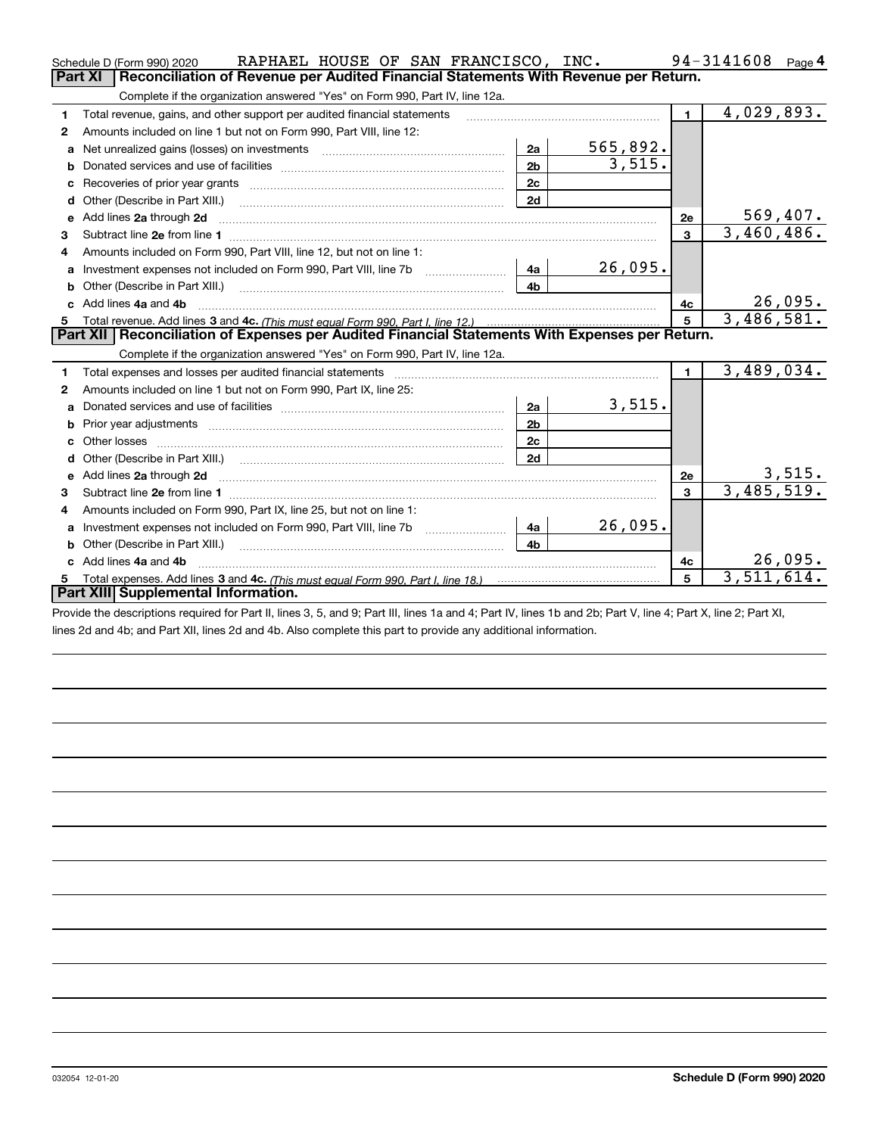|    | RAPHAEL HOUSE OF SAN FRANCISCO, INC.<br>Schedule D (Form 990) 2020                                                                                                                                                                  |                |          |                         | 94-3141608<br>Page 4 |
|----|-------------------------------------------------------------------------------------------------------------------------------------------------------------------------------------------------------------------------------------|----------------|----------|-------------------------|----------------------|
|    | Reconciliation of Revenue per Audited Financial Statements With Revenue per Return.<br><b>Part XI</b>                                                                                                                               |                |          |                         |                      |
|    | Complete if the organization answered "Yes" on Form 990, Part IV, line 12a.                                                                                                                                                         |                |          |                         |                      |
| 1  | Total revenue, gains, and other support per audited financial statements                                                                                                                                                            |                |          | $\blacksquare$          | 4,029,893.           |
| 2  | Amounts included on line 1 but not on Form 990, Part VIII, line 12:                                                                                                                                                                 |                |          |                         |                      |
| a  | Net unrealized gains (losses) on investments [11] matter contracts and the unrealized gains (losses) on investments                                                                                                                 | 2a             | 565,892. |                         |                      |
|    |                                                                                                                                                                                                                                     | 2 <sub>b</sub> | 3,515.   |                         |                      |
|    |                                                                                                                                                                                                                                     | 2c             |          |                         |                      |
| d  |                                                                                                                                                                                                                                     | 2d             |          |                         |                      |
| е  | Add lines 2a through 2d                                                                                                                                                                                                             |                |          | 2e                      | <u>569,407.</u>      |
| 3  |                                                                                                                                                                                                                                     |                |          | 3                       | 3,460,486.           |
| 4  | Amounts included on Form 990, Part VIII, line 12, but not on line 1:                                                                                                                                                                |                |          |                         |                      |
|    |                                                                                                                                                                                                                                     | 4a             | 26,095.  |                         |                      |
| b  |                                                                                                                                                                                                                                     | 4b             |          |                         |                      |
| c. | Add lines 4a and 4b                                                                                                                                                                                                                 |                |          | 4c                      | 26,095.              |
|    |                                                                                                                                                                                                                                     |                |          | 5                       | 3,486,581.           |
|    | Part XII   Reconciliation of Expenses per Audited Financial Statements With Expenses per Return.                                                                                                                                    |                |          |                         |                      |
|    |                                                                                                                                                                                                                                     |                |          |                         |                      |
|    | Complete if the organization answered "Yes" on Form 990, Part IV, line 12a.                                                                                                                                                         |                |          |                         |                      |
| 1  |                                                                                                                                                                                                                                     |                |          | $\blacksquare$          | 3,489,034.           |
| 2  | Amounts included on line 1 but not on Form 990, Part IX, line 25:                                                                                                                                                                   |                |          |                         |                      |
| a  |                                                                                                                                                                                                                                     | 2a             | 3,515.   |                         |                      |
|    |                                                                                                                                                                                                                                     | 2 <sub>b</sub> |          |                         |                      |
| c  |                                                                                                                                                                                                                                     | 2c             |          |                         |                      |
| d  | Other (Describe in Part XIII.) (Contract and Contract and Chern Contract) (Chern Chern Chern Chern Chern Chern                                                                                                                      | 2d             |          |                         |                      |
|    | Add lines 2a through 2d <b>contained a contained a contained a contained a</b> contained a contained a contained a contained a contained a contained a contained a contained a contained a contained a contained a contained a cont |                |          | 2e                      | <u>3,515.</u>        |
| З. |                                                                                                                                                                                                                                     |                |          | $\overline{\mathbf{3}}$ | 3,485,519.           |
| 4  | Amounts included on Form 990, Part IX, line 25, but not on line 1:                                                                                                                                                                  |                |          |                         |                      |
| a  |                                                                                                                                                                                                                                     | 4a             | 26,095.  |                         |                      |
| b  | Other (Describe in Part XIII.) [2000] [2010] [2010] [2010] [2010] [2010] [2010] [2010] [2010] [2010] [2010] [2010] [2010] [2010] [2010] [2010] [2010] [2010] [2010] [2010] [2010] [2010] [2010] [2010] [2010] [2010] [2010] [2      | 4b             |          |                         |                      |
|    | Add lines 4a and 4b                                                                                                                                                                                                                 |                |          | 4c                      | 26,095.              |
|    | Part XIII Supplemental Information.                                                                                                                                                                                                 |                |          | 5                       | 3,511,614.           |

Provide the descriptions required for Part II, lines 3, 5, and 9; Part III, lines 1a and 4; Part IV, lines 1b and 2b; Part V, line 4; Part X, line 2; Part XI, lines 2d and 4b; and Part XII, lines 2d and 4b. Also complete this part to provide any additional information.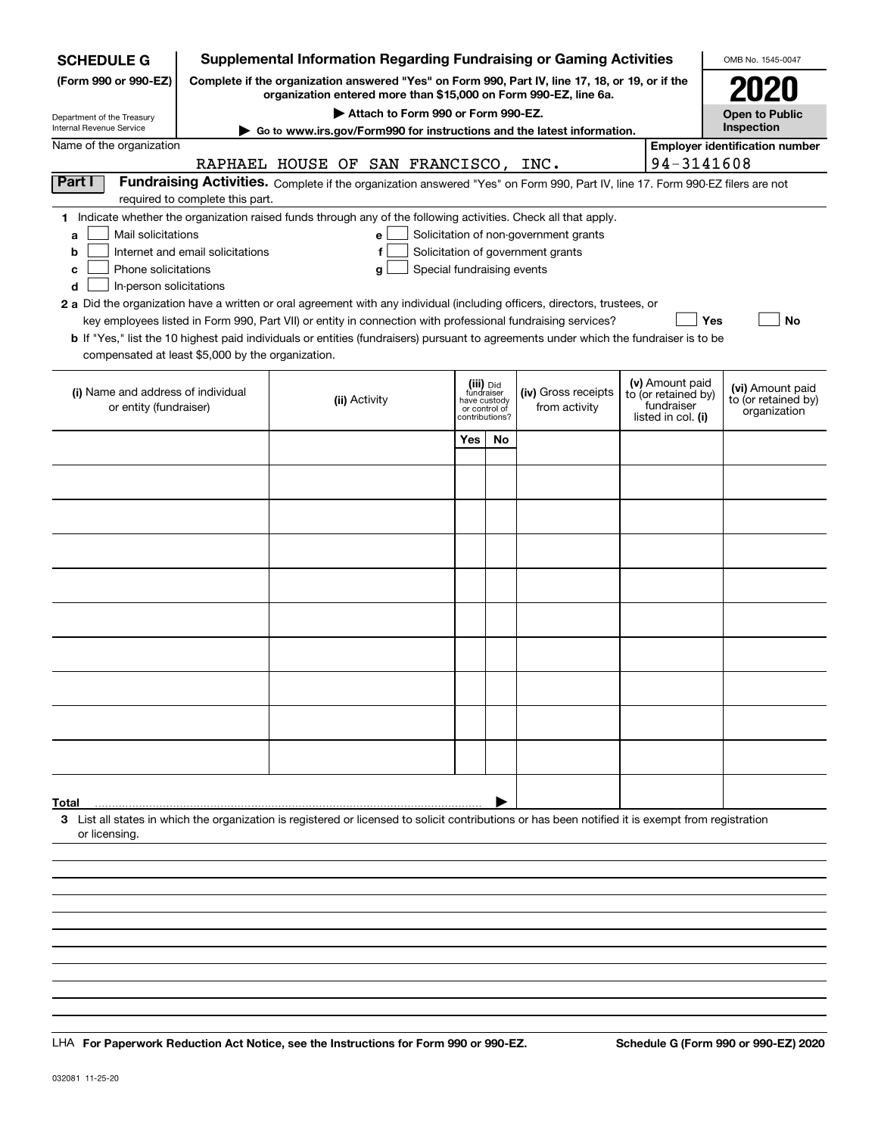| <b>SCHEDULE G</b>                                                                                                                                                  |                                  |                                      |                                    |                            |                                         |    | <b>Supplemental Information Regarding Fundraising or Gaming Activities</b>                                                                                          |                                   | OMB No. 1545-0047                                   |
|--------------------------------------------------------------------------------------------------------------------------------------------------------------------|----------------------------------|--------------------------------------|------------------------------------|----------------------------|-----------------------------------------|----|---------------------------------------------------------------------------------------------------------------------------------------------------------------------|-----------------------------------|-----------------------------------------------------|
| (Form 990 or 990-EZ)                                                                                                                                               |                                  |                                      |                                    |                            |                                         |    | Complete if the organization answered "Yes" on Form 990, Part IV, line 17, 18, or 19, or if the<br>organization entered more than \$15,000 on Form 990-EZ, line 6a. |                                   | <b>2020</b>                                         |
| Department of the Treasury                                                                                                                                         |                                  |                                      | Attach to Form 990 or Form 990-EZ. |                            |                                         |    |                                                                                                                                                                     |                                   | <b>Open to Public</b>                               |
| Internal Revenue Service<br>Name of the organization                                                                                                               |                                  |                                      |                                    |                            |                                         |    | Go to www.irs.gov/Form990 for instructions and the latest information.                                                                                              |                                   | Inspection<br><b>Employer identification number</b> |
|                                                                                                                                                                    |                                  | RAPHAEL HOUSE OF SAN FRANCISCO, INC. |                                    |                            |                                         |    |                                                                                                                                                                     | 94-3141608                        |                                                     |
| Part I                                                                                                                                                             |                                  |                                      |                                    |                            |                                         |    | Fundraising Activities. Complete if the organization answered "Yes" on Form 990, Part IV, line 17. Form 990-EZ filers are not                                       |                                   |                                                     |
|                                                                                                                                                                    | required to complete this part.  |                                      |                                    |                            |                                         |    |                                                                                                                                                                     |                                   |                                                     |
| 1 Indicate whether the organization raised funds through any of the following activities. Check all that apply.                                                    |                                  |                                      |                                    |                            |                                         |    |                                                                                                                                                                     |                                   |                                                     |
| Mail solicitations<br>a                                                                                                                                            |                                  |                                      | e                                  |                            |                                         |    | Solicitation of non-government grants                                                                                                                               |                                   |                                                     |
| b<br>Phone solicitations                                                                                                                                           | Internet and email solicitations |                                      |                                    | Special fundraising events |                                         |    | Solicitation of government grants                                                                                                                                   |                                   |                                                     |
| с<br>In-person solicitations<br>d                                                                                                                                  |                                  |                                      | g                                  |                            |                                         |    |                                                                                                                                                                     |                                   |                                                     |
| 2 a Did the organization have a written or oral agreement with any individual (including officers, directors, trustees, or                                         |                                  |                                      |                                    |                            |                                         |    |                                                                                                                                                                     |                                   |                                                     |
| key employees listed in Form 990, Part VII) or entity in connection with professional fundraising services?                                                        |                                  |                                      |                                    |                            |                                         |    |                                                                                                                                                                     | <b>Yes</b>                        | No                                                  |
| b If "Yes," list the 10 highest paid individuals or entities (fundraisers) pursuant to agreements under which the fundraiser is to be                              |                                  |                                      |                                    |                            |                                         |    |                                                                                                                                                                     |                                   |                                                     |
| compensated at least \$5,000 by the organization.                                                                                                                  |                                  |                                      |                                    |                            |                                         |    |                                                                                                                                                                     |                                   |                                                     |
|                                                                                                                                                                    |                                  |                                      |                                    |                            |                                         |    |                                                                                                                                                                     | (v) Amount paid                   |                                                     |
| (i) Name and address of individual                                                                                                                                 |                                  |                                      | (ii) Activity                      |                            | (iii) Did<br>fundraiser<br>have custody |    | (iv) Gross receipts                                                                                                                                                 | to (or retained by)<br>fundraiser | (vi) Amount paid<br>to (or retained by)             |
| or entity (fundraiser)                                                                                                                                             |                                  |                                      |                                    |                            | or control of<br>contributions?         |    | from activity                                                                                                                                                       | listed in col. (i)                | organization                                        |
|                                                                                                                                                                    |                                  |                                      |                                    |                            | Yes                                     | No |                                                                                                                                                                     |                                   |                                                     |
|                                                                                                                                                                    |                                  |                                      |                                    |                            |                                         |    |                                                                                                                                                                     |                                   |                                                     |
|                                                                                                                                                                    |                                  |                                      |                                    |                            |                                         |    |                                                                                                                                                                     |                                   |                                                     |
|                                                                                                                                                                    |                                  |                                      |                                    |                            |                                         |    |                                                                                                                                                                     |                                   |                                                     |
|                                                                                                                                                                    |                                  |                                      |                                    |                            |                                         |    |                                                                                                                                                                     |                                   |                                                     |
|                                                                                                                                                                    |                                  |                                      |                                    |                            |                                         |    |                                                                                                                                                                     |                                   |                                                     |
|                                                                                                                                                                    |                                  |                                      |                                    |                            |                                         |    |                                                                                                                                                                     |                                   |                                                     |
|                                                                                                                                                                    |                                  |                                      |                                    |                            |                                         |    |                                                                                                                                                                     |                                   |                                                     |
|                                                                                                                                                                    |                                  |                                      |                                    |                            |                                         |    |                                                                                                                                                                     |                                   |                                                     |
|                                                                                                                                                                    |                                  |                                      |                                    |                            |                                         |    |                                                                                                                                                                     |                                   |                                                     |
|                                                                                                                                                                    |                                  |                                      |                                    |                            |                                         |    |                                                                                                                                                                     |                                   |                                                     |
|                                                                                                                                                                    |                                  |                                      |                                    |                            |                                         |    |                                                                                                                                                                     |                                   |                                                     |
|                                                                                                                                                                    |                                  |                                      |                                    |                            |                                         |    |                                                                                                                                                                     |                                   |                                                     |
|                                                                                                                                                                    |                                  |                                      |                                    |                            |                                         |    |                                                                                                                                                                     |                                   |                                                     |
|                                                                                                                                                                    |                                  |                                      |                                    |                            |                                         |    |                                                                                                                                                                     |                                   |                                                     |
|                                                                                                                                                                    |                                  |                                      |                                    |                            |                                         |    |                                                                                                                                                                     |                                   |                                                     |
|                                                                                                                                                                    |                                  |                                      |                                    |                            |                                         |    |                                                                                                                                                                     |                                   |                                                     |
|                                                                                                                                                                    |                                  |                                      |                                    |                            |                                         |    |                                                                                                                                                                     |                                   |                                                     |
|                                                                                                                                                                    |                                  |                                      |                                    |                            |                                         |    |                                                                                                                                                                     |                                   |                                                     |
| Total                                                                                                                                                              |                                  |                                      |                                    |                            |                                         |    |                                                                                                                                                                     |                                   |                                                     |
| 3 List all states in which the organization is registered or licensed to solicit contributions or has been notified it is exempt from registration<br>or licensing |                                  |                                      |                                    |                            |                                         |    |                                                                                                                                                                     |                                   |                                                     |
|                                                                                                                                                                    |                                  |                                      |                                    |                            |                                         |    |                                                                                                                                                                     |                                   |                                                     |
|                                                                                                                                                                    |                                  |                                      |                                    |                            |                                         |    |                                                                                                                                                                     |                                   |                                                     |
|                                                                                                                                                                    |                                  |                                      |                                    |                            |                                         |    |                                                                                                                                                                     |                                   |                                                     |
|                                                                                                                                                                    |                                  |                                      |                                    |                            |                                         |    |                                                                                                                                                                     |                                   |                                                     |
|                                                                                                                                                                    |                                  |                                      |                                    |                            |                                         |    |                                                                                                                                                                     |                                   |                                                     |

LHA For Paperwork Reduction Act Notice, see the Instructions for Form 990 or 990-EZ. Schedule G (Form 990 or 990-EZ) 2020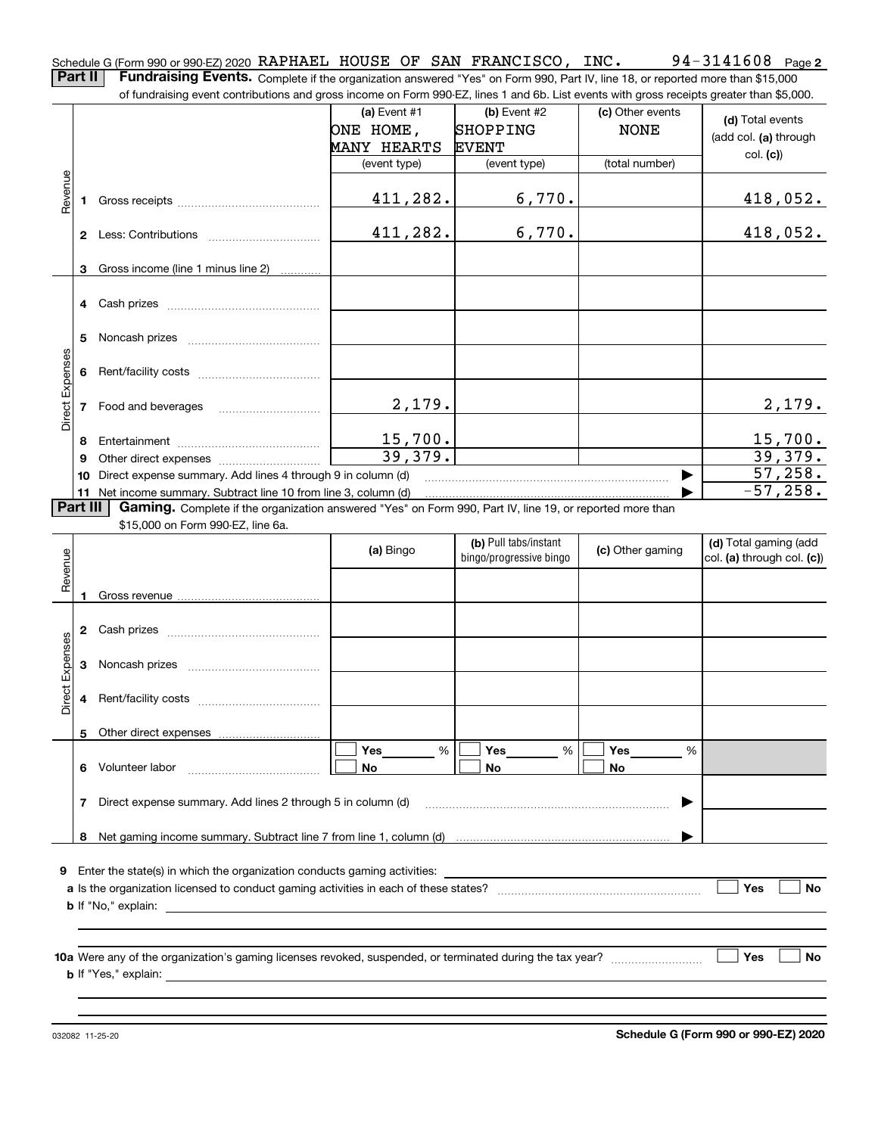**2** Schedule G (Form 990 or 990-EZ) 2020  $\,$  RAPHAEL  $\,$  HOUSE OF SAN FRANCISCO ,  $\,$  INC  $\,$  .  $\,$   $\,$   $\,$  94  $-$  3141608  $\,$   $\,$  Page **Part II** | Fundraising Events. Complete if the organization answered "Yes" on Form 990, Part IV, line 18, or reported more than \$15,000

of fundraising event contributions and gross income on Form 990-EZ, lines 1 and 6b. List events with gross receipts greater than \$5,000.

|                 |          | 01 lungasing event contributions and gross income on Form 990-EZ, inles T and OD. Elst events with gross receipts greater than \$0,000. |                           |                         |                  |                            |
|-----------------|----------|-----------------------------------------------------------------------------------------------------------------------------------------|---------------------------|-------------------------|------------------|----------------------------|
|                 |          |                                                                                                                                         | (a) Event $#1$            | $(b)$ Event #2          | (c) Other events | (d) Total events           |
|                 |          |                                                                                                                                         | ONE HOME,                 | SHOPPING                | <b>NONE</b>      | (add col. (a) through      |
|                 |          |                                                                                                                                         | <b>MANY HEARTS</b>        | <b>EVENT</b>            |                  |                            |
|                 |          |                                                                                                                                         | (event type)              | (event type)            | (total number)   | col. (c)                   |
|                 |          |                                                                                                                                         |                           |                         |                  |                            |
| Revenue         |          |                                                                                                                                         | 411,282.                  | 6,770.                  |                  | 418,052.                   |
|                 |          |                                                                                                                                         |                           |                         |                  |                            |
|                 |          |                                                                                                                                         | 411,282.                  | 6,770.                  |                  | 418,052.                   |
|                 |          |                                                                                                                                         |                           |                         |                  |                            |
|                 | 3        | Gross income (line 1 minus line 2)                                                                                                      |                           |                         |                  |                            |
|                 |          |                                                                                                                                         |                           |                         |                  |                            |
|                 |          |                                                                                                                                         |                           |                         |                  |                            |
|                 |          |                                                                                                                                         |                           |                         |                  |                            |
|                 | 5.       |                                                                                                                                         |                           |                         |                  |                            |
|                 |          |                                                                                                                                         |                           |                         |                  |                            |
|                 | 6        |                                                                                                                                         |                           |                         |                  |                            |
| Direct Expenses |          |                                                                                                                                         |                           |                         |                  |                            |
|                 |          | 7 Food and beverages                                                                                                                    | 2,179.                    |                         |                  | 2,179.                     |
|                 |          |                                                                                                                                         |                           |                         |                  |                            |
|                 | 8        |                                                                                                                                         | $\frac{15,700}{39,379}$ . |                         |                  | $\frac{15,700}{39,379}$    |
|                 | 9        |                                                                                                                                         |                           |                         |                  |                            |
|                 |          | 10 Direct expense summary. Add lines 4 through 9 in column (d)                                                                          |                           |                         | ▶                | 57,258.                    |
|                 |          | 11 Net income summary. Subtract line 10 from line 3, column (d)                                                                         |                           |                         |                  | $-57, 258.$                |
|                 | Part III | Gaming. Complete if the organization answered "Yes" on Form 990, Part IV, line 19, or reported more than                                |                           |                         |                  |                            |
|                 |          | \$15,000 on Form 990-EZ, line 6a.                                                                                                       |                           |                         |                  |                            |
|                 |          |                                                                                                                                         | (a) Bingo                 | (b) Pull tabs/instant   | (c) Other gaming | (d) Total gaming (add      |
| Revenue         |          |                                                                                                                                         |                           | bingo/progressive bingo |                  | col. (a) through col. (c)) |
|                 |          |                                                                                                                                         |                           |                         |                  |                            |
|                 |          |                                                                                                                                         |                           |                         |                  |                            |
|                 |          |                                                                                                                                         |                           |                         |                  |                            |
|                 |          |                                                                                                                                         |                           |                         |                  |                            |
|                 |          |                                                                                                                                         |                           |                         |                  |                            |
|                 | 3        |                                                                                                                                         |                           |                         |                  |                            |
|                 |          |                                                                                                                                         |                           |                         |                  |                            |
| Direct Expenses | 4        |                                                                                                                                         |                           |                         |                  |                            |
|                 |          |                                                                                                                                         |                           |                         |                  |                            |
|                 |          |                                                                                                                                         |                           |                         |                  |                            |
|                 |          |                                                                                                                                         | Yes<br>%                  | Yes<br>%                | Yes<br>%         |                            |
|                 | 6.       | Volunteer labor                                                                                                                         | No                        | No                      | No               |                            |
|                 | 7        | Direct expense summary. Add lines 2 through 5 in column (d)                                                                             |                           |                         |                  |                            |
|                 |          |                                                                                                                                         |                           |                         |                  |                            |
|                 | 8        |                                                                                                                                         |                           |                         |                  |                            |
|                 |          |                                                                                                                                         |                           |                         |                  |                            |
| 9               |          | Enter the state(s) in which the organization conducts gaming activities:                                                                |                           |                         |                  |                            |
|                 |          |                                                                                                                                         |                           |                         |                  | Yes<br>No                  |
|                 |          | <b>b</b> If "No," explain:                                                                                                              |                           |                         |                  |                            |
|                 |          |                                                                                                                                         |                           |                         |                  |                            |
|                 |          |                                                                                                                                         |                           |                         |                  |                            |
|                 |          |                                                                                                                                         |                           |                         |                  | Yes<br>No                  |
|                 |          |                                                                                                                                         |                           |                         |                  |                            |
|                 |          | <b>b</b> If "Yes," explain:                                                                                                             |                           |                         |                  |                            |
|                 |          |                                                                                                                                         |                           |                         |                  |                            |

032082 11-25-20

**Schedule G (Form 990 or 990-EZ) 2020**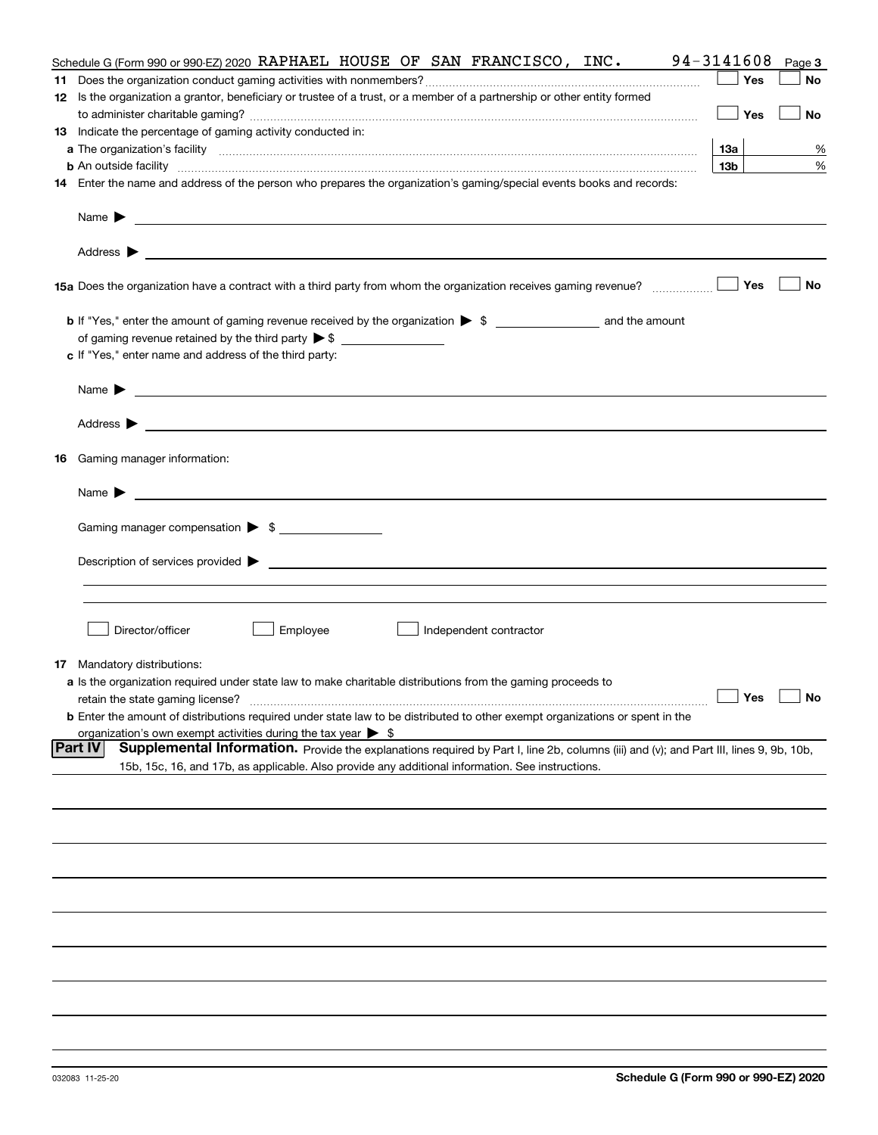|    | Schedule G (Form 990 or 990-EZ) 2020 RAPHAEL HOUSE OF SAN FRANCISCO, INC.                                                                                                                                                                 | 94-3141608      | Page 3 |
|----|-------------------------------------------------------------------------------------------------------------------------------------------------------------------------------------------------------------------------------------------|-----------------|--------|
|    |                                                                                                                                                                                                                                           | Yes             | No     |
|    | 12 Is the organization a grantor, beneficiary or trustee of a trust, or a member of a partnership or other entity formed                                                                                                                  |                 |        |
|    |                                                                                                                                                                                                                                           | Yes             | No     |
|    | 13 Indicate the percentage of gaming activity conducted in:                                                                                                                                                                               |                 |        |
|    |                                                                                                                                                                                                                                           | 13а             | %      |
|    | <b>b</b> An outside facility <i>www.communicality communicality communicality communicality communicality communicality communicality communicality communicality communicality communicality communicality communicality communicali</i> | 13 <sub>b</sub> | %      |
|    | 14 Enter the name and address of the person who prepares the organization's gaming/special events books and records:                                                                                                                      |                 |        |
|    | Name $\blacktriangleright$<br>and the control of the control of the control of the control of the control of the control of the control of the                                                                                            |                 |        |
|    | <u> 1989 - Johann Harry Harry Harry Harry Harry Harry Harry Harry Harry Harry Harry Harry Harry Harry Harry Harry</u><br>Address $\blacktriangleright$                                                                                    |                 |        |
|    | 15a Does the organization have a contract with a third party from whom the organization receives gaming revenue?                                                                                                                          | Yes             | No     |
|    | <b>b</b> If "Yes," enter the amount of gaming revenue received by the organization $\triangleright$ \$ ___________________ and the amount                                                                                                 |                 |        |
|    | of gaming revenue retained by the third party $\triangleright$ \$                                                                                                                                                                         |                 |        |
|    | c If "Yes," enter name and address of the third party:                                                                                                                                                                                    |                 |        |
|    | Name $\blacktriangleright$                                                                                                                                                                                                                |                 |        |
|    | Address $\blacktriangleright$<br><u>some started and the started and the started and the started and the started and the started and the started and</u>                                                                                  |                 |        |
|    |                                                                                                                                                                                                                                           |                 |        |
| 16 | Gaming manager information:                                                                                                                                                                                                               |                 |        |
|    | Name $\blacktriangleright$                                                                                                                                                                                                                |                 |        |
|    | Gaming manager compensation > \$                                                                                                                                                                                                          |                 |        |
|    |                                                                                                                                                                                                                                           |                 |        |
|    |                                                                                                                                                                                                                                           |                 |        |
|    |                                                                                                                                                                                                                                           |                 |        |
|    |                                                                                                                                                                                                                                           |                 |        |
|    | Director/officer<br>Employee<br>Independent contractor                                                                                                                                                                                    |                 |        |
|    | <b>17</b> Mandatory distributions:                                                                                                                                                                                                        |                 |        |
|    | a Is the organization required under state law to make charitable distributions from the gaming proceeds to                                                                                                                               |                 |        |
|    | retain the state gaming license?                                                                                                                                                                                                          | Yes             | No     |
|    | <b>b</b> Enter the amount of distributions required under state law to be distributed to other exempt organizations or spent in the                                                                                                       |                 |        |
|    | organization's own exempt activities during the tax year $\triangleright$ \$                                                                                                                                                              |                 |        |
|    | <b>Part IV</b><br>Supplemental Information. Provide the explanations required by Part I, line 2b, columns (iii) and (v); and Part III, lines 9, 9b, 10b,                                                                                  |                 |        |
|    | 15b, 15c, 16, and 17b, as applicable. Also provide any additional information. See instructions.                                                                                                                                          |                 |        |
|    |                                                                                                                                                                                                                                           |                 |        |
|    |                                                                                                                                                                                                                                           |                 |        |
|    |                                                                                                                                                                                                                                           |                 |        |
|    |                                                                                                                                                                                                                                           |                 |        |
|    |                                                                                                                                                                                                                                           |                 |        |
|    |                                                                                                                                                                                                                                           |                 |        |
|    |                                                                                                                                                                                                                                           |                 |        |
|    |                                                                                                                                                                                                                                           |                 |        |
|    |                                                                                                                                                                                                                                           |                 |        |
|    |                                                                                                                                                                                                                                           |                 |        |
|    |                                                                                                                                                                                                                                           |                 |        |
|    |                                                                                                                                                                                                                                           |                 |        |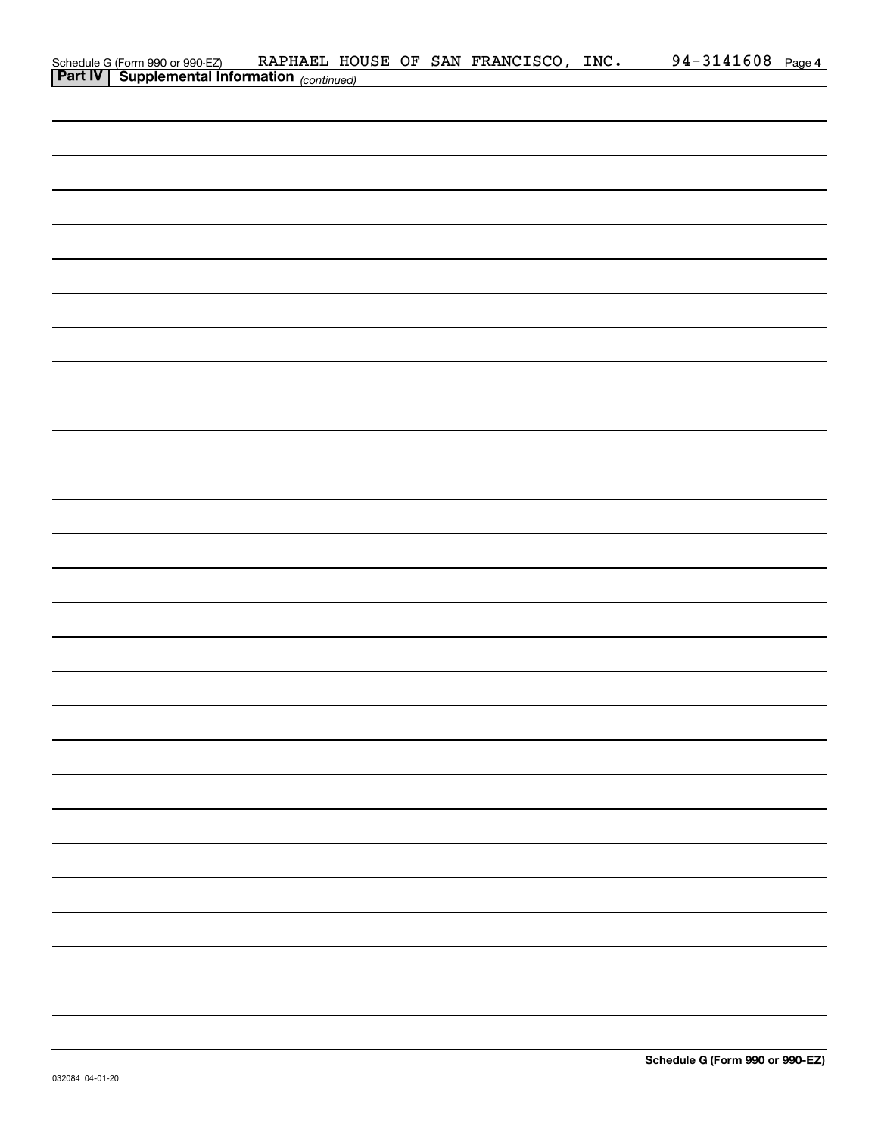| Schedule G (Form 990 or 990-EZ) RAPHAEL HO<br>Part IV   Supplemental Information (continued) |  |  | RAPHAEL HOUSE OF SAN FRANCISCO, INC. | 94-3141608 Page 4 |  |
|----------------------------------------------------------------------------------------------|--|--|--------------------------------------|-------------------|--|
|                                                                                              |  |  |                                      |                   |  |
|                                                                                              |  |  |                                      |                   |  |
|                                                                                              |  |  |                                      |                   |  |
|                                                                                              |  |  |                                      |                   |  |
|                                                                                              |  |  |                                      |                   |  |
|                                                                                              |  |  |                                      |                   |  |
|                                                                                              |  |  |                                      |                   |  |
|                                                                                              |  |  |                                      |                   |  |
|                                                                                              |  |  |                                      |                   |  |
|                                                                                              |  |  |                                      |                   |  |
|                                                                                              |  |  |                                      |                   |  |
|                                                                                              |  |  |                                      |                   |  |
|                                                                                              |  |  |                                      |                   |  |
|                                                                                              |  |  |                                      |                   |  |
|                                                                                              |  |  |                                      |                   |  |
|                                                                                              |  |  |                                      |                   |  |
|                                                                                              |  |  |                                      |                   |  |
|                                                                                              |  |  |                                      |                   |  |
|                                                                                              |  |  |                                      |                   |  |
|                                                                                              |  |  |                                      |                   |  |
|                                                                                              |  |  |                                      |                   |  |
|                                                                                              |  |  |                                      |                   |  |
|                                                                                              |  |  |                                      |                   |  |
|                                                                                              |  |  |                                      |                   |  |
|                                                                                              |  |  |                                      |                   |  |
|                                                                                              |  |  |                                      |                   |  |
|                                                                                              |  |  |                                      |                   |  |
|                                                                                              |  |  |                                      |                   |  |
|                                                                                              |  |  |                                      |                   |  |
|                                                                                              |  |  |                                      |                   |  |
|                                                                                              |  |  |                                      |                   |  |
|                                                                                              |  |  |                                      |                   |  |
|                                                                                              |  |  |                                      |                   |  |
|                                                                                              |  |  |                                      |                   |  |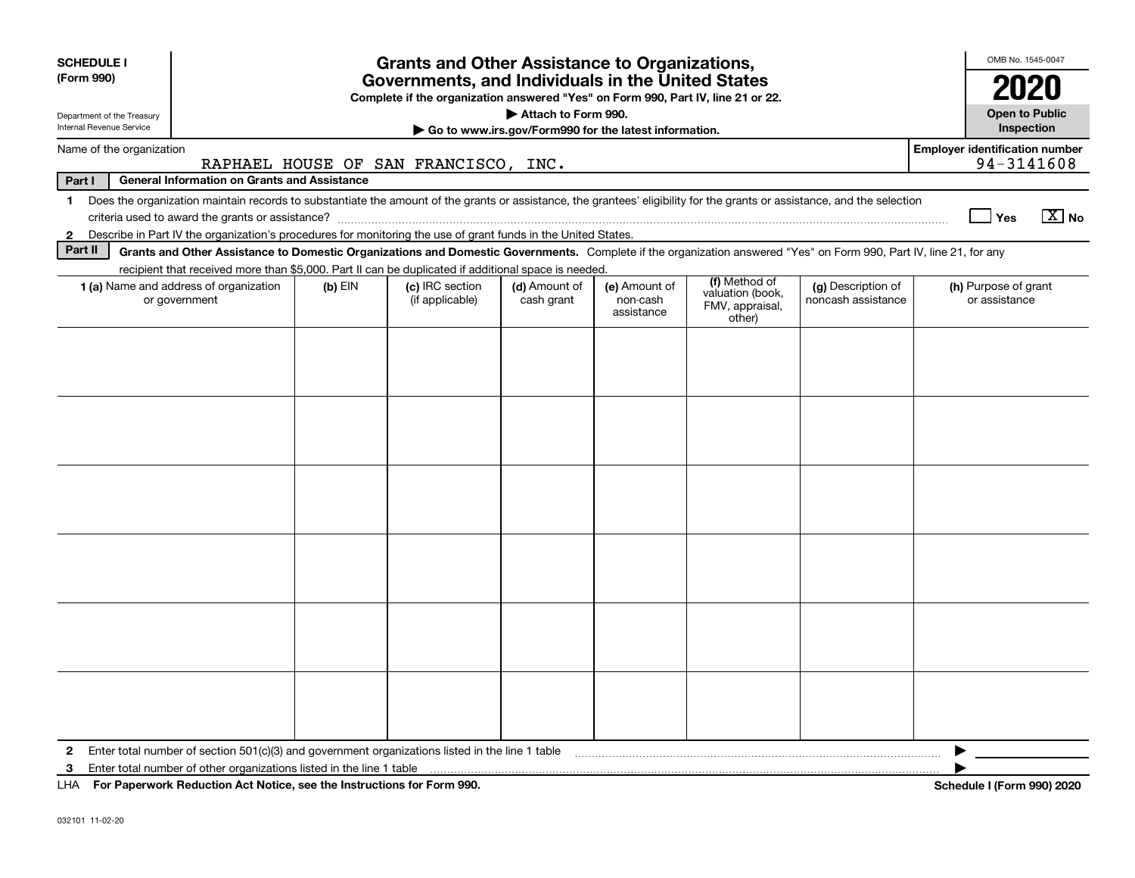| <b>SCHEDULE I</b>                                                                                               |                                                                                                                                                                          |           | <b>Grants and Other Assistance to Organizations,</b> |                             |                                         |                                                                |                                          |  | OMB No. 1545-0047                     |                                     |  |
|-----------------------------------------------------------------------------------------------------------------|--------------------------------------------------------------------------------------------------------------------------------------------------------------------------|-----------|------------------------------------------------------|-----------------------------|-----------------------------------------|----------------------------------------------------------------|------------------------------------------|--|---------------------------------------|-------------------------------------|--|
| (Form 990)                                                                                                      | Governments, and Individuals in the United States                                                                                                                        |           |                                                      |                             |                                         |                                                                |                                          |  |                                       |                                     |  |
|                                                                                                                 | Complete if the organization answered "Yes" on Form 990, Part IV, line 21 or 22.<br>Attach to Form 990.                                                                  |           |                                                      |                             |                                         |                                                                |                                          |  |                                       |                                     |  |
| Department of the Treasury<br>Internal Revenue Service<br>Go to www.irs.gov/Form990 for the latest information. |                                                                                                                                                                          |           |                                                      |                             |                                         |                                                                |                                          |  |                                       | <b>Open to Public</b><br>Inspection |  |
| <b>Employer identification number</b><br>Name of the organization                                               |                                                                                                                                                                          |           |                                                      |                             |                                         |                                                                |                                          |  |                                       |                                     |  |
| 94-3141608<br>RAPHAEL HOUSE OF SAN FRANCISCO, INC.                                                              |                                                                                                                                                                          |           |                                                      |                             |                                         |                                                                |                                          |  |                                       |                                     |  |
|                                                                                                                 | Part I<br><b>General Information on Grants and Assistance</b>                                                                                                            |           |                                                      |                             |                                         |                                                                |                                          |  |                                       |                                     |  |
| $\mathbf 1$                                                                                                     | Does the organization maintain records to substantiate the amount of the grants or assistance, the grantees' eligibility for the grants or assistance, and the selection |           |                                                      |                             |                                         |                                                                |                                          |  |                                       | $X$ No                              |  |
| $\mathbf{2}$                                                                                                    | Describe in Part IV the organization's procedures for monitoring the use of grant funds in the United States.                                                            |           |                                                      |                             |                                         |                                                                |                                          |  | Yes                                   |                                     |  |
| Part II                                                                                                         | Grants and Other Assistance to Domestic Organizations and Domestic Governments. Complete if the organization answered "Yes" on Form 990, Part IV, line 21, for any       |           |                                                      |                             |                                         |                                                                |                                          |  |                                       |                                     |  |
|                                                                                                                 | recipient that received more than \$5,000. Part II can be duplicated if additional space is needed.                                                                      |           |                                                      |                             |                                         |                                                                |                                          |  |                                       |                                     |  |
|                                                                                                                 | 1 (a) Name and address of organization<br>or government                                                                                                                  | $(b)$ EIN | (c) IRC section<br>(if applicable)                   | (d) Amount of<br>cash grant | (e) Amount of<br>non-cash<br>assistance | (f) Method of<br>valuation (book,<br>FMV, appraisal,<br>other) | (g) Description of<br>noncash assistance |  | (h) Purpose of grant<br>or assistance |                                     |  |
|                                                                                                                 |                                                                                                                                                                          |           |                                                      |                             |                                         |                                                                |                                          |  |                                       |                                     |  |
|                                                                                                                 |                                                                                                                                                                          |           |                                                      |                             |                                         |                                                                |                                          |  |                                       |                                     |  |
|                                                                                                                 |                                                                                                                                                                          |           |                                                      |                             |                                         |                                                                |                                          |  |                                       |                                     |  |
|                                                                                                                 |                                                                                                                                                                          |           |                                                      |                             |                                         |                                                                |                                          |  |                                       |                                     |  |
|                                                                                                                 |                                                                                                                                                                          |           |                                                      |                             |                                         |                                                                |                                          |  |                                       |                                     |  |
|                                                                                                                 |                                                                                                                                                                          |           |                                                      |                             |                                         |                                                                |                                          |  |                                       |                                     |  |
|                                                                                                                 |                                                                                                                                                                          |           |                                                      |                             |                                         |                                                                |                                          |  |                                       |                                     |  |
|                                                                                                                 |                                                                                                                                                                          |           |                                                      |                             |                                         |                                                                |                                          |  |                                       |                                     |  |
|                                                                                                                 |                                                                                                                                                                          |           |                                                      |                             |                                         |                                                                |                                          |  |                                       |                                     |  |
|                                                                                                                 |                                                                                                                                                                          |           |                                                      |                             |                                         |                                                                |                                          |  |                                       |                                     |  |
|                                                                                                                 |                                                                                                                                                                          |           |                                                      |                             |                                         |                                                                |                                          |  |                                       |                                     |  |
|                                                                                                                 |                                                                                                                                                                          |           |                                                      |                             |                                         |                                                                |                                          |  |                                       |                                     |  |
|                                                                                                                 |                                                                                                                                                                          |           |                                                      |                             |                                         |                                                                |                                          |  |                                       |                                     |  |
|                                                                                                                 |                                                                                                                                                                          |           |                                                      |                             |                                         |                                                                |                                          |  |                                       |                                     |  |
|                                                                                                                 |                                                                                                                                                                          |           |                                                      |                             |                                         |                                                                |                                          |  |                                       |                                     |  |
|                                                                                                                 |                                                                                                                                                                          |           |                                                      |                             |                                         |                                                                |                                          |  |                                       |                                     |  |
|                                                                                                                 |                                                                                                                                                                          |           |                                                      |                             |                                         |                                                                |                                          |  |                                       |                                     |  |
|                                                                                                                 |                                                                                                                                                                          |           |                                                      |                             |                                         |                                                                |                                          |  |                                       |                                     |  |
|                                                                                                                 |                                                                                                                                                                          |           |                                                      |                             |                                         |                                                                |                                          |  |                                       |                                     |  |
|                                                                                                                 |                                                                                                                                                                          |           |                                                      |                             |                                         |                                                                |                                          |  |                                       |                                     |  |
|                                                                                                                 |                                                                                                                                                                          |           |                                                      |                             |                                         |                                                                |                                          |  |                                       |                                     |  |
| $\mathbf{2}$                                                                                                    | Enter total number of section $501(c)(3)$ and government organizations listed in the line 1 table                                                                        |           |                                                      |                             |                                         |                                                                |                                          |  |                                       |                                     |  |
| 3                                                                                                               | Enter total number of other organizations listed in the line 1 table                                                                                                     |           |                                                      |                             |                                         |                                                                |                                          |  |                                       |                                     |  |
|                                                                                                                 | LHA For Paperwork Reduction Act Notice, see the Instructions for Form 990.                                                                                               |           |                                                      |                             |                                         |                                                                |                                          |  | Schedule I (Form 990) 2020            |                                     |  |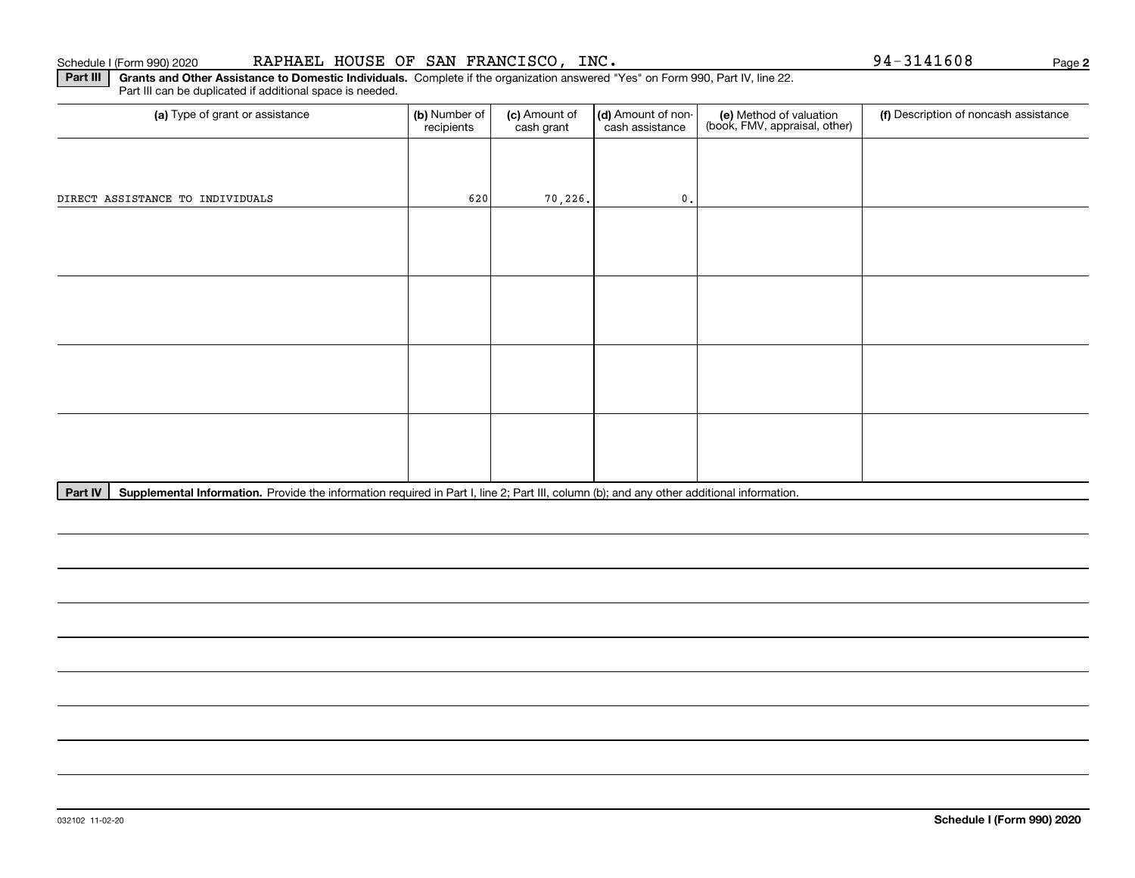### 032102 11-02-20

### Schedule I (Form 990) 2020 Page RAPHAEL HOUSE OF SAN FRANCISCO, INC. 94-3141608

**Part III** | Grants and Other Assistance to Domestic Individuals. Complete if the organization answered "Yes" on Form 990, Part IV, line 22. Part III can be duplicated if additional space is needed.

| (a) Type of grant or assistance  | (b) Number of<br>recipients | (c) Amount of<br>cash grant | (d) Amount of non-<br>cash assistance | (e) Method of valuation<br>(book, FMV, appraisal, other) | (f) Description of noncash assistance |
|----------------------------------|-----------------------------|-----------------------------|---------------------------------------|----------------------------------------------------------|---------------------------------------|
|                                  |                             |                             |                                       |                                                          |                                       |
| DIRECT ASSISTANCE TO INDIVIDUALS | 620                         | 70, 226.                    | $\mathbf{0}$ .                        |                                                          |                                       |
|                                  |                             |                             |                                       |                                                          |                                       |
|                                  |                             |                             |                                       |                                                          |                                       |
|                                  |                             |                             |                                       |                                                          |                                       |
|                                  |                             |                             |                                       |                                                          |                                       |
|                                  |                             |                             |                                       |                                                          |                                       |
|                                  |                             |                             |                                       |                                                          |                                       |
|                                  |                             |                             |                                       |                                                          |                                       |
|                                  |                             |                             |                                       |                                                          |                                       |

Part IV | Supplemental Information. Provide the information required in Part I, line 2; Part III, column (b); and any other additional information.

**2**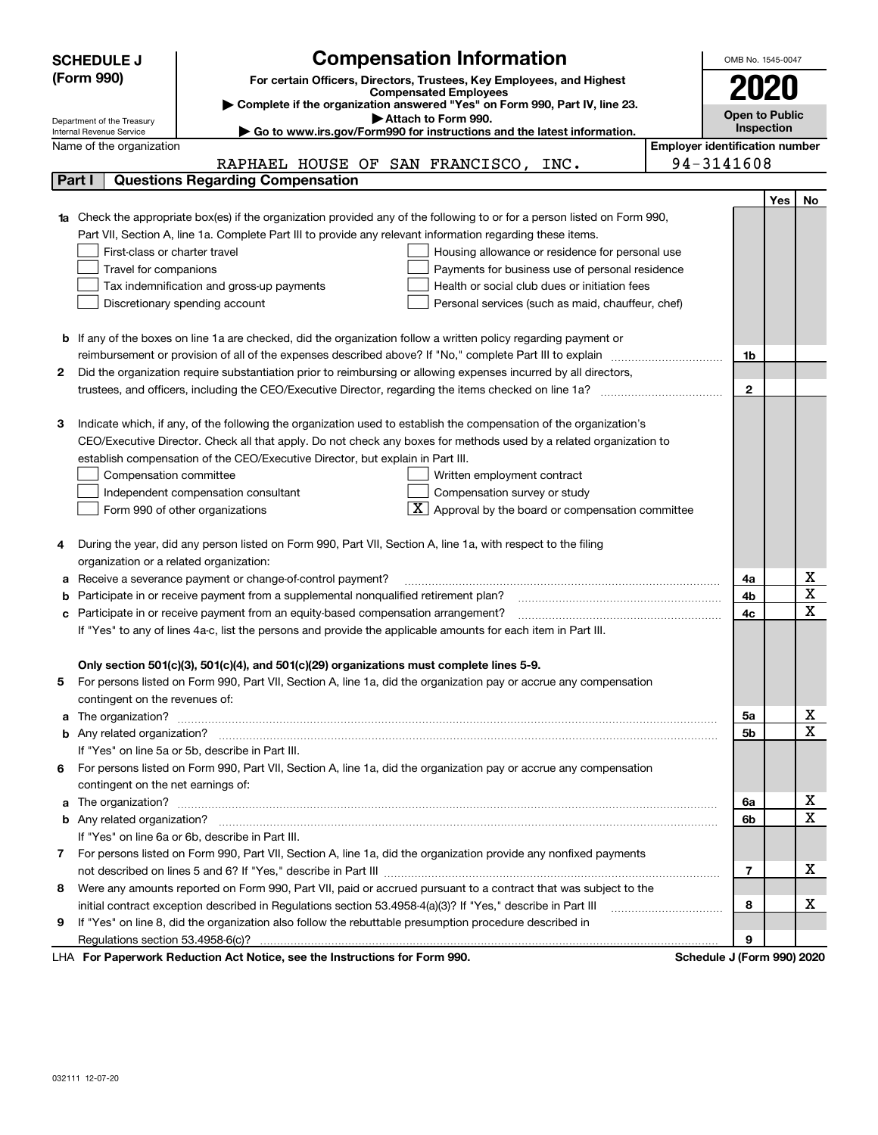| <b>SCHEDULE J</b>                                                                                 |                                                                                                                                                                                                   | <b>Compensation Information</b>                                                                                    | OMB No. 1545-0047 |                                       |     |                       |  |
|---------------------------------------------------------------------------------------------------|---------------------------------------------------------------------------------------------------------------------------------------------------------------------------------------------------|--------------------------------------------------------------------------------------------------------------------|-------------------|---------------------------------------|-----|-----------------------|--|
| (Form 990)                                                                                        |                                                                                                                                                                                                   | For certain Officers, Directors, Trustees, Key Employees, and Highest                                              |                   |                                       |     |                       |  |
|                                                                                                   |                                                                                                                                                                                                   | <b>Compensated Employees</b>                                                                                       |                   | 2020                                  |     |                       |  |
| Complete if the organization answered "Yes" on Form 990, Part IV, line 23.<br>Attach to Form 990. |                                                                                                                                                                                                   |                                                                                                                    |                   |                                       |     | <b>Open to Public</b> |  |
| Department of the Treasury<br>Internal Revenue Service                                            |                                                                                                                                                                                                   | Go to www.irs.gov/Form990 for instructions and the latest information.                                             |                   | Inspection                            |     |                       |  |
|                                                                                                   | Name of the organization                                                                                                                                                                          |                                                                                                                    |                   | <b>Employer identification number</b> |     |                       |  |
|                                                                                                   |                                                                                                                                                                                                   | RAPHAEL HOUSE OF SAN FRANCISCO, INC.                                                                               |                   | 94-3141608                            |     |                       |  |
|                                                                                                   | Part I                                                                                                                                                                                            | <b>Questions Regarding Compensation</b>                                                                            |                   |                                       |     |                       |  |
|                                                                                                   |                                                                                                                                                                                                   |                                                                                                                    |                   |                                       | Yes | No                    |  |
|                                                                                                   | Check the appropriate box(es) if the organization provided any of the following to or for a person listed on Form 990,                                                                            |                                                                                                                    |                   |                                       |     |                       |  |
|                                                                                                   | Part VII, Section A, line 1a. Complete Part III to provide any relevant information regarding these items.                                                                                        |                                                                                                                    |                   |                                       |     |                       |  |
|                                                                                                   | First-class or charter travel<br>Housing allowance or residence for personal use                                                                                                                  |                                                                                                                    |                   |                                       |     |                       |  |
|                                                                                                   | Travel for companions<br>Payments for business use of personal residence                                                                                                                          |                                                                                                                    |                   |                                       |     |                       |  |
|                                                                                                   | Health or social club dues or initiation fees<br>Tax indemnification and gross-up payments                                                                                                        |                                                                                                                    |                   |                                       |     |                       |  |
|                                                                                                   | Discretionary spending account<br>Personal services (such as maid, chauffeur, chef)                                                                                                               |                                                                                                                    |                   |                                       |     |                       |  |
|                                                                                                   |                                                                                                                                                                                                   |                                                                                                                    |                   |                                       |     |                       |  |
| b                                                                                                 |                                                                                                                                                                                                   | If any of the boxes on line 1a are checked, did the organization follow a written policy regarding payment or      |                   |                                       |     |                       |  |
|                                                                                                   | reimbursement or provision of all of the expenses described above? If "No," complete Part III to explain                                                                                          |                                                                                                                    | 1b                |                                       |     |                       |  |
| 2                                                                                                 | Did the organization require substantiation prior to reimbursing or allowing expenses incurred by all directors,                                                                                  |                                                                                                                    |                   |                                       |     |                       |  |
|                                                                                                   |                                                                                                                                                                                                   | trustees, and officers, including the CEO/Executive Director, regarding the items checked on line 1a?              |                   | $\mathbf{2}$                          |     |                       |  |
|                                                                                                   |                                                                                                                                                                                                   |                                                                                                                    |                   |                                       |     |                       |  |
| 3                                                                                                 |                                                                                                                                                                                                   | Indicate which, if any, of the following the organization used to establish the compensation of the organization's |                   |                                       |     |                       |  |
|                                                                                                   | CEO/Executive Director. Check all that apply. Do not check any boxes for methods used by a related organization to                                                                                |                                                                                                                    |                   |                                       |     |                       |  |
|                                                                                                   | establish compensation of the CEO/Executive Director, but explain in Part III.                                                                                                                    |                                                                                                                    |                   |                                       |     |                       |  |
|                                                                                                   | Compensation committee<br>Written employment contract                                                                                                                                             |                                                                                                                    |                   |                                       |     |                       |  |
|                                                                                                   |                                                                                                                                                                                                   | Compensation survey or study<br>Independent compensation consultant                                                |                   |                                       |     |                       |  |
|                                                                                                   |                                                                                                                                                                                                   | $\boxed{\textbf{X}}$ Approval by the board or compensation committee<br>Form 990 of other organizations            |                   |                                       |     |                       |  |
|                                                                                                   |                                                                                                                                                                                                   |                                                                                                                    |                   |                                       |     |                       |  |
| 4                                                                                                 |                                                                                                                                                                                                   | During the year, did any person listed on Form 990, Part VII, Section A, line 1a, with respect to the filing       |                   |                                       |     |                       |  |
|                                                                                                   | organization or a related organization:                                                                                                                                                           |                                                                                                                    |                   |                                       |     | х                     |  |
| а                                                                                                 | Receive a severance payment or change-of-control payment?                                                                                                                                         |                                                                                                                    | 4a                |                                       | X   |                       |  |
| b                                                                                                 | Participate in or receive payment from a supplemental nonqualified retirement plan?                                                                                                               |                                                                                                                    | 4b                |                                       | X   |                       |  |
| с                                                                                                 | Participate in or receive payment from an equity-based compensation arrangement?<br>If "Yes" to any of lines 4a-c, list the persons and provide the applicable amounts for each item in Part III. |                                                                                                                    | 4c                |                                       |     |                       |  |
|                                                                                                   |                                                                                                                                                                                                   |                                                                                                                    |                   |                                       |     |                       |  |
|                                                                                                   |                                                                                                                                                                                                   | Only section 501(c)(3), 501(c)(4), and 501(c)(29) organizations must complete lines 5-9.                           |                   |                                       |     |                       |  |
| 5                                                                                                 |                                                                                                                                                                                                   | For persons listed on Form 990, Part VII, Section A, line 1a, did the organization pay or accrue any compensation  |                   |                                       |     |                       |  |
|                                                                                                   | contingent on the revenues of:                                                                                                                                                                    |                                                                                                                    |                   |                                       |     |                       |  |
| a                                                                                                 |                                                                                                                                                                                                   |                                                                                                                    |                   | 5a                                    |     | X                     |  |
|                                                                                                   |                                                                                                                                                                                                   |                                                                                                                    |                   | 5b                                    |     | X                     |  |
|                                                                                                   |                                                                                                                                                                                                   | If "Yes" on line 5a or 5b, describe in Part III.                                                                   |                   |                                       |     |                       |  |
| 6                                                                                                 |                                                                                                                                                                                                   | For persons listed on Form 990, Part VII, Section A, line 1a, did the organization pay or accrue any compensation  |                   |                                       |     |                       |  |
|                                                                                                   | contingent on the net earnings of:                                                                                                                                                                |                                                                                                                    |                   |                                       |     |                       |  |
| a                                                                                                 |                                                                                                                                                                                                   | The organization? <b>With the organization? Constitution of the organization</b> of the organization?              |                   | 6a                                    |     | X                     |  |
|                                                                                                   |                                                                                                                                                                                                   |                                                                                                                    |                   | 6b                                    |     | X                     |  |
|                                                                                                   |                                                                                                                                                                                                   | If "Yes" on line 6a or 6b, describe in Part III.                                                                   |                   |                                       |     |                       |  |
|                                                                                                   | 7 For persons listed on Form 990, Part VII, Section A, line 1a, did the organization provide any nonfixed payments                                                                                |                                                                                                                    |                   |                                       |     |                       |  |
|                                                                                                   |                                                                                                                                                                                                   |                                                                                                                    |                   | 7                                     |     | x                     |  |
| 8                                                                                                 |                                                                                                                                                                                                   | Were any amounts reported on Form 990, Part VII, paid or accrued pursuant to a contract that was subject to the    |                   |                                       |     |                       |  |
|                                                                                                   |                                                                                                                                                                                                   | initial contract exception described in Regulations section 53.4958-4(a)(3)? If "Yes," describe in Part III        |                   | 8                                     |     | х                     |  |
| 9                                                                                                 |                                                                                                                                                                                                   | If "Yes" on line 8, did the organization also follow the rebuttable presumption procedure described in             |                   |                                       |     |                       |  |
|                                                                                                   |                                                                                                                                                                                                   |                                                                                                                    |                   | 9                                     |     |                       |  |
|                                                                                                   |                                                                                                                                                                                                   | $\mathbf{r}$ $\mathbf{r}$ $\mathbf{r}$ $\mathbf{r}$ $\mathbf{r}$                                                   |                   |                                       |     |                       |  |

LHA For Paperwork Reduction Act Notice, see the Instructions for Form 990. Schedule J (Form 990) 2020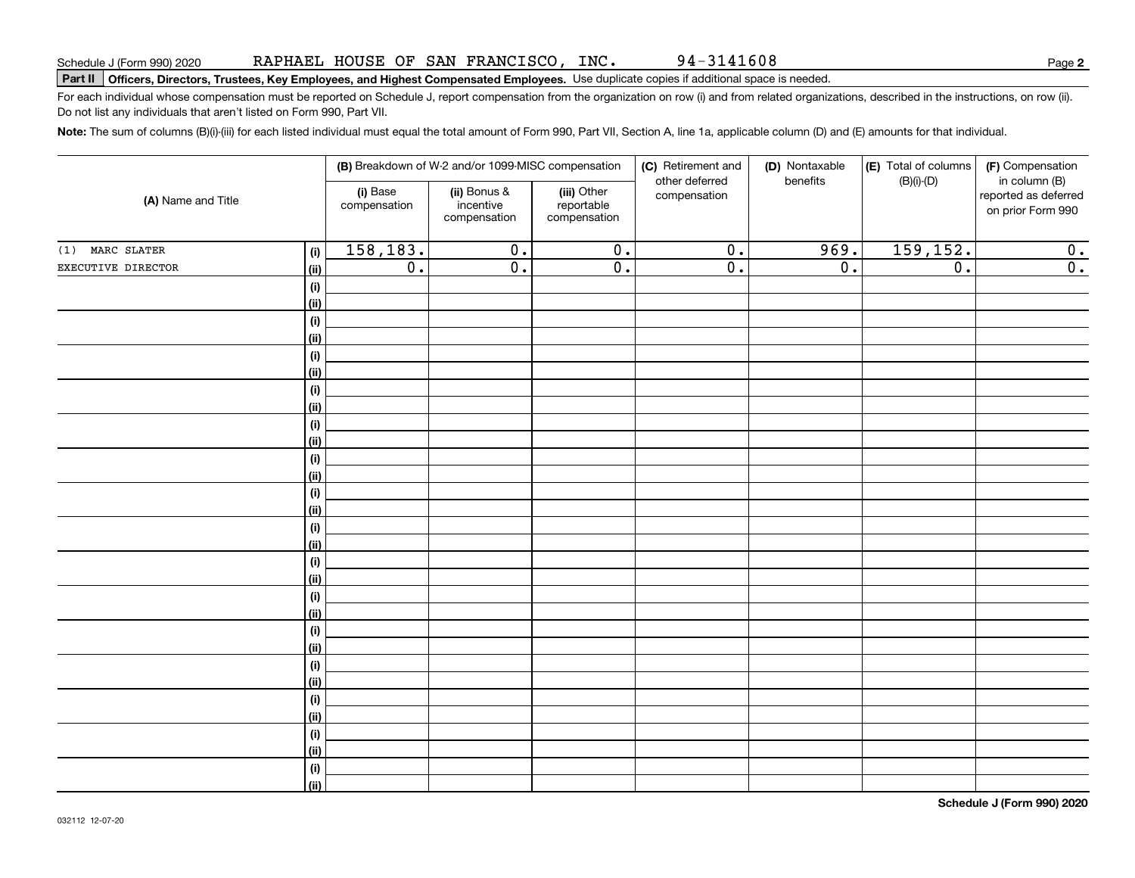94-3141608

**2**

# **Part II Officers, Directors, Trustees, Key Employees, and Highest Compensated Employees.**  Schedule J (Form 990) 2020 Page Use duplicate copies if additional space is needed.

For each individual whose compensation must be reported on Schedule J, report compensation from the organization on row (i) and from related organizations, described in the instructions, on row (ii). Do not list any individuals that aren't listed on Form 990, Part VII.

**Note:**  The sum of columns (B)(i)-(iii) for each listed individual must equal the total amount of Form 990, Part VII, Section A, line 1a, applicable column (D) and (E) amounts for that individual.

| (A) Name and Title |                           | (B) Breakdown of W-2 and/or 1099-MISC compensation |                                           |                                           | (C) Retirement and<br>other deferred | (D) Nontaxable<br>benefits | (E) Total of columns<br>$(B)(i)-(D)$ | (F) Compensation<br>in column (B)         |
|--------------------|---------------------------|----------------------------------------------------|-------------------------------------------|-------------------------------------------|--------------------------------------|----------------------------|--------------------------------------|-------------------------------------------|
|                    |                           | (i) Base<br>compensation                           | (ii) Bonus &<br>incentive<br>compensation | (iii) Other<br>reportable<br>compensation | compensation                         |                            |                                      | reported as deferred<br>on prior Form 990 |
| (1) MARC SLATER    | (i)                       | 158,183.                                           | $\overline{0}$ .                          | $\overline{0}$ .                          | $\overline{0}$ .                     | 969.                       | 159,152.                             | 0.                                        |
| EXECUTIVE DIRECTOR | <u>(ii)</u>               | $\overline{0}$ .                                   | $\overline{0}$ .                          | $\overline{0}$ .                          | $\overline{0}$ .                     | $\overline{0}$ .           | $\overline{0}$ .                     | $\overline{0}$ .                          |
|                    | (i)                       |                                                    |                                           |                                           |                                      |                            |                                      |                                           |
|                    | <u>(ii)</u>               |                                                    |                                           |                                           |                                      |                            |                                      |                                           |
|                    | (i)                       |                                                    |                                           |                                           |                                      |                            |                                      |                                           |
|                    | <u>(ii)</u>               |                                                    |                                           |                                           |                                      |                            |                                      |                                           |
|                    | (i)                       |                                                    |                                           |                                           |                                      |                            |                                      |                                           |
|                    | (ii)                      |                                                    |                                           |                                           |                                      |                            |                                      |                                           |
|                    | $(\sf{i})$                |                                                    |                                           |                                           |                                      |                            |                                      |                                           |
|                    | (ii)                      |                                                    |                                           |                                           |                                      |                            |                                      |                                           |
|                    | $(\sf{i})$                |                                                    |                                           |                                           |                                      |                            |                                      |                                           |
|                    | (ii)                      |                                                    |                                           |                                           |                                      |                            |                                      |                                           |
|                    | $(\sf{i})$                |                                                    |                                           |                                           |                                      |                            |                                      |                                           |
|                    | <u>(ii)</u><br>$(\sf{i})$ |                                                    |                                           |                                           |                                      |                            |                                      |                                           |
|                    | <u>(ii)</u>               |                                                    |                                           |                                           |                                      |                            |                                      |                                           |
|                    | $(\sf{i})$                |                                                    |                                           |                                           |                                      |                            |                                      |                                           |
|                    | <u>(ii)</u>               |                                                    |                                           |                                           |                                      |                            |                                      |                                           |
|                    | $(\sf{i})$                |                                                    |                                           |                                           |                                      |                            |                                      |                                           |
|                    | (ii)                      |                                                    |                                           |                                           |                                      |                            |                                      |                                           |
|                    | (i)                       |                                                    |                                           |                                           |                                      |                            |                                      |                                           |
|                    | (ii)                      |                                                    |                                           |                                           |                                      |                            |                                      |                                           |
|                    | (i)                       |                                                    |                                           |                                           |                                      |                            |                                      |                                           |
|                    | <u>(ii)</u>               |                                                    |                                           |                                           |                                      |                            |                                      |                                           |
|                    | (i)                       |                                                    |                                           |                                           |                                      |                            |                                      |                                           |
|                    | (ii)                      |                                                    |                                           |                                           |                                      |                            |                                      |                                           |
|                    | $(\sf{i})$                |                                                    |                                           |                                           |                                      |                            |                                      |                                           |
|                    | (ii)                      |                                                    |                                           |                                           |                                      |                            |                                      |                                           |
|                    | (i)                       |                                                    |                                           |                                           |                                      |                            |                                      |                                           |
|                    | <u>(ii)</u>               |                                                    |                                           |                                           |                                      |                            |                                      |                                           |
|                    | (i)                       |                                                    |                                           |                                           |                                      |                            |                                      |                                           |
|                    | $\overline{}}$            |                                                    |                                           |                                           |                                      |                            |                                      |                                           |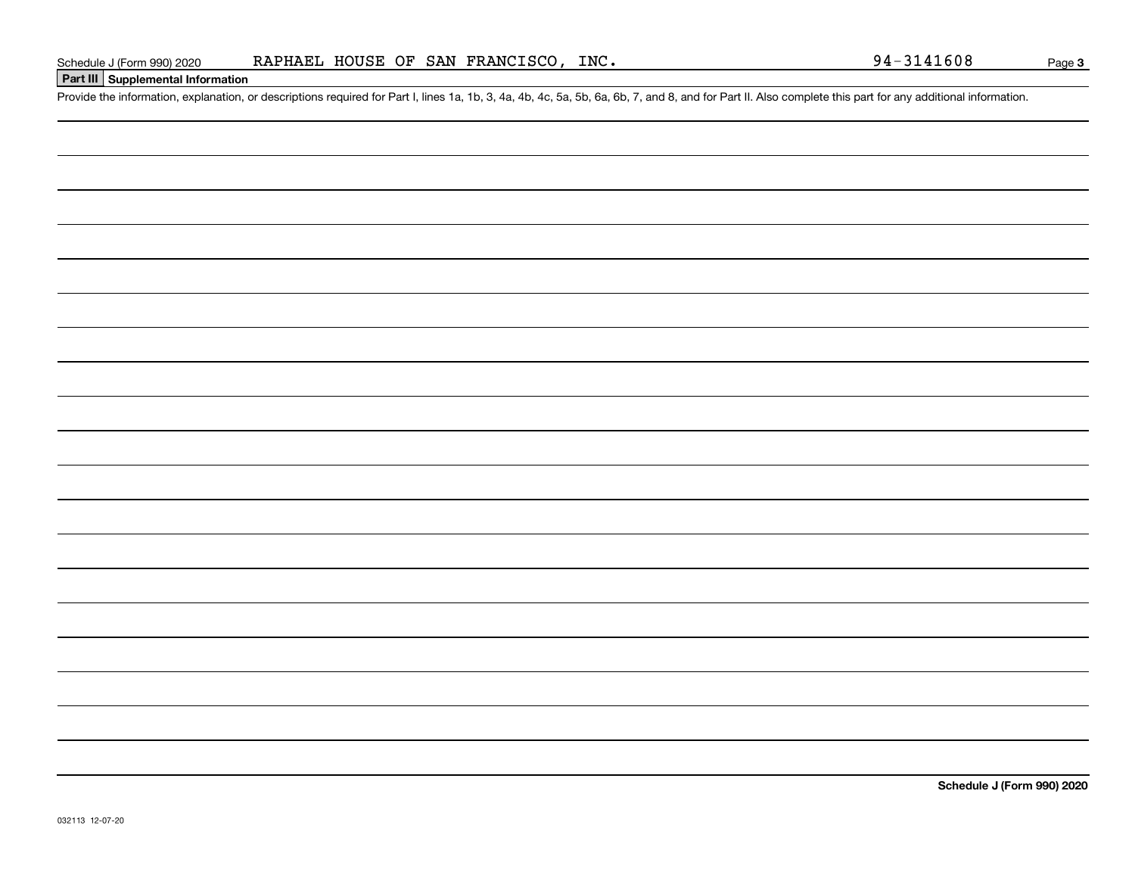### **Part III Supplemental Information**

Schedule J (Form 990) 2020 RAPHAEL HOUSE OF SAN FRANCISCO, INC.<br>Part III Supplemental Information<br>Provide the information, explanation, or descriptions required for Part I, lines 1a, 1b, 3, 4a, 4b, 4c, 5a, 5b, 6a, 6b, 7, a

**Schedule J (Form 990) 2020**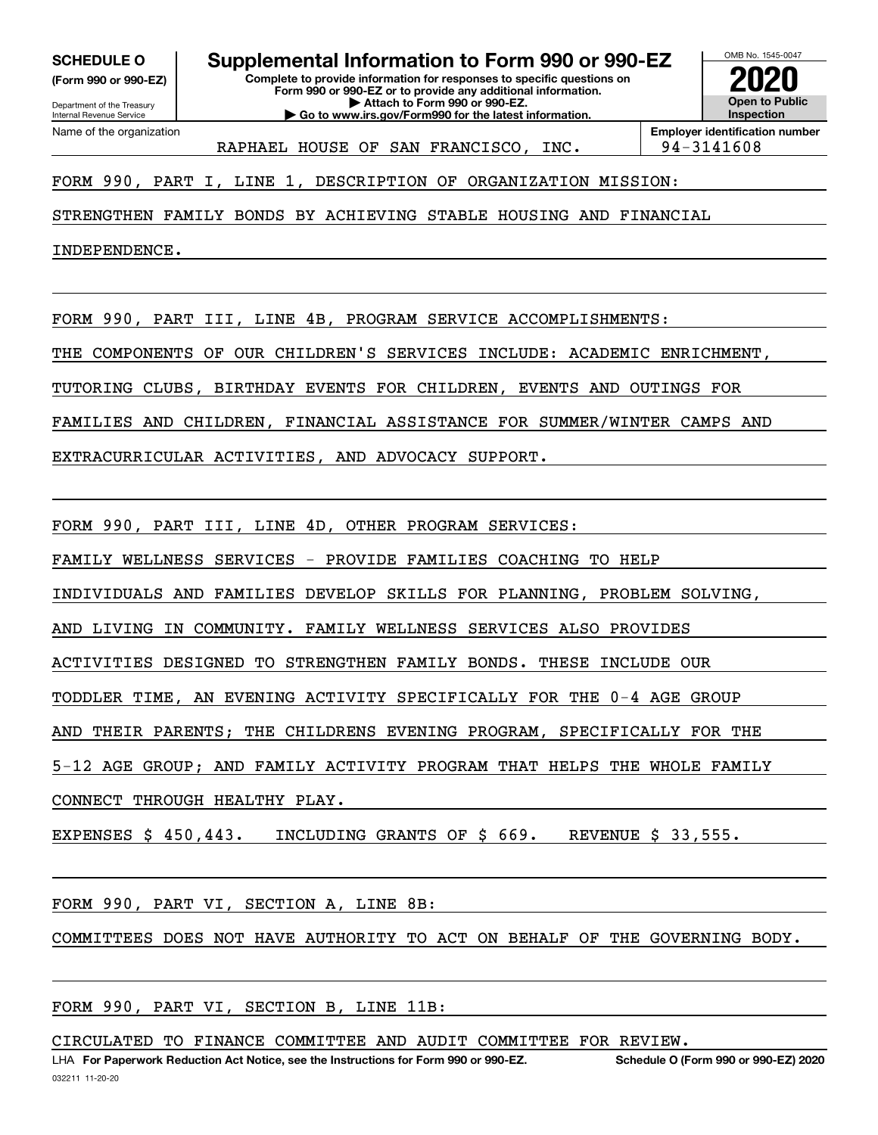**(Form 990 or 990-EZ)**

Department of the Treasury Internal Revenue Service Name of the organization

**Complete to provide information for responses to specific questions on Form 990 or 990-EZ or to provide any additional information. | Attach to Form 990 or 990-EZ. SCHEDULE O Supplemental Information to Form 990 or 990-EZ**

**| Go to www.irs.gov/Form990 for the latest information.**



RAPHAEL HOUSE OF SAN FRANCISCO, INC. | 94-3141608

**Employer identification number**

FORM 990, PART I, LINE 1, DESCRIPTION OF ORGANIZATION MISSION:

STRENGTHEN FAMILY BONDS BY ACHIEVING STABLE HOUSING AND FINANCIAL

INDEPENDENCE.

FORM 990, PART III, LINE 4B, PROGRAM SERVICE ACCOMPLISHMENTS:

THE COMPONENTS OF OUR CHILDREN'S SERVICES INCLUDE: ACADEMIC ENRICHMENT,

TUTORING CLUBS, BIRTHDAY EVENTS FOR CHILDREN, EVENTS AND OUTINGS FOR

FAMILIES AND CHILDREN, FINANCIAL ASSISTANCE FOR SUMMER/WINTER CAMPS AND

EXTRACURRICULAR ACTIVITIES, AND ADVOCACY SUPPORT.

FORM 990, PART III, LINE 4D, OTHER PROGRAM SERVICES:

FAMILY WELLNESS SERVICES - PROVIDE FAMILIES COACHING TO HELP

INDIVIDUALS AND FAMILIES DEVELOP SKILLS FOR PLANNING, PROBLEM SOLVING,

AND LIVING IN COMMUNITY. FAMILY WELLNESS SERVICES ALSO PROVIDES

ACTIVITIES DESIGNED TO STRENGTHEN FAMILY BONDS. THESE INCLUDE OUR

TODDLER TIME, AN EVENING ACTIVITY SPECIFICALLY FOR THE 0-4 AGE GROUP

AND THEIR PARENTS; THE CHILDRENS EVENING PROGRAM, SPECIFICALLY FOR THE

5-12 AGE GROUP; AND FAMILY ACTIVITY PROGRAM THAT HELPS THE WHOLE FAMILY

CONNECT THROUGH HEALTHY PLAY.

EXPENSES \$ 450,443. INCLUDING GRANTS OF \$ 669. REVENUE \$ 33,555.

FORM 990, PART VI, SECTION A, LINE 8B:

COMMITTEES DOES NOT HAVE AUTHORITY TO ACT ON BEHALF OF THE GOVERNING BODY.

FORM 990, PART VI, SECTION B, LINE 11B:

CIRCULATED TO FINANCE COMMITTEE AND AUDIT COMMITTEE FOR REVIEW.